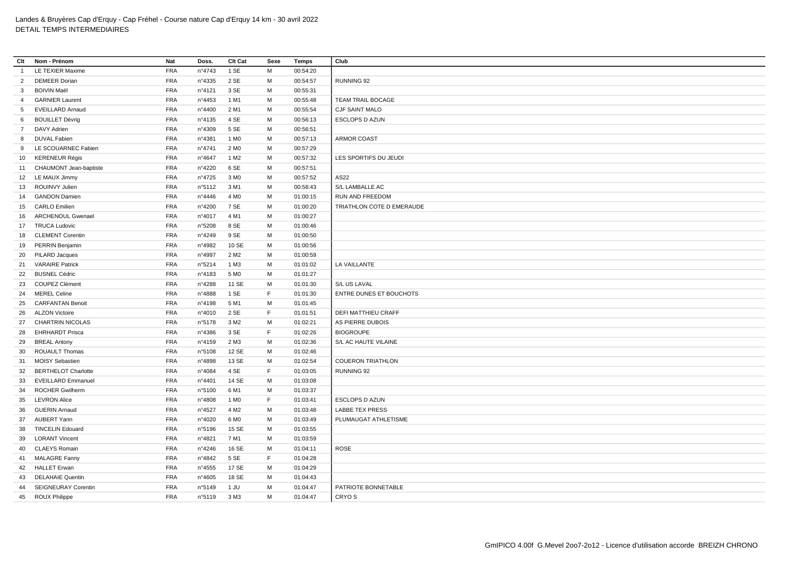| Clt            | Nom - Prénom               | Nat        | Doss.  | Clt Cat          | Sexe | Temps    | Club                           |
|----------------|----------------------------|------------|--------|------------------|------|----------|--------------------------------|
| -1             | LE TEXIER Maxime           | <b>FRA</b> | n°4743 | 1 SE             | M    | 00:54:20 |                                |
| $\overline{2}$ | <b>DEMEER Dorian</b>       | <b>FRA</b> | n°4335 | 2 SE             | м    | 00:54:57 | RUNNING 92                     |
| 3              | <b>BOIVIN Maël</b>         | <b>FRA</b> | n°4121 | 3 SE             | M    | 00:55:31 |                                |
| $\overline{4}$ | <b>GARNIER Laurent</b>     | <b>FRA</b> | n°4453 | 1 M1             | M    | 00:55:48 | TEAM TRAIL BOCAGE              |
| 5 <sup>5</sup> | <b>EVEILLARD Arnaud</b>    | <b>FRA</b> | n°4400 | 2 M1             | M    | 00:55:54 | CJF SAINT MALO                 |
| 6              | <b>BOUILLET Dévrig</b>     | <b>FRA</b> | n°4135 | 4 SE             | M    | 00:56:13 | <b>ESCLOPS D AZUN</b>          |
| 7              | DAVY Adrien                | <b>FRA</b> | n°4309 | 5 SE             | M    | 00:56:51 |                                |
| 8              | <b>DUVAL Fabien</b>        | <b>FRA</b> | n°4381 | 1 M <sub>0</sub> | М    | 00:57:13 | ARMOR COAST                    |
| 9              | LE SCOUARNEC Fabien        | <b>FRA</b> | n°4741 | 2 M <sub>0</sub> | M    | 00:57:29 |                                |
| 10             | <b>KERENEUR Régis</b>      | <b>FRA</b> | n°4647 | 1 M <sub>2</sub> | м    | 00:57:32 | LES SPORTIFS DU JEUDI          |
|                | 11 CHAUMONT Jean-baptiste  | <b>FRA</b> | n°4220 | 6 SE             | M    | 00:57:51 |                                |
|                | 12 LE MAUX Jimmy           | <b>FRA</b> | n°4725 | 3 M <sub>0</sub> | м    | 00:57:52 | AS22                           |
| 13             | ROUINVY Julien             | <b>FRA</b> | n°5112 | 3 M1             | M    | 00:58:43 | S/L LAMBALLE AC                |
| 14             | <b>GANDON Damien</b>       | <b>FRA</b> | n°4446 | 4 M <sub>0</sub> | м    | 01:00:15 | RUN AND FREEDOM                |
| 15             | <b>CARLO Emilien</b>       | <b>FRA</b> | n°4200 | 7 SE             | м    | 01:00:20 | TRIATHLON COTE D EMERAUDE      |
| 16             | <b>ARCHENOUL Gwenael</b>   | <b>FRA</b> | n°4017 | 4 M1             | M    | 01:00:27 |                                |
|                | 17 TRUCA Ludovic           | <b>FRA</b> | n°5208 | 8 SE             | м    | 01:00:46 |                                |
| 18             | <b>CLEMENT Corentin</b>    | <b>FRA</b> | n°4249 | 9 SE             | M    | 01:00:50 |                                |
| 19             | PERRIN Benjamin            | <b>FRA</b> | n°4982 | 10 SE            | M    | 01:00:56 |                                |
| 20             | PILARD Jacques             | <b>FRA</b> | n°4997 | 2 M <sub>2</sub> | M    | 01:00:59 |                                |
| 21             | <b>VARAIRE Patrick</b>     | <b>FRA</b> | n°5214 | 1 M3             | М    | 01:01:02 | LA VAILLANTE                   |
| 22             | <b>BUSNEL Cédric</b>       | <b>FRA</b> | n°4183 | 5 M <sub>0</sub> | M    | 01:01:27 |                                |
| 23             | COUPEZ Clément             | <b>FRA</b> | n°4288 | 11 SE            | M    | 01:01:30 | S/L US LAVAL                   |
| 24             | <b>MEREL Celine</b>        | <b>FRA</b> | n°4888 | 1 SE             | F    | 01:01:30 | <b>ENTRE DUNES ET BOUCHOTS</b> |
| 25             | <b>CARFANTAN Benoit</b>    | <b>FRA</b> | n°4198 | 5 M1             | м    | 01:01:45 |                                |
| 26             | <b>ALZON Victoire</b>      | <b>FRA</b> | nº4010 | 2 SE             | E    | 01:01:51 | <b>DEFI MATTHIEU CRAFF</b>     |
| 27             | <b>CHARTRIN NICOLAS</b>    | <b>FRA</b> | n°5178 | 3 M <sub>2</sub> | M    | 01:02:21 | AS PIERRE DUBOIS               |
| 28             | <b>EHRHARDT Prisca</b>     | <b>FRA</b> | n°4386 | 3 SE             | E    | 01:02:26 | <b>BIOGROUPE</b>               |
| 29             | <b>BREAL Antony</b>        | <b>FRA</b> | n°4159 | 2 M3             | м    | 01:02:36 | S/L AC HAUTE VILAINE           |
| 30             | <b>ROUAULT Thomas</b>      | <b>FRA</b> | n°5108 | 12 SE            | M    | 01:02:46 |                                |
| 31             | <b>MOISY Sebastien</b>     | <b>FRA</b> | n°4898 | 13 SE            | M    | 01:02:54 | <b>COUERON TRIATHLON</b>       |
| 32             | <b>BERTHELOT Charlotte</b> | <b>FRA</b> | n°4084 | 4 SE             | F    | 01:03:05 | RUNNING 92                     |
| 33             | <b>EVEILLARD Emmanuel</b>  | <b>FRA</b> | n°4401 | 14 SE            | M    | 01:03:08 |                                |
| 34             | <b>ROCHER Gwilherm</b>     | <b>FRA</b> | n°5100 | 6 M1             | М    | 01:03:37 |                                |
| 35             | <b>LEVRON Alice</b>        | <b>FRA</b> | n°4808 | 1 M <sub>0</sub> | E    | 01:03:41 | <b>ESCLOPS D AZUN</b>          |
| 36             | <b>GUERIN Arnaud</b>       | <b>FRA</b> | n°4527 | 4 M <sub>2</sub> | M    | 01:03:48 | <b>LABBE TEX PRESS</b>         |
| 37             | <b>AUBERT Yann</b>         | <b>FRA</b> | n°4020 | 6 MO             | M    | 01:03:49 | PLUMAUGAT ATHLETISME           |
| 38             | <b>TINCELIN Edouard</b>    | <b>FRA</b> | n°5196 | 15 SE            | M    | 01:03:55 |                                |
| 39             | <b>LORANT Vincent</b>      | <b>FRA</b> | n°4821 | 7 M1             | M    | 01:03:59 |                                |
| 40             | <b>CLAEYS Romain</b>       | <b>FRA</b> | n°4246 | 16 SE            | M    | 01:04:11 | <b>ROSE</b>                    |
|                | 41 MALAGRE Fanny           | <b>FRA</b> | n°4842 | 5 SE             | E    | 01:04:28 |                                |
|                | 42 HALLET Erwan            | <b>FRA</b> | n°4555 | 17 SE            | м    | 01:04:29 |                                |
| 43             | <b>DELAHAIE Quentin</b>    | <b>FRA</b> | n°4605 | 18 SE            | м    | 01:04:43 |                                |
| 44             | <b>SEIGNEURAY Corentin</b> | <b>FRA</b> | n°5149 | 1 JU             | M    | 01:04:47 | PATRIOTE BONNETABLE            |
|                | 45 ROUX Philippe           | <b>FRA</b> | n°5119 | 3 M3             | M    | 01:04:47 | CRYO S                         |
|                |                            |            |        |                  |      |          |                                |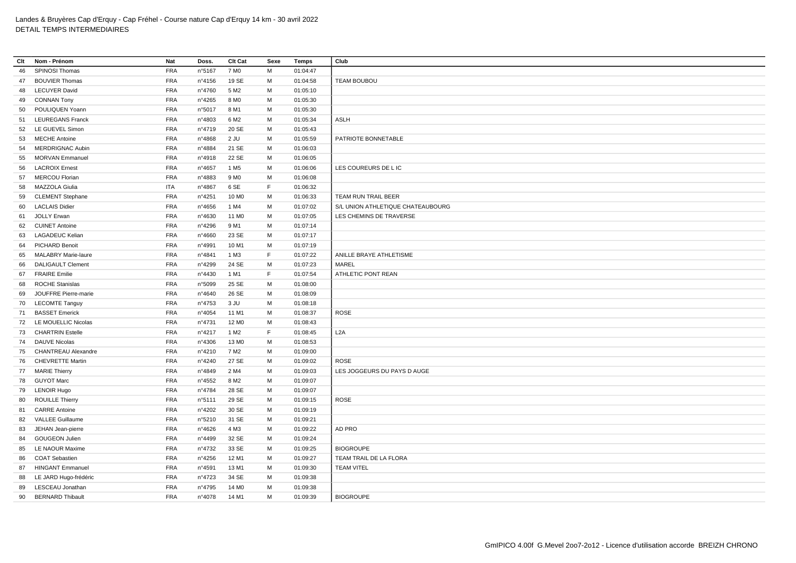| Clt | Nom - Prénom               | Nat        | Doss.  | Clt Cat           | Sexe | <b>Temps</b> | Club                              |
|-----|----------------------------|------------|--------|-------------------|------|--------------|-----------------------------------|
| 46  | SPINOSI Thomas             | <b>FRA</b> | n°5167 | 7 M <sub>0</sub>  | M    | 01:04:47     |                                   |
| 47  | <b>BOUVIER Thomas</b>      | <b>FRA</b> | n°4156 | 19 SE             | M    | 01:04:58     | <b>TEAM BOUBOU</b>                |
| 48  | <b>LECUYER David</b>       | <b>FRA</b> | n°4760 | 5 M <sub>2</sub>  | M    | 01:05:10     |                                   |
| 49  | <b>CONNAN Tony</b>         | <b>FRA</b> | n°4265 | 8 M <sub>0</sub>  | M    | 01:05:30     |                                   |
| 50  | POULIQUEN Yoann            | <b>FRA</b> | n°5017 | 8 M1              | M    | 01:05:30     |                                   |
| 51  | <b>LEUREGANS Franck</b>    | <b>FRA</b> | n°4803 | 6 M <sub>2</sub>  | M    | 01:05:34     | <b>ASLH</b>                       |
| 52  | LE GUEVEL Simon            | <b>FRA</b> | n°4719 | 20 SE             | M    | 01:05:43     |                                   |
| 53  | <b>MECHE Antoine</b>       | <b>FRA</b> | n°4868 | $2$ JU            | M    | 01:05:59     | PATRIOTE BONNETABLE               |
| 54  | MERDRIGNAC Aubin           | <b>FRA</b> | n°4884 | 21 SE             | M    | 01:06:03     |                                   |
| 55  | <b>MORVAN Emmanuel</b>     | <b>FRA</b> | n°4918 | 22 SE             | M    | 01:06:05     |                                   |
| 56  | <b>LACROIX Ernest</b>      | <b>FRA</b> | n°4657 | 1 M <sub>5</sub>  | M    | 01:06:06     | LES COUREURS DE L IC              |
| 57  | <b>MERCOU Florian</b>      | <b>FRA</b> | n°4883 | 9 M <sub>0</sub>  | M    | 01:06:08     |                                   |
| 58  | MAZZOLA Giulia             | <b>ITA</b> | n°4867 | 6 SE              | F.   | 01:06:32     |                                   |
| 59  | <b>CLEMENT Stephane</b>    | <b>FRA</b> | n°4251 | 10 M <sub>0</sub> | M    | 01:06:33     | TEAM RUN TRAIL BEER               |
| 60  | <b>LACLAIS Didier</b>      | <b>FRA</b> | n°4656 | 1 M4              | M    | 01:07:02     | S/L UNION ATHLETIQUE CHATEAUBOURG |
| 61  | <b>JOLLY Erwan</b>         | <b>FRA</b> | n°4630 | 11 M <sub>0</sub> | M    | 01:07:05     | LES CHEMINS DE TRAVERSE           |
| 62  | <b>CUINET Antoine</b>      | <b>FRA</b> | n°4296 | 9 M1              | M    | 01:07:14     |                                   |
| 63  | <b>LAGADEUC Kelian</b>     | <b>FRA</b> | n°4660 | 23 SE             | M    | 01:07:17     |                                   |
| 64  | <b>PICHARD Benoit</b>      | <b>FRA</b> | n°4991 | 10 M1             | M    | 01:07:19     |                                   |
| 65  | <b>MALABRY Marie-laure</b> | <b>FRA</b> | n°4841 | 1 M3              | F.   | 01:07:22     | ANILLE BRAYE ATHLETISME           |
| 66  | <b>DALIGAULT Clement</b>   | <b>FRA</b> | n°4299 | 24 SE             | M    | 01:07:23     | MAREL                             |
| 67  | <b>FRAIRE Emilie</b>       | <b>FRA</b> | n°4430 | 1 M1              | F.   | 01:07:54     | ATHLETIC PONT REAN                |
| 68  | <b>ROCHE Stanislas</b>     | <b>FRA</b> | n°5099 | 25 SE             | M    | 01:08:00     |                                   |
| 69  | JOUFFRE Pierre-marie       | <b>FRA</b> | n°4640 | 26 SE             | M    | 01:08:09     |                                   |
| 70  | <b>LECOMTE Tanguy</b>      | <b>FRA</b> | n°4753 | 3 JU              | M    | 01:08:18     |                                   |
| 71  | <b>BASSET Emerick</b>      | <b>FRA</b> | n°4054 | 11 M1             | M    | 01:08:37     | ROSE                              |
| 72  | LE MOUELLIC Nicolas        | <b>FRA</b> | n°4731 | 12 M <sub>0</sub> | M    | 01:08:43     |                                   |
| 73  | <b>CHARTRIN Estelle</b>    | <b>FRA</b> | n°4217 | 1 M <sub>2</sub>  | F.   | 01:08:45     | L <sub>2</sub> A                  |
| 74  | <b>DAUVE Nicolas</b>       | <b>FRA</b> | n°4306 | 13 M <sub>0</sub> | M    | 01:08:53     |                                   |
| 75  | <b>CHANTREAU Alexandre</b> | <b>FRA</b> | n°4210 | 7 M <sub>2</sub>  | M    | 01:09:00     |                                   |
| 76  | <b>CHEVRETTE Martin</b>    | <b>FRA</b> | n°4240 | 27 SE             | M    | 01:09:02     | <b>ROSE</b>                       |
| 77  | <b>MARIE Thierry</b>       | <b>FRA</b> | n°4849 | 2 M4              | м    | 01:09:03     | LES JOGGEURS DU PAYS D AUGE       |
| 78  | <b>GUYOT Marc</b>          | <b>FRA</b> | n°4552 | 8 M <sub>2</sub>  | M    | 01:09:07     |                                   |
| 79  | <b>LENOIR Hugo</b>         | <b>FRA</b> | n°4784 | 28 SE             | M    | 01:09:07     |                                   |
| 80  | <b>ROUILLE Thierry</b>     | <b>FRA</b> | n°5111 | 29 SE             | M    | 01:09:15     | ROSE                              |
| 81  | <b>CARRE Antoine</b>       | <b>FRA</b> | n°4202 | 30 SE             | м    | 01:09:19     |                                   |
| 82  | <b>VALLEE Guillaume</b>    | <b>FRA</b> | n°5210 | 31 SE             | M    | 01:09:21     |                                   |
| 83  | JEHAN Jean-pierre          | <b>FRA</b> | n°4626 | 4 M3              | м    | 01:09:22     | AD PRO                            |
| 84  | <b>GOUGEON Julien</b>      | <b>FRA</b> | n°4499 | 32 SE             | м    | 01:09:24     |                                   |
| 85  | LE NAOUR Maxime            | <b>FRA</b> | n°4732 | 33 SE             | м    | 01:09:25     | <b>BIOGROUPE</b>                  |
| 86  | <b>COAT Sebastien</b>      | <b>FRA</b> | n°4256 | 12 M1             | м    | 01:09:27     | TEAM TRAIL DE LA FLORA            |
| 87  | <b>HINGANT Emmanuel</b>    | <b>FRA</b> | n°4591 | 13 M1             | м    | 01:09:30     | <b>TEAM VITEL</b>                 |
| 88  | LE JARD Hugo-frédéric      | <b>FRA</b> | n°4723 | 34 SE             | M    | 01:09:38     |                                   |
| 89  | LESCEAU Jonathan           | <b>FRA</b> | n°4795 | 14 M <sub>0</sub> | M    | 01:09:38     |                                   |
| 90  | <b>BERNARD Thibault</b>    | <b>FRA</b> | n°4078 | 14 M1             | M    | 01:09:39     | <b>BIOGROUPE</b>                  |
|     |                            |            |        |                   |      |              |                                   |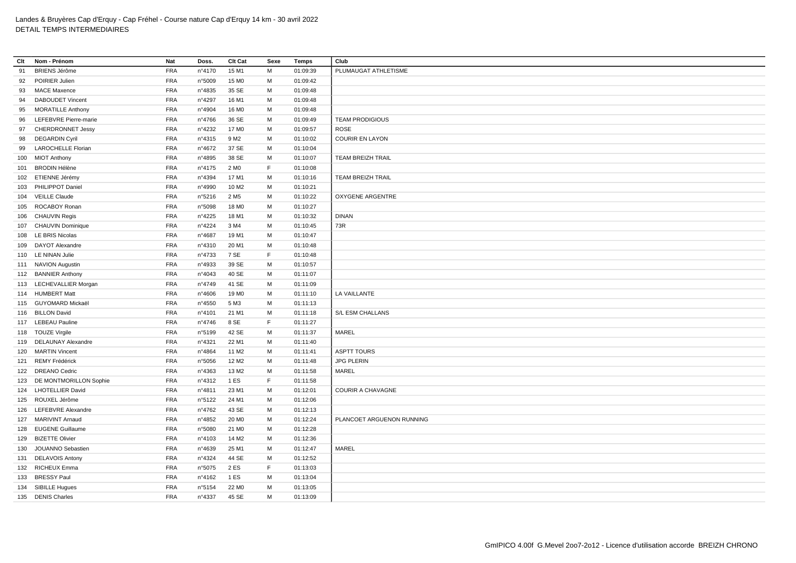| Clt | Nom - Prénom               | Nat        | Doss.           | Clt Cat           | Sexe | Temps    | Club                      |
|-----|----------------------------|------------|-----------------|-------------------|------|----------|---------------------------|
| 91  | <b>BRIENS Jérôme</b>       | <b>FRA</b> | nº4170          | 15 M1             | M    | 01:09:39 | PLUMAUGAT ATHLETISME      |
| 92  | POIRIER Julien             | <b>FRA</b> | n°5009          | 15 M <sub>0</sub> | M    | 01:09:42 |                           |
| 93  | <b>MACE Maxence</b>        | <b>FRA</b> | n°4835          | 35 SE             | М    | 01:09:48 |                           |
| 94  | <b>DABOUDET Vincent</b>    | <b>FRA</b> | n°4297          | 16 M1             | М    | 01:09:48 |                           |
| 95  | <b>MORATILLE Anthony</b>   | <b>FRA</b> | n°4904          | 16 M <sub>0</sub> | М    | 01:09:48 |                           |
| 96  | LEFEBVRE Pierre-marie      | <b>FRA</b> | n°4766          | 36 SE             | M    | 01:09:49 | <b>TEAM PRODIGIOUS</b>    |
| 97  | <b>CHERDRONNET Jessy</b>   | FRA        | n°4232          | 17 M <sub>0</sub> | M    | 01:09:57 | <b>ROSE</b>               |
| 98  | <b>DEGARDIN Cyril</b>      | <b>FRA</b> | n°4315          | 9 M <sub>2</sub>  | М    | 01:10:02 | <b>COURIR EN LAYON</b>    |
| 99  | <b>LAROCHELLE Florian</b>  | <b>FRA</b> | n°4672          | 37 SE             | M    | 01:10:04 |                           |
|     | 100 MIOT Anthony           | <b>FRA</b> | n°4895          | 38 SE             | M    | 01:10:07 | <b>TEAM BREIZH TRAIL</b>  |
|     | 101 BRODIN Hélène          | <b>FRA</b> | $n^{\circ}4175$ | 2 M <sub>0</sub>  | F    | 01:10:08 |                           |
|     | 102 ETIENNE Jérémy         | <b>FRA</b> | n°4394          | 17 M1             | М    | 01:10:16 | <b>TEAM BREIZH TRAIL</b>  |
|     | 103 PHILIPPOT Daniel       | <b>FRA</b> | n°4990          | 10 M <sub>2</sub> | M    | 01:10:21 |                           |
|     | 104 VEILLE Claude          | <b>FRA</b> | n°5216          | 2 M <sub>5</sub>  | М    | 01:10:22 | <b>OXYGENE ARGENTRE</b>   |
|     | 105 ROCABOY Ronan          | <b>FRA</b> | n°5098          | 18 M <sub>0</sub> | м    | 01:10:27 |                           |
|     | 106 CHAUVIN Regis          | <b>FRA</b> | $n^{\circ}4225$ | 18 M1             | M    | 01:10:32 | <b>DINAN</b>              |
|     | 107 CHAUVIN Dominique      | <b>FRA</b> | n°4224          | 3 M4              | M    | 01:10:45 | 73R                       |
|     | 108 LE BRIS Nicolas        | <b>FRA</b> | n°4687          | 19 M1             | M    | 01:10:47 |                           |
|     | 109 DAYOT Alexandre        | <b>FRA</b> | nº4310          | 20 M1             | M    | 01:10:48 |                           |
|     | 110 LE NINAN Julie         | <b>FRA</b> | n°4733          | 7 SE              | F    | 01:10:48 |                           |
|     | 111 NAVION Augustin        | <b>FRA</b> | n°4933          | 39 SE             | М    | 01:10:57 |                           |
|     | 112 BANNIER Anthony        | <b>FRA</b> | n°4043          | 40 SE             | M    | 01:11:07 |                           |
|     | 113 LECHEVALLIER Morgan    | <b>FRA</b> | n°4749          | 41 SE             | M    | 01:11:09 |                           |
|     | 114 HUMBERT Matt           | <b>FRA</b> | n°4606          | 19 M <sub>0</sub> | M    | 01:11:10 | LA VAILLANTE              |
|     | 115 GUYOMARD Mickaël       | <b>FRA</b> | n°4550          | 5 M3              | M    | 01:11:13 |                           |
|     | 116 BILLON David           | <b>FRA</b> | n°4101          | 21 M1             | M    | 01:11:18 | S/L ESM CHALLANS          |
|     | 117 LEBEAU Pauline         | <b>FRA</b> | n°4746          | 8 SE              | F    | 01:11:27 |                           |
|     | 118 TOUZE Virgile          | <b>FRA</b> | n°5199          | 42 SE             | М    | 01:11:37 | <b>MAREL</b>              |
|     | 119 DELAUNAY Alexandre     | <b>FRA</b> | nº4321          | 22 M1             | M    | 01:11:40 |                           |
|     | 120 MARTIN Vincent         | <b>FRA</b> | n°4864          | 11 M <sub>2</sub> | М    | 01:11:41 | <b>ASPTT TOURS</b>        |
|     | 121 REMY Frédérick         | <b>FRA</b> | n°5056          | 12 M <sub>2</sub> | M    | 01:11:48 | <b>JPG PLERIN</b>         |
|     | 122 DREANO Cedric          | <b>FRA</b> | n°4363          | 13 M2             | М    | 01:11:58 | MAREL                     |
|     | 123 DE MONTMORILLON Sophie | <b>FRA</b> | $n^{\circ}4312$ | 1 ES              | F    | 01:11:58 |                           |
|     | 124 LHOTELLIER David       | <b>FRA</b> | n°4811          | 23 M1             | М    | 01:12:01 | <b>COURIR A CHAVAGNE</b>  |
|     | 125 ROUXEL Jérôme          | <b>FRA</b> | n°5122          | 24 M1             | M    | 01:12:06 |                           |
|     | 126 LEFEBVRE Alexandre     | <b>FRA</b> | n°4762          | 43 SE             | М    | 01:12:13 |                           |
|     | 127 MARIVINT Arnaud        | <b>FRA</b> | n°4852          | 20 M <sub>0</sub> | M    | 01:12:24 | PLANCOET ARGUENON RUNNING |
|     | 128 EUGENE Guillaume       | <b>FRA</b> | n°5080          | 21 M <sub>0</sub> | м    | 01:12:28 |                           |
|     | 129 BIZETTE Olivier        | <b>FRA</b> | n°4103          | 14 M <sub>2</sub> | М    | 01:12:36 |                           |
| 130 | JOUANNO Sebastien          | <b>FRA</b> | n°4639          | 25 M1             | М    | 01:12:47 | MAREL                     |
|     | 131 DELAVOIS Antony        | <b>FRA</b> | n°4324          | 44 SE             | М    | 01:12:52 |                           |
|     | 132 RICHEUX Emma           | <b>FRA</b> | n°5075          | 2 ES              | F    | 01:13:03 |                           |
|     | 133 BRESSY Paul            | <b>FRA</b> | n°4162          | 1 ES              | M    | 01:13:04 |                           |
|     | 134 SIBILLE Hugues         | <b>FRA</b> | n°5154          | 22 M <sub>0</sub> | M    | 01:13:05 |                           |
|     | 135 DENIS Charles          | <b>FRA</b> | n°4337          | 45 SE             | М    | 01:13:09 |                           |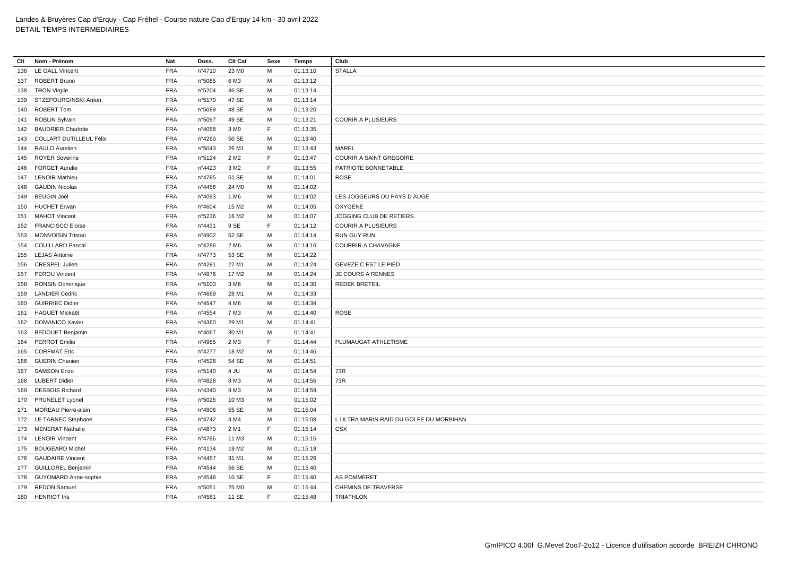| Clt | Nom - Prénom                | Nat        | Doss.           | Clt Cat           | Sexe | Temps    | Club                                    |
|-----|-----------------------------|------------|-----------------|-------------------|------|----------|-----------------------------------------|
| 136 | <b>LE GALL Vincent</b>      | <b>FRA</b> | nº4710          | 23 MO             | M    | 01:13:10 | <b>STALLA</b>                           |
|     | 137 ROBERT Bruno            | <b>FRA</b> | n°5085          | 6 M3              | M    | 01:13:12 |                                         |
|     | 138 TRON Virgile            | <b>FRA</b> | n°5204          | 46 SE             | м    | 01:13:14 |                                         |
|     | 139 STZEPOURGINSKI Anton    | <b>FRA</b> | n°5170          | 47 SE             | M    | 01:13:14 |                                         |
|     | 140 ROBERT Tom              | <b>FRA</b> | n°5089          | 48 SE             | м    | 01:13:20 |                                         |
|     | 141 ROBLIN Sylvain          | <b>FRA</b> | n°5097          | 49 SE             | M    | 01:13:21 | <b>COURIR A PLUSIEURS</b>               |
|     | 142 BAUDRIER Charlotte      | <b>FRA</b> | n°4058          | 3 M <sub>0</sub>  | F    | 01:13:35 |                                         |
|     | 143 COLLART DUTILLEUL Félix | <b>FRA</b> | n°4260          | 50 SE             | M    | 01:13:40 |                                         |
|     | 144 RAULO Aurelien          | <b>FRA</b> | n°5043          | 26 M1             | M    | 01:13:43 | <b>MAREL</b>                            |
|     | 145 ROYER Severine          | <b>FRA</b> | n°5124          | 2 M <sub>2</sub>  | F    | 01:13:47 | COURIR A SAINT GREGOIRE                 |
| 146 | <b>FORGET Aurelie</b>       | <b>FRA</b> | n°4423          | 3 M <sub>2</sub>  | F    | 01:13:55 | PATRIOTE BONNETABLE                     |
|     | 147 LENOIR Mathieu          | <b>FRA</b> | n°4785          | 51 SE             | M    | 01:14:01 | <b>ROSE</b>                             |
| 148 | <b>GAUDIN Nicolas</b>       | FRA        | n°4458          | 24 M <sub>0</sub> | M    | 01:14:02 |                                         |
| 149 | <b>BEUGIN Joel</b>          | <b>FRA</b> | n°4093          | 1 M6              | М    | 01:14:02 | LES JOGGEURS DU PAYS D AUGE             |
|     | 150 HUCHET Erwan            | <b>FRA</b> | n°4604          | 15 M2             | M    | 01:14:05 | <b>OXYGENE</b>                          |
|     | 151 MAHOT Vincent           | <b>FRA</b> | n°5236          | 16 M <sub>2</sub> | M    | 01:14:07 | JOGGING CLUB DE RETIERS                 |
|     | 152 FRANCISCO Eloïse        | <b>FRA</b> | n°4431          | 9 SE              | F    | 01:14:12 | <b>COURIR A PLUSIEURS</b>               |
|     | 153 MONVOISIN Tristan       | <b>FRA</b> | n°4902          | 52 SE             | м    | 01:14:14 | <b>RUN GUY RUN</b>                      |
|     | 154 COUILLARD Pascal        | <b>FRA</b> | n°4286          | 2 M <sub>6</sub>  | M    | 01:14:16 | <b>COURRIR A CHAVAGNE</b>               |
|     | 155 LEJAS Antoine           | <b>FRA</b> | n°4773          | 53 SE             | M    | 01:14:22 |                                         |
|     | 156 CRESPEL Julien          | <b>FRA</b> | n°4291          | 27 M1             | M    | 01:14:24 | GEVEZE C EST LE PIED                    |
| 157 | <b>PEROU Vincent</b>        | <b>FRA</b> | n°4976          | 17 M <sub>2</sub> | M    | 01:14:24 | JE COURS A RENNES                       |
| 158 | <b>RONSIN Dominique</b>     | <b>FRA</b> | n°5103          | 3 M6              | M    | 01:14:30 | <b>REDEK BRETEIL</b>                    |
|     | 159 LANDIER Cedric          | <b>FRA</b> | n°4669          | 28 M1             | M    | 01:14:33 |                                         |
| 160 | <b>GUIRRIEC Didier</b>      | <b>FRA</b> | n°4547          | 4 M <sub>6</sub>  | M    | 01:14:34 |                                         |
|     | 161 HAGUET Mickaël          | <b>FRA</b> | n°4554          | 7 M3              | M    | 01:14:40 | <b>ROSE</b>                             |
| 162 | <b>DOMANICO Xavier</b>      | <b>FRA</b> | n°4360          | 29 M1             | М    | 01:14:41 |                                         |
|     | 163 BEDOUET Benjamin        | <b>FRA</b> | n°4067          | 30 M1             | M    | 01:14:41 |                                         |
|     | 164 PERROT Emilie           | <b>FRA</b> | n°4985          | 2 M3              | F    | 01:14:44 | PLUMAUGAT ATHLETISME                    |
| 165 | <b>CORFMAT Eric</b>         | <b>FRA</b> | n°4277          | 18 M2             | M    | 01:14:46 |                                         |
| 166 | <b>GUERIN Chanien</b>       | <b>FRA</b> | $n^{\circ}4528$ | 54 SE             | M    | 01:14:51 |                                         |
| 167 | <b>SAMSON Enzo</b>          | <b>FRA</b> | n°5140          | 4 JU              | M    | 01:14:54 | 73R                                     |
|     | 168 LUBERT Didier           | <b>FRA</b> | n°4828          | 8 M3              | M    | 01:14:56 | 73R                                     |
| 169 | <b>DESBOIS Richard</b>      | <b>FRA</b> | nº4340          | 9 M3              | M    | 01:14:59 |                                         |
|     | 170 PRUNELET Lyonel         | <b>FRA</b> | n°5025          | 10 M3             | М    | 01:15:02 |                                         |
|     | 171 MOREAU Pierre-alain     | <b>FRA</b> | n°4906          | 55 SE             | M    | 01:15:04 |                                         |
|     | 172 LE TARNEC Stephane      | FRA        | n°4742          | 4 M4              | M    | 01:15:08 | L ULTRA MARIN RAID DU GOLFE DU MORBIHAN |
|     | 173 MENERAT Nathalie        | <b>FRA</b> | n°4873          | 2 M1              | F    | 01:15:14 | CSX                                     |
|     | 174 LENOIR Vincent          | <b>FRA</b> | n°4786          | 11 M3             | M    | 01:15:15 |                                         |
|     | 175 BOUGEARD Michel         | <b>FRA</b> | n°4134          | 19 M <sub>2</sub> | М    | 01:15:18 |                                         |
|     | 176 GAUDAIRE Vincent        | <b>FRA</b> | n°4457          | 31 M1             | M    | 01:15:26 |                                         |
|     | 177 GUILLOREL Benjamin      | <b>FRA</b> | $n^{\circ}4544$ | 56 SE             | М    | 01:15:40 |                                         |
| 178 | <b>GUYOMARD Anne-sophie</b> | <b>FRA</b> | $n^{\circ}4548$ | 10 SE             | F    | 01:15:40 | <b>AS POMMERET</b>                      |
|     | 179 REDON Samuel            | <b>FRA</b> | n°5051          | 25 M <sub>0</sub> | M    | 01:15:44 | <b>CHEMINS DE TRAVERSE</b>              |
| 180 | <b>HENRIOT Iris</b>         | <b>FRA</b> | n°4581          | 11 SE             | F.   | 01:15:48 | <b>TRIATHLON</b>                        |
|     |                             |            |                 |                   |      |          |                                         |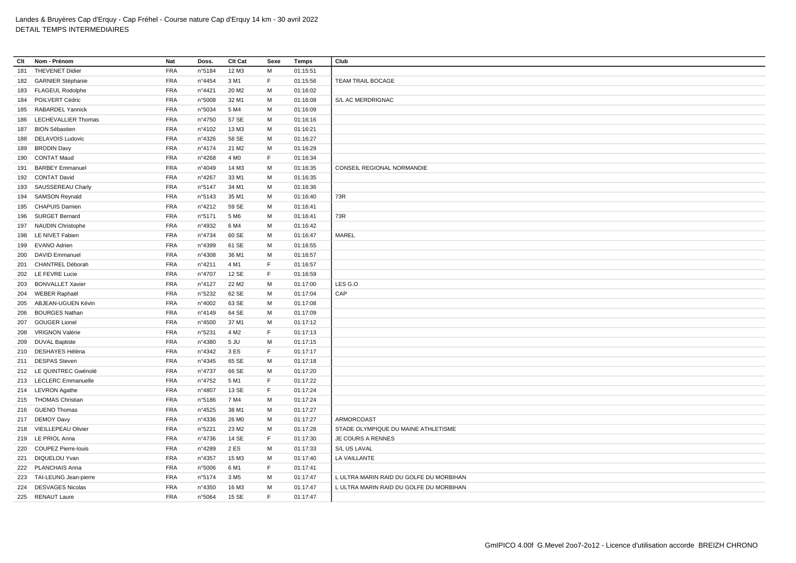| Clt | Nom - Prénom                                    | Nat                      | Doss.            | Clt Cat           | Sexe    | <b>Temps</b> | Club                                                                               |
|-----|-------------------------------------------------|--------------------------|------------------|-------------------|---------|--------------|------------------------------------------------------------------------------------|
| 181 | <b>THEVENET Didier</b>                          | <b>FRA</b>               | n°5184           | 12 M3             | M       | 01:15:51     |                                                                                    |
|     | 182 GARNIER Stéphanie                           | <b>FRA</b>               | n°4454           | 3 M1              | F       | 01:15:56     | <b>TEAM TRAIL BOCAGE</b>                                                           |
|     | 183 FLAGEUL Rodolphe                            | <b>FRA</b>               | n°4421           | 20 M <sub>2</sub> | М       | 01:16:02     |                                                                                    |
|     | 184 POILVERT Cédric                             | <b>FRA</b>               | n°5008           | 32 M1             | M       | 01:16:08     | S/L AC MERDRIGNAC                                                                  |
| 185 | <b>RABARDEL Yannick</b>                         | <b>FRA</b>               | n°5034           | 5 M4              | М       | 01:16:09     |                                                                                    |
| 186 | <b>LECHEVALLIER Thomas</b>                      | <b>FRA</b>               | n°4750           | 57 SE             | M       | 01:16:16     |                                                                                    |
| 187 | <b>BION Sébastien</b>                           | <b>FRA</b>               | nº4102           | 13 M3             | М       | 01:16:21     |                                                                                    |
| 188 | <b>DELAVOIS Ludovic</b>                         | <b>FRA</b>               | n°4326           | 58 SE             | M       | 01:16:27     |                                                                                    |
| 189 | <b>BRODIN Davy</b>                              | <b>FRA</b>               | nº4174           | 21 M <sub>2</sub> | М       | 01:16:29     |                                                                                    |
| 190 | <b>CONTAT Maud</b>                              | <b>FRA</b>               | n°4268           | 4 M <sub>0</sub>  | F       | 01:16:34     |                                                                                    |
| 191 | <b>BARBEY Emmanuel</b>                          | <b>FRA</b>               | n°4049           | 14 M3             | M       | 01:16:35     | CONSEIL REGIONAL NORMANDIE                                                         |
|     | 192 CONTAT David                                | <b>FRA</b>               | n°4267           | 33 M1             | М       | 01:16:35     |                                                                                    |
|     | 193 SAUSSEREAU Charly                           | <b>FRA</b>               | n°5147           | 34 M1             | M       | 01:16:36     |                                                                                    |
| 194 | <b>SAMSON Reynald</b>                           | <b>FRA</b>               | n°5143           | 35 M1             | М       | 01:16:40     | 73R                                                                                |
|     | 195 CHAPUIS Damien                              | <b>FRA</b>               | $n^{\circ}4212$  | 59 SE             | M       | 01:16:41     |                                                                                    |
| 196 | <b>SURGET Bernard</b>                           | <b>FRA</b>               | n°5171           | 5 M <sub>6</sub>  | М       | 01:16:41     | 73R                                                                                |
| 197 | <b>NAUDIN Christophe</b>                        | <b>FRA</b>               | n°4932           | 6 M4              | М       | 01:16:42     |                                                                                    |
|     | 198 LE NIVET Fabien                             | FRA                      | n°4734           | 60 SE             | M       | 01:16:47     | MAREL                                                                              |
| 199 | <b>EVANO Adrien</b>                             | <b>FRA</b>               | n°4399           | 61 SE             | М       | 01:16:55     |                                                                                    |
| 200 | <b>DAVID Emmanuel</b>                           | <b>FRA</b>               | n°4308           | 36 M1             | M       | 01:16:57     |                                                                                    |
| 201 | CHANTREL Déborah                                | <b>FRA</b>               | n°4211           | 4 M1              | F.      | 01:16:57     |                                                                                    |
|     | 202 LE FEVRE Lucie                              | <b>FRA</b>               | n°4707           | 12 SE             | F       | 01:16:59     |                                                                                    |
| 203 | <b>BONVALLET Xavier</b>                         | <b>FRA</b>               | n°4127           | 22 M <sub>2</sub> | M       | 01:17:00     | LES G.O                                                                            |
|     | 204 WEBER Raphaël                               | <b>FRA</b>               | n°5232           | 62 SE             | M       | 01:17:04     | CAP                                                                                |
| 205 | ABJEAN-UGUEN Kévin                              | <b>FRA</b>               | n°4002           | 63 SE             | М       | 01:17:08     |                                                                                    |
| 206 | <b>BOURGES Nathan</b>                           | <b>FRA</b>               | n°4149           | 64 SE             | M       | 01:17:09     |                                                                                    |
| 207 | <b>GOUGER Lionel</b>                            | <b>FRA</b>               | n°4500           | 37 M1             | М       | 01:17:12     |                                                                                    |
|     | 208 VRIGNON Valérie                             | FRA                      | n°5231           | 4 M <sub>2</sub>  | F       | 01:17:13     |                                                                                    |
| 209 | <b>DUVAL Baptiste</b>                           | <b>FRA</b>               | n°4380           | 5 JU              | M       | 01:17:15     |                                                                                    |
| 210 | DESHAYES Hélèna                                 | <b>FRA</b>               | n°4342           | 3 ES              | F.      | 01:17:17     |                                                                                    |
| 211 | <b>DESPAS Steven</b>                            | <b>FRA</b>               | $n^{\circ}$ 4345 | 65 SE             | M       | 01:17:18     |                                                                                    |
|     | 212 LE QUINTREC Gwénolé                         | <b>FRA</b>               | n°4737           | 66 SE             | М       | 01:17:20     |                                                                                    |
|     | 213 LECLERC Emmanuelle                          | <b>FRA</b>               | $n^{\circ}4752$  | 5 M1              | F       | 01:17:22     |                                                                                    |
|     | 214 LEVRON Agathe                               | <b>FRA</b>               | n°4807           | 13 SE             | F       | 01:17:24     |                                                                                    |
|     | 215 THOMAS Christian                            | <b>FRA</b>               | n°5186           | 7 M4              | M       | 01:17:24     |                                                                                    |
|     | 216 GUENO Thomas                                | <b>FRA</b>               | $n^{\circ}4525$  | 38 M1             | м       | 01:17:27     |                                                                                    |
|     | 217 DEMOY Davy                                  | <b>FRA</b>               | $n^{\circ}$ 4336 | 26 M <sub>0</sub> | M       | 01:17:27     | <b>ARMORCOAST</b>                                                                  |
|     |                                                 | <b>FRA</b>               |                  |                   |         |              |                                                                                    |
|     | 218 VIEILLEPEAU Olivier                         |                          | n°5221           | 23 M <sub>2</sub> | м<br>F. | 01:17:28     | STADE OLYMPIQUE DU MAINE ATHLETISME                                                |
|     | 219 LE PRIOL Anna<br><b>COUPEZ Pierre-louis</b> | <b>FRA</b><br><b>FRA</b> | n°4736           | 14 SE<br>2 ES     | М       | 01:17:30     | JE COURS A RENNES                                                                  |
| 220 |                                                 |                          | n°4289           |                   |         | 01:17:33     | S/L US LAVAL                                                                       |
| 221 | DIQUELOU Yvan                                   | <b>FRA</b>               | n°4357           | 15 M3             | М<br>F  | 01:17:40     | LA VAILLANTE                                                                       |
|     | 222 PLANCHAIS Anna                              | <b>FRA</b>               | n°5006           | 6 M1              | М       | 01:17:41     |                                                                                    |
|     | 223 TAI-LEUNG Jean-pierre                       | <b>FRA</b><br><b>FRA</b> | n°5174           | 3 M <sub>5</sub>  | M       | 01:17:47     | L ULTRA MARIN RAID DU GOLFE DU MORBIHAN<br>L ULTRA MARIN RAID DU GOLFE DU MORBIHAN |
| 224 | <b>DESVAGES Nicolas</b>                         |                          | nº4350           | 16 M3             |         | 01:17:47     |                                                                                    |
|     | 225 RENAUT Laure                                | <b>FRA</b>               | n°5064           | 15 SE             | F       | 01:17:47     |                                                                                    |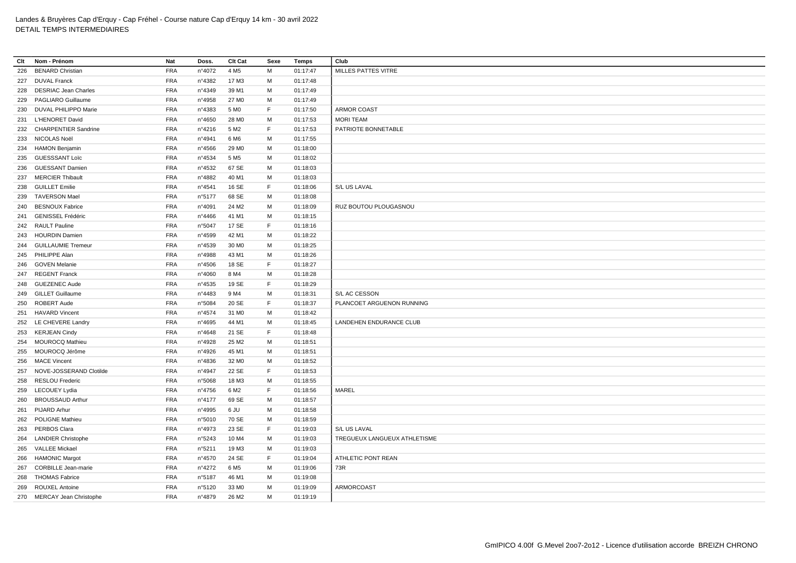| Clt | Nom - Prénom                | <b>Nat</b> | Doss.  | Clt Cat           | Sexe        | <b>Temps</b> | Club                         |
|-----|-----------------------------|------------|--------|-------------------|-------------|--------------|------------------------------|
| 226 | <b>BENARD Christian</b>     | <b>FRA</b> | n°4072 | 4 M <sub>5</sub>  | M           | 01:17:47     | MILLES PATTES VITRE          |
|     | 227 DUVAL Franck            | <b>FRA</b> | n°4382 | 17 M3             | M           | 01:17:48     |                              |
| 228 | <b>DESRIAC Jean Charles</b> | <b>FRA</b> | n°4349 | 39 M1             | М           | 01:17:49     |                              |
| 229 | PAGLIARO Guillaume          | <b>FRA</b> | n°4958 | 27 M <sub>0</sub> | M           | 01:17:49     |                              |
|     | 230 DUVAL PHILIPPO Marie    | <b>FRA</b> | n°4383 | 5 MO              | $\mathsf F$ | 01:17:50     | ARMOR COAST                  |
| 231 | L'HENORET David             | <b>FRA</b> | n°4650 | 28 M <sub>0</sub> | м           | 01:17:53     | <b>MORI TEAM</b>             |
|     | 232 CHARPENTIER Sandrine    | <b>FRA</b> | n°4216 | 5 M <sub>2</sub>  | E           | 01:17:53     | PATRIOTE BONNETABLE          |
|     | 233 NICOLAS Noël            | <b>FRA</b> | n°4941 | 6 M <sub>6</sub>  | м           | 01:17:55     |                              |
|     | 234 HAMON Benjamin          | <b>FRA</b> | n°4566 | 29 M <sub>0</sub> | M           | 01:18:00     |                              |
|     | 235 GUESSSANT Loïc          | <b>FRA</b> | n°4534 | 5 M <sub>5</sub>  | M           | 01:18:02     |                              |
| 236 | <b>GUESSANT Damien</b>      | <b>FRA</b> | n°4532 | 67 SE             | M           | 01:18:03     |                              |
|     | 237 MERCIER Thibault        | <b>FRA</b> | n°4882 | 40 M1             | м           | 01:18:03     |                              |
| 238 | <b>GUILLET Emilie</b>       | <b>FRA</b> | n°4541 | 16 SE             | E           | 01:18:06     | S/L US LAVAL                 |
| 239 | <b>TAVERSON Mael</b>        | <b>FRA</b> | n°5177 | 68 SE             | M           | 01:18:08     |                              |
| 240 | <b>BESNOUX Fabrice</b>      | <b>FRA</b> | n°4091 | 24 M <sub>2</sub> | M           | 01:18:09     | RUZ BOUTOU PLOUGASNOU        |
| 241 | <b>GENISSEL Frédéric</b>    | <b>FRA</b> | n°4466 | 41 M1             | M           | 01:18:15     |                              |
|     | 242 RAULT Pauline           | <b>FRA</b> | n°5047 | 17 SE             | E           | 01:18:16     |                              |
|     | 243 HOURDIN Damien          | <b>FRA</b> | n°4599 | 42 M1             | M           | 01:18:22     |                              |
|     | 244 GUILLAUMIE Tremeur      | <b>FRA</b> | n°4539 | 30 M <sub>0</sub> | М           | 01:18:25     |                              |
|     | 245 PHILIPPE Alan           | <b>FRA</b> | n°4988 | 43 M1             | м           | 01:18:26     |                              |
|     | 246 GOVEN Melanie           | <b>FRA</b> | n°4506 | 18 SE             | F           | 01:18:27     |                              |
| 247 | <b>REGENT Franck</b>        | <b>FRA</b> | n°4060 | 8 M4              | M           | 01:18:28     |                              |
|     | 248 GUEZENEC Aude           | <b>FRA</b> | n°4535 | 19 SE             | $\mathsf F$ | 01:18:29     |                              |
| 249 | <b>GILLET Guillaume</b>     | <b>FRA</b> | n°4483 | 9 M4              | M           | 01:18:31     | S/L AC CESSON                |
|     | 250 ROBERT Aude             | <b>FRA</b> | n°5084 | 20 SE             | E           | 01:18:37     | PLANCOET ARGUENON RUNNING    |
| 251 | <b>HAVARD Vincent</b>       | <b>FRA</b> | n°4574 | 31 M <sub>0</sub> | M           | 01:18:42     |                              |
|     | 252 LE CHEVERE Landry       | <b>FRA</b> | n°4695 | 44 M1             | M           | 01:18:45     | LANDEHEN ENDURANCE CLUB      |
|     | 253 KERJEAN Cindy           | <b>FRA</b> | n°4648 | 21 SE             | F           | 01:18:48     |                              |
| 254 | <b>MOUROCQ Mathieu</b>      | <b>FRA</b> | n°4928 | 25 M <sub>2</sub> | м           | 01:18:51     |                              |
|     | 255 MOUROCQ Jérôme          | <b>FRA</b> | n°4926 | 45 M1             | M           | 01:18:51     |                              |
| 256 | <b>MACE Vincent</b>         | <b>FRA</b> | n°4836 | 32 M <sub>0</sub> | M           | 01:18:52     |                              |
|     | 257 NOVE-JOSSERAND Clotilde | <b>FRA</b> | n°4947 | 22 SE             | E           | 01:18:53     |                              |
|     | 258 RESLOU Frederic         | <b>FRA</b> | n°5068 | 18 M3             | M           | 01:18:55     |                              |
|     | 259 LECOUEY Lydia           | <b>FRA</b> | n°4756 | 6 M <sub>2</sub>  | F           | 01:18:56     | MAREL                        |
| 260 | <b>BROUSSAUD Arthur</b>     | <b>FRA</b> | n°4177 | 69 SE             | M           | 01:18:57     |                              |
| 261 | <b>PIJARD Arhur</b>         | <b>FRA</b> | n°4995 | 6 JU              | м           | 01:18:58     |                              |
|     | 262 POLIGNE Mathieu         | <b>FRA</b> | n°5010 | 70 SE             | M           | 01:18:59     |                              |
|     | 263 PERBOS Clara            | <b>FRA</b> | n°4973 | 23 SE             | F           | 01:19:03     | S/L US LAVAL                 |
|     | 264 LANDIER Christophe      | <b>FRA</b> | n°5243 | 10 M4             | M           | 01:19:03     | TREGUEUX LANGUEUX ATHLETISME |
| 265 | VALLEE Mickael              | <b>FRA</b> | n°5211 | 19 M3             | M           | 01:19:03     |                              |
|     | 266 HAMONIC Margot          | <b>FRA</b> | n°4570 | 24 SE             | E           | 01:19:04     | ATHLETIC PONT REAN           |
| 267 | <b>CORBILLE Jean-marie</b>  | <b>FRA</b> | n°4272 | 6 M <sub>5</sub>  | M           | 01:19:06     | 73R                          |
| 268 | <b>THOMAS Fabrice</b>       | <b>FRA</b> | n°5187 | 46 M1             | м           | 01:19:08     |                              |
| 269 | <b>ROUXEL Antoine</b>       | <b>FRA</b> | n°5120 | 33 M <sub>0</sub> | M           | 01:19:09     | <b>ARMORCOAST</b>            |
|     | 270 MERCAY Jean Christophe  | <b>FRA</b> | n°4879 | 26 M <sub>2</sub> | M           | 01:19:19     |                              |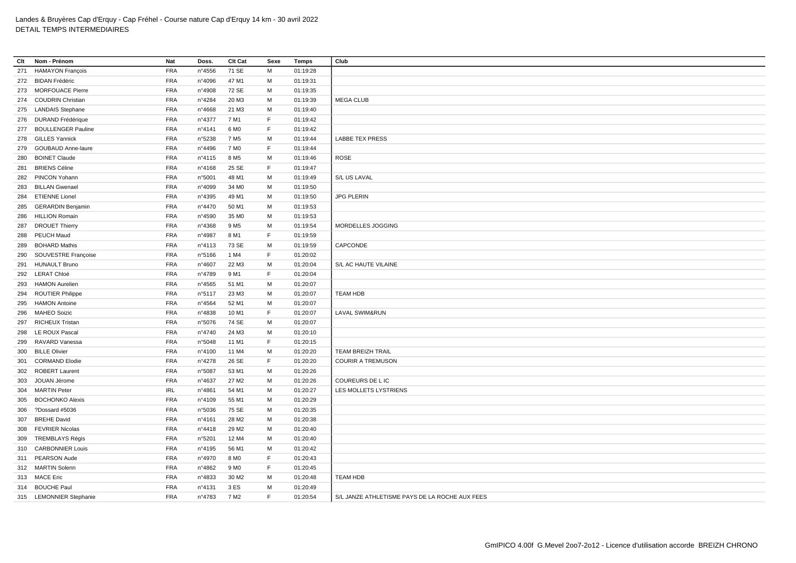| Clt | Nom - Prénom              | Nat        | Doss.           | Clt Cat           | Sexe    | <b>Temps</b> | Club                                           |
|-----|---------------------------|------------|-----------------|-------------------|---------|--------------|------------------------------------------------|
| 271 | <b>HAMAYON François</b>   | <b>FRA</b> | n°4556          | 71 SE             | М       | 01:19:28     |                                                |
|     | 272 BIDAN Frédéric        | <b>FRA</b> | n°4096          | 47 M1             | М       | 01:19:31     |                                                |
|     | 273 MORFOUACE Pierre      | <b>FRA</b> | n°4908          | 72 SE             | М       | 01:19:35     |                                                |
|     | 274 COUDRIN Christian     | <b>FRA</b> | n°4284          | 20 M3             | М       | 01:19:39     | <b>MEGA CLUB</b>                               |
|     | 275 LANDAIS Stephane      | <b>FRA</b> | n°4668          | 21 M3             | M       | 01:19:40     |                                                |
|     | 276 DURAND Frédérique     | <b>FRA</b> | n°4377          | 7 M1              | F       | 01:19:42     |                                                |
| 277 | <b>BOULLENGER Pauline</b> | <b>FRA</b> | n°4141          | 6 M <sub>0</sub>  | F       | 01:19:42     |                                                |
| 278 | <b>GILLES Yannick</b>     | <b>FRA</b> | n°5238          | 7 M <sub>5</sub>  | М       | 01:19:44     | <b>LABBE TEX PRESS</b>                         |
| 279 | <b>GOUBAUD Anne-laure</b> | <b>FRA</b> | n°4496          | 7 M <sub>0</sub>  | F       | 01:19:44     |                                                |
| 280 | <b>BOINET Claude</b>      | <b>FRA</b> | n°4115          | 8 M <sub>5</sub>  | M       | 01:19:46     | <b>ROSE</b>                                    |
| 281 | <b>BRIENS Céline</b>      | <b>FRA</b> | n°4168          | 25 SE             | F       | 01:19:47     |                                                |
| 282 | PINCON Yohann             | <b>FRA</b> | n°5001          | 48 M1             | М       | 01:19:49     | S/L US LAVAL                                   |
| 283 | <b>BILLAN Gwenael</b>     | <b>FRA</b> | n°4099          | 34 M <sub>0</sub> | M       | 01:19:50     |                                                |
| 284 | <b>ETIENNE Lionel</b>     | <b>FRA</b> | n°4395          | 49 M1             | М       | 01:19:50     | <b>JPG PLERIN</b>                              |
| 285 | <b>GERARDIN Benjamin</b>  | <b>FRA</b> | n°4470          | 50 M1             | M       | 01:19:53     |                                                |
| 286 | <b>HILLION Romain</b>     | <b>FRA</b> | n°4590          | 35 MO             | м       | 01:19:53     |                                                |
| 287 | <b>DROUET Thierry</b>     | <b>FRA</b> | n°4368          | 9 M <sub>5</sub>  | М       | 01:19:54     | MORDELLES JOGGING                              |
| 288 | PEUCH Maud                | <b>FRA</b> | n°4987          | 8 M1              | F       | 01:19:59     |                                                |
| 289 | <b>BOHARD Mathis</b>      | <b>FRA</b> | $n^{\circ}4113$ | 73 SE             | M       | 01:19:59     | CAPCONDE                                       |
| 290 | SOUVESTRE Françoise       | <b>FRA</b> | n°5166          | 1 M4              | F       | 01:20:02     |                                                |
| 291 | <b>HUNAULT Bruno</b>      | <b>FRA</b> | n°4607          | 22 M3             | M       | 01:20:04     | S/L AC HAUTE VILAINE                           |
|     | 292 LERAT Chloé           | <b>FRA</b> | n°4789          | 9 M1              | F       | 01:20:04     |                                                |
|     |                           | FRA        |                 |                   | M       |              |                                                |
| 293 | <b>HAMON Aurelien</b>     | <b>FRA</b> | $n^{\circ}4565$ | 51 M1             |         | 01:20:07     |                                                |
| 294 | <b>ROUTIER Philippe</b>   |            | n°5117          | 23 M3             | М<br>M  | 01:20:07     | <b>TEAM HDB</b>                                |
| 295 | <b>HAMON Antoine</b>      | <b>FRA</b> | n°4564          | 52 M1             | F       | 01:20:07     |                                                |
| 296 | <b>MAHEO Soizic</b>       | <b>FRA</b> | n°4838          | 10 M1<br>74 SE    | M       | 01:20:07     | <b>LAVAL SWIM&amp;RUN</b>                      |
| 297 | <b>RICHEUX Tristan</b>    | <b>FRA</b> | n°5076          |                   |         | 01:20:07     |                                                |
|     | 298 LE ROUX Pascal        | FRA        | n°4740          | 24 M3             | м<br>F. | 01:20:10     |                                                |
| 299 | RAVARD Vanessa            | <b>FRA</b> | n°5048          | 11 M1             |         | 01:20:15     | <b>TEAM BREIZH TRAIL</b>                       |
| 300 | <b>BILLE Olivier</b>      | <b>FRA</b> | nº4100          | 11 M4             | М<br>F  | 01:20:20     |                                                |
| 301 | <b>CORMAND Elodie</b>     | <b>FRA</b> | n°4278          | 26 SE             |         | 01:20:20     | <b>COURIR A TREMUSON</b>                       |
|     | 302 ROBERT Laurent        | <b>FRA</b> | n°5087          | 53 M1             | M       | 01:20:26     |                                                |
| 303 | JOUAN Jérome              | <b>FRA</b> | n°4637          | 27 M <sub>2</sub> | м       | 01:20:26     | COUREURS DE L IC                               |
|     | 304 MARTIN Peter          | <b>IRL</b> | n°4861          | 54 M1             | M       | 01:20:27     | LES MOLLETS LYSTRIENS                          |
| 305 | <b>BOCHONKO Alexis</b>    | <b>FRA</b> | n°4109          | 55 M1             | M       | 01:20:29     |                                                |
| 306 | ?Dossard #5036            | <b>FRA</b> | n°5036          | 75 SE             | м       | 01:20:35     |                                                |
| 307 | <b>BREHE David</b>        | <b>FRA</b> | n°4161          | 28 M2             | M       | 01:20:38     |                                                |
| 308 | <b>FEVRIER Nicolas</b>    | <b>FRA</b> | $n^{\circ}4418$ | 29 M <sub>2</sub> | M       | 01:20:40     |                                                |
| 309 | TREMBLAYS Régis           | <b>FRA</b> | n°5201          | 12 M4             | м       | 01:20:40     |                                                |
|     | 310 CARBONNIER Louis      | <b>FRA</b> | n°4195          | 56 M1             | M       | 01:20:42     |                                                |
| 311 | PEARSON Aude              | <b>FRA</b> | n°4970          | 8 M <sub>0</sub>  | F       | 01:20:43     |                                                |
|     | 312 MARTIN Solenn         | <b>FRA</b> | n°4862          | 9 M <sub>0</sub>  | F.      | 01:20:45     |                                                |
|     | 313 MACE Eric             | <b>FRA</b> | n°4833          | 30 M <sub>2</sub> | М       | 01:20:48     | <b>TEAM HDB</b>                                |
|     | 314 BOUCHE Paul           | <b>FRA</b> | n°4131          | 3 ES              | M       | 01:20:49     |                                                |
|     | 315 LEMONNIER Stephanie   | <b>FRA</b> | n°4783          | 7 M <sub>2</sub>  | E       | 01:20:54     | S/L JANZE ATHLETISME PAYS DE LA ROCHE AUX FEES |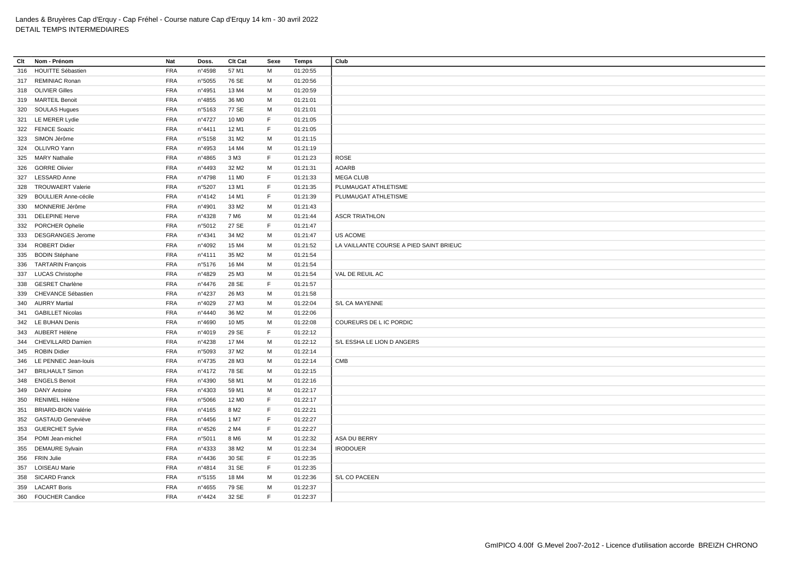| Clt | Nom - Prénom                | Nat        | Doss.  | Clt Cat           | Sexe | Temps    | Club                                    |
|-----|-----------------------------|------------|--------|-------------------|------|----------|-----------------------------------------|
| 316 | <b>HOUITTE Sébastien</b>    | <b>FRA</b> | n°4598 | 57 M1             | M    | 01:20:55 |                                         |
|     | 317 REMINIAC Ronan          | <b>FRA</b> | n°5055 | 76 SE             | М    | 01:20:56 |                                         |
|     | 318 OLIVIER Gilles          | <b>FRA</b> | n°4951 | 13 M4             | м    | 01:20:59 |                                         |
|     | 319 MARTEIL Benoit          | <b>FRA</b> | n°4855 | 36 M <sub>0</sub> | M    | 01:21:01 |                                         |
|     | 320 SOULAS Hugues           | <b>FRA</b> | n°5163 | 77 SE             | M    | 01:21:01 |                                         |
|     | 321 LE MERER Lydie          | <b>FRA</b> | n°4727 | 10 M <sub>0</sub> | F.   | 01:21:05 |                                         |
|     | 322 FENICE Soazic           | FRA        | n°4411 | 12 M1             | F.   | 01:21:05 |                                         |
|     | 323 SIMON Jérôme            | <b>FRA</b> | n°5158 | 31 M <sub>2</sub> | м    | 01:21:15 |                                         |
|     | 324 OLLIVRO Yann            | <b>FRA</b> | n°4953 | 14 M4             | м    | 01:21:19 |                                         |
| 325 | <b>MARY Nathalie</b>        | <b>FRA</b> | n°4865 | 3 M3              | F.   | 01:21:23 | <b>ROSE</b>                             |
|     | 326 GORRE Olivier           | FRA        | n°4493 | 32 M <sub>2</sub> | м    | 01:21:31 | <b>AOARB</b>                            |
|     | 327 LESSARD Anne            | <b>FRA</b> | n°4798 | 11 M <sub>0</sub> | E    | 01:21:33 | <b>MEGA CLUB</b>                        |
| 328 | <b>TROUWAERT Valerie</b>    | <b>FRA</b> | n°5207 | 13 M1             | F    | 01:21:35 | PLUMAUGAT ATHLETISME                    |
| 329 | <b>BOULLIER Anne-cécile</b> | <b>FRA</b> | n°4142 | 14 M1             | F    | 01:21:39 | PLUMAUGAT ATHLETISME                    |
| 330 | MONNERIE Jérôme             | FRA        | n°4901 | 33 M2             | M    | 01:21:43 |                                         |
| 331 | <b>DELEPINE Herve</b>       | <b>FRA</b> | n°4328 | 7 M <sub>6</sub>  | M    | 01:21:44 | <b>ASCR TRIATHLON</b>                   |
|     | 332 PORCHER Ophelie         | <b>FRA</b> | n°5012 | 27 SE             | E    | 01:21:47 |                                         |
| 333 | <b>DESGRANGES Jerome</b>    | <b>FRA</b> | n°4341 | 34 M2             | M    | 01:21:47 | US ACOME                                |
| 334 | <b>ROBERT Didier</b>        | <b>FRA</b> | n°4092 | 15 M4             | M    | 01:21:52 | LA VAILLANTE COURSE A PIED SAINT BRIEUC |
|     | 335 BODIN Stéphane          | <b>FRA</b> | nº4111 | 35 M2             | M    | 01:21:54 |                                         |
| 336 | <b>TARTARIN François</b>    | <b>FRA</b> | n°5176 | 16 M4             | M    | 01:21:54 |                                         |
|     | 337 LUCAS Christophe        | <b>FRA</b> | n°4829 | 25 M3             | М    | 01:21:54 | VAL DE REUIL AC                         |
| 338 | <b>GESRET Charlène</b>      | <b>FRA</b> | n°4476 | 28 SE             | F.   | 01:21:57 |                                         |
| 339 | CHEVANCE Sébastien          | <b>FRA</b> | n°4237 | 26 M3             | М    | 01:21:58 |                                         |
|     | 340 AURRY Martial           | <b>FRA</b> | n°4029 | 27 M3             | м    | 01:22:04 | S/L CA MAYENNE                          |
|     | 341 GABILLET Nicolas        | <b>FRA</b> | n°4440 | 36 M <sub>2</sub> | M    | 01:22:06 |                                         |
|     | 342 LE BUHAN Denis          | <b>FRA</b> | n°4690 | 10 M <sub>5</sub> | М    | 01:22:08 | COUREURS DE L IC PORDIC                 |
|     | 343 AUBERT Hélène           | <b>FRA</b> | n°4019 | 29 SE             | F.   | 01:22:12 |                                         |
|     | 344 CHEVILLARD Damien       | <b>FRA</b> | n°4238 | 17 M4             | M    | 01:22:12 | S/L ESSHA LE LION D ANGERS              |
|     | 345 ROBIN Didier            | <b>FRA</b> | n°5093 | 37 M2             | м    | 01:22:14 |                                         |
|     | 346 LE PENNEC Jean-louis    | <b>FRA</b> | n°4735 | 28 M3             | м    | 01:22:14 | <b>CMB</b>                              |
| 347 | <b>BRILHAULT Simon</b>      | <b>FRA</b> | n°4172 | 78 SE             | м    | 01:22:15 |                                         |
|     | 348 ENGELS Benoit           | FRA        | n°4390 | 58 M1             | М    | 01:22:16 |                                         |
| 349 | <b>DANY Antoine</b>         | <b>FRA</b> | n°4303 | 59 M1             | M    | 01:22:17 |                                         |
|     | 350 RENIMEL Hélène          | FRA        | n°5066 | 12 M <sub>0</sub> | F    | 01:22:17 |                                         |
| 351 | <b>BRIARD-BION Valérie</b>  | <b>FRA</b> | n°4165 | 8 M <sub>2</sub>  | F    | 01:22:21 |                                         |
| 352 | <b>GASTAUD Geneviève</b>    | <b>FRA</b> | n°4456 | 1 M7              | F    | 01:22:27 |                                         |
| 353 | <b>GUERCHET Sylvie</b>      | <b>FRA</b> | n°4526 | 2 M4              | F    | 01:22:27 |                                         |
| 354 | POMI Jean-michel            | <b>FRA</b> | n°5011 | 8 M <sub>6</sub>  | м    | 01:22:32 | ASA DU BERRY                            |
|     | 355 DEMAURE Sylvain         | <b>FRA</b> | n°4333 | 38 M2             | M    | 01:22:34 | <b>IRODOUER</b>                         |
|     | 356 FRIN Julie              | <b>FRA</b> | n°4436 | 30 SE             | F.   | 01:22:35 |                                         |
|     | 357 LOISEAU Marie           | <b>FRA</b> | n°4814 | 31 SE             | F.   | 01:22:35 |                                         |
| 358 | <b>SICARD Franck</b>        | <b>FRA</b> | n°5155 | 18 M4             | м    | 01:22:36 | S/L CO PACEEN                           |
|     | 359 LACART Boris            | <b>FRA</b> | n°4655 | 79 SE             | M    | 01:22:37 |                                         |
|     | 360 FOUCHER Candice         | <b>FRA</b> | n°4424 | 32 SE             | F.   | 01:22:37 |                                         |
|     |                             |            |        |                   |      |          |                                         |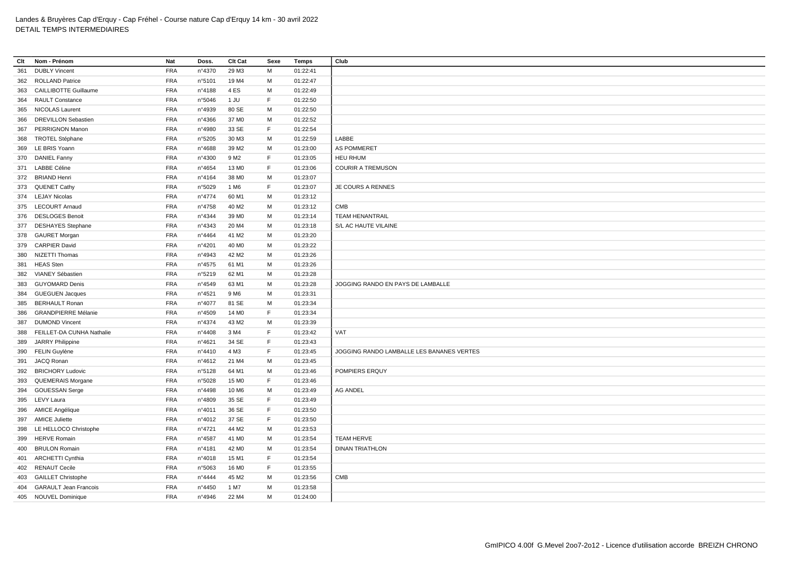| Clt | Nom - Prénom                 | Nat        | Doss.  | Clt Cat           | Sexe        | Temps    | Club                                      |
|-----|------------------------------|------------|--------|-------------------|-------------|----------|-------------------------------------------|
| 361 | <b>DUBLY Vincent</b>         | FRA        | n°4370 | 29 M3             | M           | 01:22:41 |                                           |
|     | 362 ROLLAND Patrice          | <b>FRA</b> | n°5101 | 19 M4             | M           | 01:22:47 |                                           |
| 363 | <b>CAILLIBOTTE Guillaume</b> | <b>FRA</b> | n°4188 | 4ES               | M           | 01:22:49 |                                           |
| 364 | <b>RAULT Constance</b>       | FRA        | n°5046 | 1 JU              | F           | 01:22:50 |                                           |
|     | 365 NICOLAS Laurent          | <b>FRA</b> | n°4939 | 80 SE             | M           | 01:22:50 |                                           |
| 366 | <b>DREVILLON Sebastien</b>   | <b>FRA</b> | n°4366 | 37 M <sub>0</sub> | M           | 01:22:52 |                                           |
|     | 367 PERRIGNON Manon          | <b>FRA</b> | n°4980 | 33 SE             | $\mathsf F$ | 01:22:54 |                                           |
| 368 | <b>TROTEL Stéphane</b>       | <b>FRA</b> | n°5205 | 30 M3             | M           | 01:22:59 | LABBE                                     |
|     | 369 LE BRIS Yoann            | <b>FRA</b> | n°4688 | 39 M2             | М           | 01:23:00 | AS POMMERET                               |
|     | 370 DANIEL Fanny             | <b>FRA</b> | n°4300 | 9 M <sub>2</sub>  | $\mathsf F$ | 01:23:05 | <b>HEU RHUM</b>                           |
|     | 371 LABBE Céline             | <b>FRA</b> | n°4654 | 13 MO             | $\mathsf F$ | 01:23:06 | <b>COURIR A TREMUSON</b>                  |
|     | 372 BRIAND Henri             | <b>FRA</b> | n°4164 | 38 MO             | M           | 01:23:07 |                                           |
|     | 373 QUENET Cathy             | <b>FRA</b> | n°5029 | 1 M <sub>6</sub>  | F           | 01:23:07 | <b>JE COURS A RENNES</b>                  |
|     | 374 LEJAY Nicolas            | FRA        | n°4774 | 60 M1             | M           | 01:23:12 |                                           |
|     | 375 LECOURT Arnaud           | <b>FRA</b> | n°4758 | 40 M <sub>2</sub> | M           | 01:23:12 | CMB                                       |
|     | 376 DESLOGES Benoit          | <b>FRA</b> | n°4344 | 39 MO             | M           | 01:23:14 | <b>TEAM HENANTRAIL</b>                    |
| 377 | <b>DESHAYES Stephane</b>     | <b>FRA</b> | n°4343 | 20 M4             | M           | 01:23:18 | S/L AC HAUTE VILAINE                      |
|     | 378 GAURET Morgan            | <b>FRA</b> | n°4464 | 41 M <sub>2</sub> | M           | 01:23:20 |                                           |
| 379 | <b>CARPIER David</b>         | <b>FRA</b> | nº4201 | 40 M <sub>0</sub> | M           | 01:23:22 |                                           |
|     | 380 NIZETTI Thomas           | <b>FRA</b> | n°4943 | 42 M <sub>2</sub> | M           | 01:23:26 |                                           |
| 381 | <b>HEAS Sten</b>             | <b>FRA</b> | n°4575 | 61 M1             | M           | 01:23:26 |                                           |
| 382 | VIANEY Sébastien             | <b>FRA</b> | n°5219 | 62 M1             | M           | 01:23:28 |                                           |
| 383 | <b>GUYOMARD Denis</b>        | <b>FRA</b> | n°4549 | 63 M1             | M           | 01:23:28 | JOGGING RANDO EN PAYS DE LAMBALLE         |
| 384 | <b>GUEGUEN Jacques</b>       | <b>FRA</b> | n°4521 | 9 M <sub>6</sub>  | M           | 01:23:31 |                                           |
| 385 | <b>BERHAULT Ronan</b>        | <b>FRA</b> | nº4077 | 81 SE             | M           | 01:23:34 |                                           |
| 386 | <b>GRANDPIERRE Mélanie</b>   | FRA        | n°4509 | 14 M <sub>0</sub> | F           | 01:23:34 |                                           |
| 387 | <b>DUMOND Vincent</b>        | <b>FRA</b> | nº4374 | 43 M2             | M           | 01:23:39 |                                           |
| 388 | FEILLET-DA CUNHA Nathalie    | FRA        | n°4408 | 3 M4              | F           | 01:23:42 | VAT                                       |
| 389 | <b>JARRY Philippine</b>      | <b>FRA</b> | n°4621 | 34 SE             | E           | 01:23:43 |                                           |
|     | 390 FELIN Guylène            | <b>FRA</b> | n°4410 | 4 M3              | F           | 01:23:45 | JOGGING RANDO LAMBALLE LES BANANES VERTES |
| 391 | JACQ Ronan                   | <b>FRA</b> | n°4612 | 21 M4             | M           | 01:23:45 |                                           |
| 392 | <b>BRICHORY Ludovic</b>      | <b>FRA</b> | n°5128 | 64 M1             | M           | 01:23:46 | POMPIERS ERQUY                            |
| 393 | <b>QUEMERAIS Morgane</b>     | <b>FRA</b> | n°5028 | 15 M <sub>0</sub> | $\mathsf F$ | 01:23:46 |                                           |
|     | 394 GOUESSAN Serge           | <b>FRA</b> | n°4498 | 10 M6             | M           | 01:23:49 | <b>AG ANDEL</b>                           |
| 395 | LEVY Laura                   | <b>FRA</b> | n°4809 | 35 SE             | F           | 01:23:49 |                                           |
|     | 396 AMICE Angélique          | FRA        | n°4011 | 36 SE             | $\mathsf F$ | 01:23:50 |                                           |
| 397 | <b>AMICE Juliette</b>        | <b>FRA</b> | n°4012 | 37 SE             | $\mathsf F$ | 01:23:50 |                                           |
|     | 398 LE HELLOCO Christophe    | <b>FRA</b> | nº4721 | 44 M2             | M           | 01:23:53 |                                           |
| 399 | <b>HERVE Romain</b>          | <b>FRA</b> | n°4587 | 41 M <sub>0</sub> | M           | 01:23:54 | <b>TEAM HERVE</b>                         |
|     | 400 BRULON Romain            | <b>FRA</b> | n°4181 | 42 MO             | M           | 01:23:54 | <b>DINAN TRIATHLON</b>                    |
|     | 401 ARCHETTI Cynthia         | <b>FRA</b> | n°4018 | 15 M1             | $\mathsf F$ | 01:23:54 |                                           |
|     | 402 RENAUT Cecile            | <b>FRA</b> | n°5063 | 16 MO             | F           | 01:23:55 |                                           |
|     | 403 GAILLET Christophe       | <b>FRA</b> | n°4444 | 45 M2             | M           | 01:23:56 | CMB                                       |
| 404 | <b>GARAULT Jean Francois</b> | <b>FRA</b> | n°4450 | 1 M7              | M           | 01:23:58 |                                           |
|     | 405 NOUVEL Dominique         | <b>FRA</b> | n°4946 | 22 M4             | M           | 01:24:00 |                                           |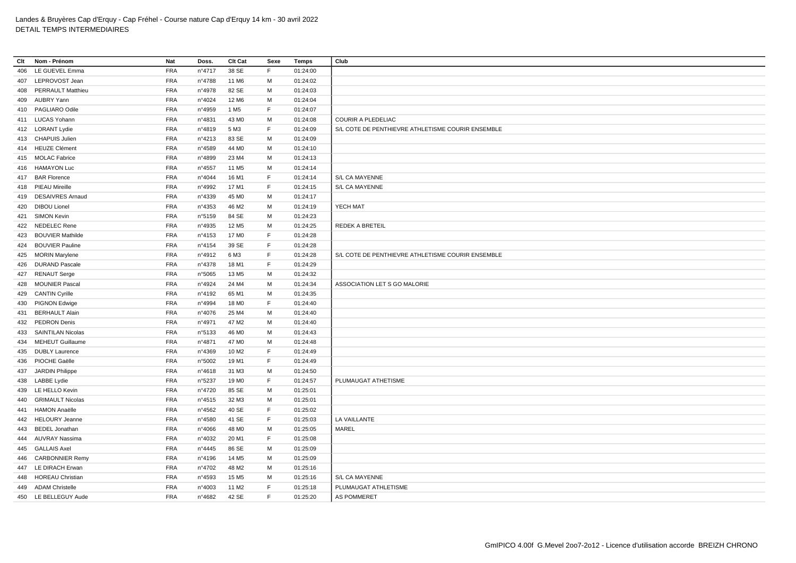| Clt | Nom - Prénom             | Nat        | Doss.           | Clt Cat           | Sexe | <b>Temps</b> | Club                                              |
|-----|--------------------------|------------|-----------------|-------------------|------|--------------|---------------------------------------------------|
| 406 | LE GUEVEL Emma           | <b>FRA</b> | n°4717          | 38 SE             | F.   | 01:24:00     |                                                   |
| 407 | LEPROVOST Jean           | <b>FRA</b> | n°4788          | 11 M6             | м    | 01:24:02     |                                                   |
| 408 | <b>PERRAULT Matthieu</b> | <b>FRA</b> | n°4978          | 82 SE             | м    | 01:24:03     |                                                   |
| 409 | AUBRY Yann               | <b>FRA</b> | n°4024          | 12 M <sub>6</sub> | M    | 01:24:04     |                                                   |
|     | 410 PAGLIARO Odile       | <b>FRA</b> | n°4959          | 1 M <sub>5</sub>  | F.   | 01:24:07     |                                                   |
|     | 411 LUCAS Yohann         | <b>FRA</b> | n°4831          | 43 M <sub>0</sub> | M    | 01:24:08     | COURIR A PLEDELIAC                                |
|     | 412 LORANT Lydie         | <b>FRA</b> | n°4819          | 5 M3              | E    | 01:24:09     | S/L COTE DE PENTHIEVRE ATHLETISME COURIR ENSEMBLE |
| 413 | <b>CHAPUIS Julien</b>    | <b>FRA</b> | n°4213          | 83 SE             | М    | 01:24:09     |                                                   |
|     | 414 HEUZE Clément        | <b>FRA</b> | n°4589          | 44 M <sub>0</sub> | M    | 01:24:10     |                                                   |
|     | 415 MOLAC Fabrice        | <b>FRA</b> | n°4899          | 23 M4             | М    | 01:24:13     |                                                   |
| 416 | <b>HAMAYON Luc</b>       | <b>FRA</b> | n°4557          | 11 M <sub>5</sub> | M    | 01:24:14     |                                                   |
|     | 417 BAR Florence         | <b>FRA</b> | n°4044          | 16 M1             | F.   | 01:24:14     | S/L CA MAYENNE                                    |
|     | 418 PIEAU Mireille       | <b>FRA</b> | n°4992          | 17 M1             | F.   | 01:24:15     | S/L CA MAYENNE                                    |
| 419 | <b>DESAIVRES Arnaud</b>  | <b>FRA</b> | n°4339          | 45 M <sub>0</sub> | м    | 01:24:17     |                                                   |
| 420 | <b>DIBOU Lionel</b>      | <b>FRA</b> | n°4353          | 46 M <sub>2</sub> | м    | 01:24:19     | YECH MAT                                          |
| 421 | <b>SIMON Kevin</b>       | <b>FRA</b> | n°5159          | 84 SE             | м    | 01:24:23     |                                                   |
|     | 422 NEDELEC Rene         | <b>FRA</b> | n°4935          | 12 M <sub>5</sub> | M    | 01:24:25     | <b>REDEK A BRETEIL</b>                            |
| 423 | <b>BOUVIER Mathilde</b>  | <b>FRA</b> | n°4153          | 17 M <sub>0</sub> | F.   | 01:24:28     |                                                   |
| 424 | <b>BOUVIER Pauline</b>   | <b>FRA</b> | n°4154          | 39 SE             | F    | 01:24:28     |                                                   |
| 425 | <b>MORIN Marylene</b>    | <b>FRA</b> | n°4912          | 6 M3              | F.   | 01:24:28     | S/L COTE DE PENTHIEVRE ATHLETISME COURIR ENSEMBLE |
| 426 | <b>DURAND Pascale</b>    | <b>FRA</b> | n°4378          | 18 M1             | F    | 01:24:29     |                                                   |
| 427 | <b>RENAUT Serge</b>      | <b>FRA</b> | n°5065          | 13 M <sub>5</sub> | M    | 01:24:32     |                                                   |
| 428 | <b>MOUNIER Pascal</b>    | <b>FRA</b> | n°4924          | 24 M4             | M    | 01:24:34     | ASSOCIATION LET S GO MALORIE                      |
| 429 | <b>CANTIN Cyrille</b>    | <b>FRA</b> | n°4192          | 65 M1             | M    | 01:24:35     |                                                   |
| 430 | PIGNON Edwige            | <b>FRA</b> | n°4994          | 18 M <sub>0</sub> | F    | 01:24:40     |                                                   |
| 431 | <b>BERHAULT Alain</b>    | <b>FRA</b> | n°4076          | 25 M4             | M    | 01:24:40     |                                                   |
| 432 | <b>PEDRON Denis</b>      | <b>FRA</b> | n°4971          | 47 M2             | М    | 01:24:40     |                                                   |
| 433 | <b>SAINTILAN Nicolas</b> | <b>FRA</b> | n°5133          | 46 M <sub>0</sub> | м    | 01:24:43     |                                                   |
| 434 | <b>MEHEUT Guillaume</b>  | <b>FRA</b> | n°4871          | 47 M <sub>0</sub> | м    | 01:24:48     |                                                   |
| 435 | <b>DUBLY Laurence</b>    | <b>FRA</b> | n°4369          | 10 M <sub>2</sub> | F    | 01:24:49     |                                                   |
| 436 | PIOCHE Gaëlle            | <b>FRA</b> | n°5002          | 19 M1             | F.   | 01:24:49     |                                                   |
| 437 | JARDIN Philippe          | <b>FRA</b> | n°4618          | 31 M3             | M    | 01:24:50     |                                                   |
| 438 | <b>LABBE Lydie</b>       | <b>FRA</b> | n°5237          | 19 M <sub>0</sub> | F.   | 01:24:57     | PLUMAUGAT ATHETISME                               |
| 439 | LE HELLO Kevin           | <b>FRA</b> | n°4720          | 85 SE             | M    | 01:25:01     |                                                   |
| 440 | <b>GRIMAULT Nicolas</b>  | <b>FRA</b> | n°4515          | 32 M3             | M    | 01:25:01     |                                                   |
| 441 | <b>HAMON Anaëlle</b>     | <b>FRA</b> | n°4562          | 40 SE             | F    | 01:25:02     |                                                   |
| 442 | <b>HELOURY Jeanne</b>    | <b>FRA</b> | n°4580          | 41 SE             | F.   | 01:25:03     | LA VAILLANTE                                      |
| 443 | <b>BEDEL Jonathan</b>    | <b>FRA</b> | n°4066          | 48 M <sub>0</sub> | M    | 01:25:05     | MAREL                                             |
| 444 | AUVRAY Nassima           | <b>FRA</b> | n°4032          | 20 M1             | F.   | 01:25:08     |                                                   |
| 445 | <b>GALLAIS Axel</b>      | <b>FRA</b> | $n^{\circ}4445$ | 86 SE             | М    | 01:25:09     |                                                   |
| 446 | <b>CARBONNIER Remy</b>   | <b>FRA</b> | n°4196          | 14 M <sub>5</sub> | M    | 01:25:09     |                                                   |
| 447 | LE DIRACH Erwan          | <b>FRA</b> | n°4702          | 48 M2             | М    | 01:25:16     |                                                   |
| 448 | <b>HOREAU Christian</b>  | <b>FRA</b> | n°4593          | 15 M <sub>5</sub> | M    | 01:25:16     | S/L CA MAYENNE                                    |
| 449 | <b>ADAM Christelle</b>   | <b>FRA</b> | n°4003          | 11 M <sub>2</sub> | E    | 01:25:18     | PLUMAUGAT ATHLETISME                              |
| 450 | LE BELLEGUY Aude         | <b>FRA</b> | n°4682          | 42 SE             | F.   | 01:25:20     | AS POMMERET                                       |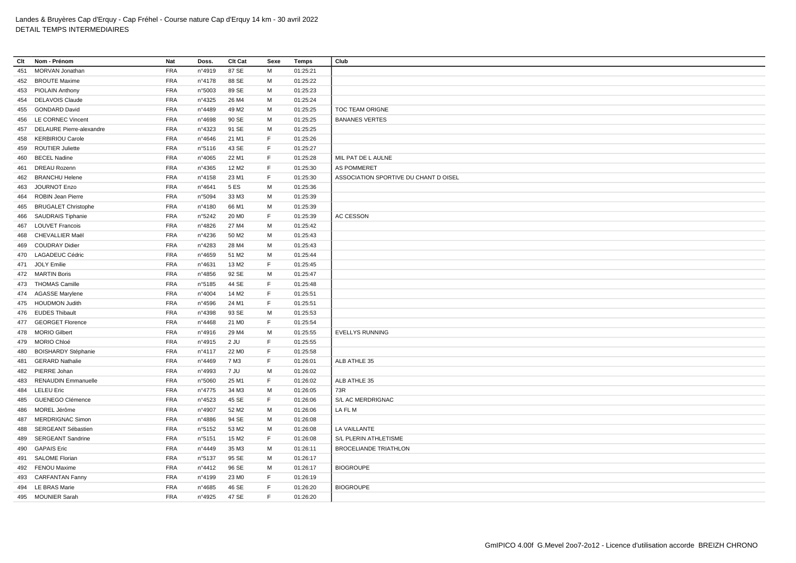| Clt | Nom - Prénom                 | Nat        | Doss.           | Clt Cat           | Sexe        | <b>Temps</b> | Club                                  |
|-----|------------------------------|------------|-----------------|-------------------|-------------|--------------|---------------------------------------|
| 451 | MORVAN Jonathan              | <b>FRA</b> | n°4919          | 87 SE             | M           | 01:25:21     |                                       |
|     | 452 BROUTE Maxime            | <b>FRA</b> | nº4178          | 88 SE             | M           | 01:25:22     |                                       |
|     | 453 PIOLAIN Anthony          | <b>FRA</b> | n°5003          | 89 SE             | M           | 01:25:23     |                                       |
| 454 | <b>DELAVOIS Claude</b>       | <b>FRA</b> | n°4325          | 26 M4             | M           | 01:25:24     |                                       |
| 455 | <b>GONDARD David</b>         | <b>FRA</b> | n°4489          | 49 M <sub>2</sub> | M           | 01:25:25     | TOC TEAM ORIGNE                       |
|     | 456 LE CORNEC Vincent        | <b>FRA</b> | n°4698          | 90 SE             | M           | 01:25:25     | <b>BANANES VERTES</b>                 |
|     | 457 DELAURE Pierre-alexandre | <b>FRA</b> | n°4323          | 91 SE             | M           | 01:25:25     |                                       |
| 458 | <b>KERBIRIOU Carole</b>      | <b>FRA</b> | n°4646          | 21 M1             | F           | 01:25:26     |                                       |
|     | 459 ROUTIER Juliette         | <b>FRA</b> | n°5116          | 43 SE             | F           | 01:25:27     |                                       |
| 460 | <b>BECEL Nadine</b>          | <b>FRA</b> | n°4065          | 22 M1             | F           | 01:25:28     | MIL PAT DE L AULNE                    |
| 461 | DREAU Rozenn                 | <b>FRA</b> | n°4365          | 12 M <sub>2</sub> | F           | 01:25:30     | <b>AS POMMERET</b>                    |
| 462 | <b>BRANCHU Helene</b>        | <b>FRA</b> | n°4158          | 23 M1             | F           | 01:25:30     | ASSOCIATION SPORTIVE DU CHANT D OISEL |
| 463 | <b>JOURNOT Enzo</b>          | <b>FRA</b> | n°4641          | 5 ES              | M           | 01:25:36     |                                       |
| 464 | ROBIN Jean Pierre            | <b>FRA</b> | n°5094          | 33 M3             | M           | 01:25:39     |                                       |
|     | 465 BRUGALET Christophe      | <b>FRA</b> | n°4180          | 66 M1             | M           | 01:25:39     |                                       |
| 466 | <b>SAUDRAIS Tiphanie</b>     | <b>FRA</b> | n°5242          | 20 M <sub>0</sub> | F           | 01:25:39     | AC CESSON                             |
| 467 | <b>LOUVET Francois</b>       | <b>FRA</b> | n°4826          | 27 M4             | M           | 01:25:42     |                                       |
| 468 | CHEVALLIER Maël              | <b>FRA</b> | n°4236          | 50 M2             | M           | 01:25:43     |                                       |
| 469 | <b>COUDRAY Didier</b>        | <b>FRA</b> | n°4283          | 28 M4             | M           | 01:25:43     |                                       |
|     | 470 LAGADEUC Cédric          | <b>FRA</b> | n°4659          | 51 M2             | M           | 01:25:44     |                                       |
| 471 | <b>JOLY Emilie</b>           | <b>FRA</b> | n°4631          | 13 M2             | F           | 01:25:45     |                                       |
|     | 472 MARTIN Boris             | <b>FRA</b> | n°4856          | 92 SE             | M           | 01:25:47     |                                       |
|     | 473 THOMAS Camille           | <b>FRA</b> | n°5185          | 44 SE             | F           | 01:25:48     |                                       |
|     | 474 AGASSE Marylene          | <b>FRA</b> | n°4004          | 14 M <sub>2</sub> | $\mathsf F$ | 01:25:51     |                                       |
|     | 475 HOUDMON Judith           | <b>FRA</b> | n°4596          | 24 M1             | F           | 01:25:51     |                                       |
|     | 476 EUDES Thibault           | <b>FRA</b> | n°4398          | 93 SE             | M           | 01:25:53     |                                       |
|     | 477 GEORGET Florence         | <b>FRA</b> | n°4468          | 21 M <sub>0</sub> | F           | 01:25:54     |                                       |
|     | 478 MORIO Gilbert            | <b>FRA</b> | n°4916          | 29 M4             | м           | 01:25:55     | <b>EVELLYS RUNNING</b>                |
|     | 479 MORIO Chloé              | <b>FRA</b> | n°4915          | $2$ JU            | F           | 01:25:55     |                                       |
| 480 | <b>BOISHARDY Stéphanie</b>   | <b>FRA</b> | n°4117          | 22 M <sub>0</sub> | F           | 01:25:58     |                                       |
|     | 481 GERARD Nathalie          | <b>FRA</b> | n°4469          | 7 M3              | F           | 01:26:01     | ALB ATHLE 35                          |
| 482 | PIERRE Johan                 | <b>FRA</b> | n°4993          | 7 JU              | M           | 01:26:02     |                                       |
| 483 | <b>RENAUDIN Emmanuelle</b>   | <b>FRA</b> | n°5060          | 25 M1             | F           | 01:26:02     | ALB ATHLE 35                          |
| 484 | <b>LELEU Eric</b>            | <b>FRA</b> | $n^{\circ}4775$ | 34 M3             | M           | 01:26:05     | 73R                                   |
|     | 485 GUENEGO Clémence         | <b>FRA</b> | n°4523          | 45 SE             | F           | 01:26:06     | S/L AC MERDRIGNAC                     |
|     | 486 MOREL Jérôme             | <b>FRA</b> | n°4907          | 52 M2             | M           | 01:26:06     | LA FL M                               |
|     | 487 MERDRIGNAC Simon         | <b>FRA</b> | n°4886          | 94 SE             | M           | 01:26:08     |                                       |
| 488 | SERGEANT Sébastien           | <b>FRA</b> | n°5152          | 53 M2             | M           | 01:26:08     | LA VAILLANTE                          |
| 489 | <b>SERGEANT Sandrine</b>     | <b>FRA</b> | n°5151          | 15 M2             | F           | 01:26:08     | S/L PLERIN ATHLETISME                 |
| 490 | <b>GAPAIS Eric</b>           | <b>FRA</b> | n°4449          | 35 M3             | М           | 01:26:11     | <b>BROCELIANDE TRIATHLON</b>          |
|     | 491 SALOME Florian           | <b>FRA</b> | n°5137          | 95 SE             | М           | 01:26:17     |                                       |
|     | 492 FENOU Maxime             | <b>FRA</b> | n°4412          | 96 SE             | M           | 01:26:17     | <b>BIOGROUPE</b>                      |
| 493 | <b>CARFANTAN Fanny</b>       | <b>FRA</b> | n°4199          | 23 M <sub>0</sub> | F           | 01:26:19     |                                       |
|     | 494 LE BRAS Marie            | <b>FRA</b> | n°4685          | 46 SE             | F           | 01:26:20     | <b>BIOGROUPE</b>                      |
|     | 495 MOUNIER Sarah            | <b>FRA</b> | n°4925          | 47 SE             | F           | 01:26:20     |                                       |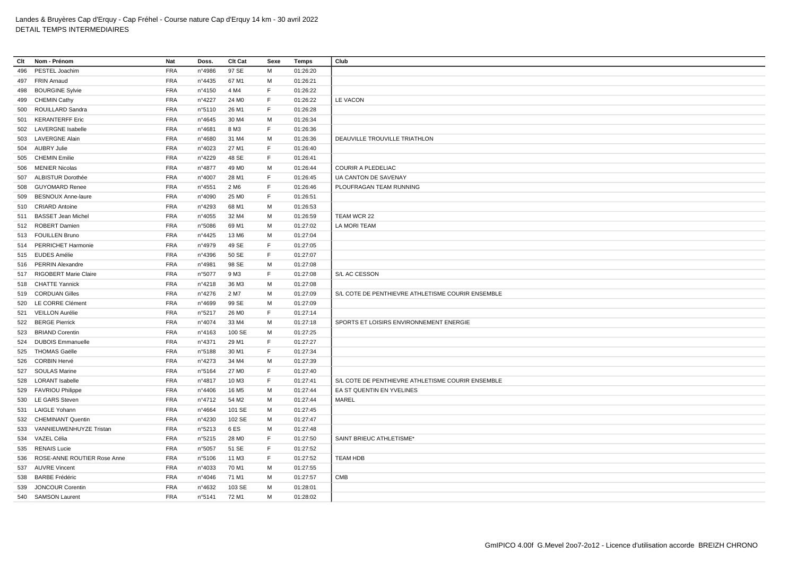| Clt | Nom - Prénom                | Nat        | Doss.            | Clt Cat           | Sexe | <b>Temps</b> | Club                                              |
|-----|-----------------------------|------------|------------------|-------------------|------|--------------|---------------------------------------------------|
| 496 | PESTEL Joachim              | <b>FRA</b> | n°4986           | 97 SE             | М    | 01:26:20     |                                                   |
|     | 497 FRIN Arnaud             | <b>FRA</b> | $n^{\circ}$ 4435 | 67 M1             | M    | 01:26:21     |                                                   |
| 498 | <b>BOURGINE Sylvie</b>      | <b>FRA</b> | n°4150           | 4 M4              | F    | 01:26:22     |                                                   |
| 499 | <b>CHEMIN Cathy</b>         | <b>FRA</b> | n°4227           | 24 M <sub>0</sub> | F.   | 01:26:22     | LE VACON                                          |
| 500 | ROUILLARD Sandra            | <b>FRA</b> | n°5110           | 26 M1             | F    | 01:26:28     |                                                   |
| 501 | <b>KERANTERFF Eric</b>      | <b>FRA</b> | n°4645           | 30 M4             | М    | 01:26:34     |                                                   |
|     | 502 LAVERGNE Isabelle       | <b>FRA</b> | n°4681           | 8 M3              | F    | 01:26:36     |                                                   |
|     | 503 LAVERGNE Alain          | <b>FRA</b> | n°4680           | 31 M4             | М    | 01:26:36     | DEAUVILLE TROUVILLE TRIATHLON                     |
|     | 504 AUBRY Julie             | <b>FRA</b> | n°4023           | 27 M1             | F    | 01:26:40     |                                                   |
|     | 505 CHEMIN Emilie           | <b>FRA</b> | n°4229           | 48 SE             | F    | 01:26:41     |                                                   |
| 506 | <b>MENIER Nicolas</b>       | <b>FRA</b> | n°4877           | 49 M <sub>0</sub> | M    | 01:26:44     | COURIR A PLEDELIAC                                |
|     | 507 ALBISTUR Dorothée       | <b>FRA</b> | n°4007           | 28 M1             | F    | 01:26:45     | UA CANTON DE SAVENAY                              |
| 508 | <b>GUYOMARD Renee</b>       | <b>FRA</b> | n°4551           | 2 M <sub>6</sub>  | F.   | 01:26:46     | PLOUFRAGAN TEAM RUNNING                           |
| 509 | <b>BESNOUX Anne-laure</b>   | <b>FRA</b> | n°4090           | 25 MO             | F.   | 01:26:51     |                                                   |
| 510 | <b>CRIARD Antoine</b>       | <b>FRA</b> | n°4293           | 68 M1             | м    | 01:26:53     |                                                   |
| 511 | <b>BASSET Jean Michel</b>   | <b>FRA</b> | n°4055           | 32 M4             | M    | 01:26:59     | TEAM WCR 22                                       |
|     | 512 ROBERT Damien           | <b>FRA</b> | n°5086           | 69 M1             | М    | 01:27:02     | LA MORI TEAM                                      |
|     | 513 FOUILLEN Bruno          | <b>FRA</b> | $n^{\circ}4425$  | 13 M6             | M    | 01:27:04     |                                                   |
|     | 514 PERRICHET Harmonie      | <b>FRA</b> | n°4979           | 49 SE             | F    | 01:27:05     |                                                   |
|     | 515 EUDES Amélie            | <b>FRA</b> | n°4396           | 50 SE             | F    | 01:27:07     |                                                   |
|     | 516 PERRIN Alexandre        | <b>FRA</b> | n°4981           | 98 SE             | M    | 01:27:08     |                                                   |
| 517 | RIGOBERT Marie Claire       | <b>FRA</b> | n°5077           | 9 M3              | F    | 01:27:08     | S/L AC CESSON                                     |
|     | 518 CHATTE Yannick          | <b>FRA</b> | n°4218           | 36 M3             | M    | 01:27:08     |                                                   |
|     | 519 CORDUAN Gilles          | <b>FRA</b> | $n^{\circ}4276$  | 2 M7              | М    | 01:27:09     | S/L COTE DE PENTHIEVRE ATHLETISME COURIR ENSEMBLE |
|     | 520 LE CORRE Clément        | <b>FRA</b> | n°4699           | 99 SE             | M    | 01:27:09     |                                                   |
| 521 | <b>VEILLON Aurélie</b>      | <b>FRA</b> | n°5217           | 26 M <sub>0</sub> | F    | 01:27:14     |                                                   |
| 522 | <b>BERGE Pierrick</b>       | <b>FRA</b> | nº4074           | 33 M4             | M    | 01:27:18     | SPORTS ET LOISIRS ENVIRONNEMENT ENERGIE           |
|     | 523 BRIAND Corentin         | <b>FRA</b> | n°4163           | 100 SE            | M    | 01:27:25     |                                                   |
| 524 | <b>DUBOIS Emmanuelle</b>    | <b>FRA</b> | n°4371           | 29 M1             | F    | 01:27:27     |                                                   |
|     | 525 THOMAS Gaëlle           | <b>FRA</b> | n°5188           | 30 M1             | F    | 01:27:34     |                                                   |
| 526 | <b>CORBIN Hervé</b>         | <b>FRA</b> | $n^{\circ}4273$  | 34 M4             | М    | 01:27:39     |                                                   |
| 527 | <b>SOULAS Marine</b>        | <b>FRA</b> | n°5164           | 27 M <sub>0</sub> | F.   | 01:27:40     |                                                   |
| 528 | <b>LORANT Isabelle</b>      | <b>FRA</b> | n°4817           | 10 M3             | F    | 01:27:41     | S/L COTE DE PENTHIEVRE ATHLETISME COURIR ENSEMBLE |
| 529 | <b>FAVRIOU Philippe</b>     | <b>FRA</b> | $n^{\circ}4406$  | 16 M <sub>5</sub> | М    | 01:27:44     | EA ST QUENTIN EN YVELINES                         |
|     | 530 LE GARS Steven          | <b>FRA</b> | n°4712           | 54 M2             | M    | 01:27:44     | MAREL                                             |
| 531 | <b>LAIGLE Yohann</b>        | <b>FRA</b> | n°4664           | 101 SE            | M    | 01:27:45     |                                                   |
|     | 532 CHEMINANT Quentin       | <b>FRA</b> | n°4230           | 102 SE            | M    | 01:27:47     |                                                   |
|     | 533 VANNIEUWENHUYZE Tristan | <b>FRA</b> | n°5213           | 6ES               | м    | 01:27:48     |                                                   |
|     | 534 VAZEL Célia             | <b>FRA</b> | n°5215           | 28 MO             | F    | 01:27:50     | SAINT BRIEUC ATHLETISME*                          |
| 535 | <b>RENAIS Lucie</b>         | <b>FRA</b> | n°5057           | 51 SE             | F    | 01:27:52     |                                                   |
| 536 | ROSE-ANNE ROUTIER Rose Anne | <b>FRA</b> | n°5106           | 11 M3             | E    | 01:27:52     | <b>TEAM HDB</b>                                   |
|     | 537 AUVRE Vincent           | <b>FRA</b> | n°4033           | 70 M1             | М    | 01:27:55     |                                                   |
| 538 | <b>BARBE Frédéric</b>       | <b>FRA</b> | n°4046           | 71 M1             | M    | 01:27:57     | <b>CMB</b>                                        |
| 539 | <b>JONCOUR Corentin</b>     | <b>FRA</b> | n°4632           | 103 SE            | M    | 01:28:01     |                                                   |
|     | 540 SAMSON Laurent          | <b>FRA</b> | n°5141           | 72 M1             | М    | 01:28:02     |                                                   |
|     |                             |            |                  |                   |      |              |                                                   |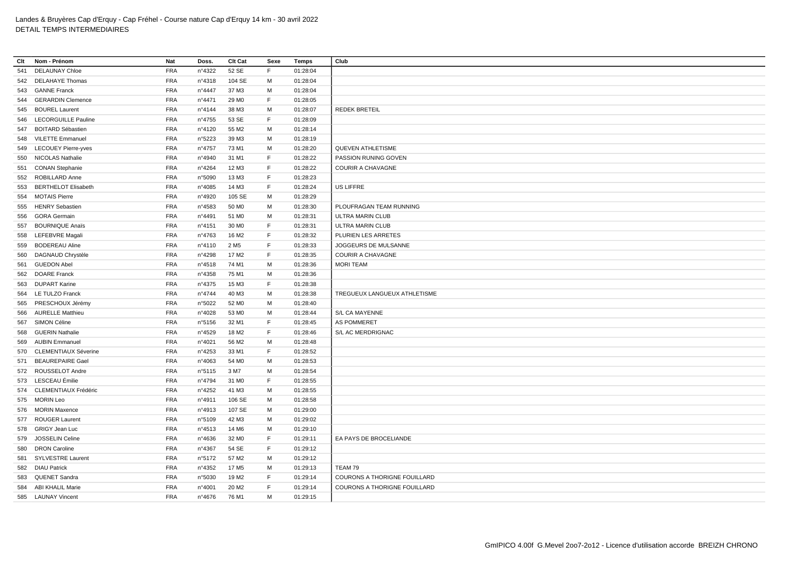| Clt | Nom - Prénom               | Nat        | Doss.           | Clt Cat           | Sexe        | <b>Temps</b> | Club                                |
|-----|----------------------------|------------|-----------------|-------------------|-------------|--------------|-------------------------------------|
| 541 | <b>DELAUNAY Chloe</b>      | <b>FRA</b> | n°4322          | 52 SE             | F           | 01:28:04     |                                     |
|     | 542 DELAHAYE Thomas        | <b>FRA</b> | nº4318          | 104 SE            | M           | 01:28:04     |                                     |
| 543 | <b>GANNE Franck</b>        | <b>FRA</b> | n°4447          | 37 M3             | М           | 01:28:04     |                                     |
| 544 | <b>GERARDIN Clemence</b>   | <b>FRA</b> | n°4471          | 29 MO             | F           | 01:28:05     |                                     |
|     | 545 BOUREL Laurent         | <b>FRA</b> | nº4144          | 38 M3             | М           | 01:28:07     | <b>REDEK BRETEIL</b>                |
| 546 | <b>LECORGUILLE Pauline</b> | <b>FRA</b> | n°4755          | 53 SE             | F           | 01:28:09     |                                     |
|     | 547 BOITARD Sébastien      | <b>FRA</b> | n°4120          | 55 M2             | M           | 01:28:14     |                                     |
| 548 | <b>VILETTE Emmanuel</b>    | <b>FRA</b> | n°5223          | 39 M3             | M           | 01:28:19     |                                     |
|     | 549 LECOUEY Pierre-yves    | <b>FRA</b> | n°4757          | 73 M1             | M           | 01:28:20     | <b>QUEVEN ATHLETISME</b>            |
|     | 550 NICOLAS Nathalie       | <b>FRA</b> | n°4940          | 31 M1             | $\mathsf F$ | 01:28:22     | PASSION RUNING GOVEN                |
|     | 551 CONAN Stephanie        | <b>FRA</b> | n°4264          | 12 M3             | F           | 01:28:22     | <b>COURIR A CHAVAGNE</b>            |
| 552 | ROBILLARD Anne             | <b>FRA</b> | n°5090          | 13 M3             | F           | 01:28:23     |                                     |
| 553 | <b>BERTHELOT Elisabeth</b> | <b>FRA</b> | n°4085          | 14 M3             | F           | 01:28:24     | US LIFFRE                           |
|     | 554 MOTAIS Pierre          | <b>FRA</b> | n°4920          | 105 SE            | M           | 01:28:29     |                                     |
|     | 555 HENRY Sebastien        | <b>FRA</b> | n°4583          | 50 MO             | M           | 01:28:30     | PLOUFRAGAN TEAM RUNNING             |
| 556 | <b>GORA Germain</b>        | <b>FRA</b> | n°4491          | 51 M <sub>0</sub> | М           | 01:28:31     | ULTRA MARIN CLUB                    |
| 557 | <b>BOURNIQUE Anaïs</b>     | <b>FRA</b> | nº4151          | 30 MO             | F           | 01:28:31     | ULTRA MARIN CLUB                    |
|     | 558 LEFEBVRE Magali        | <b>FRA</b> | n°4763          | 16 M <sub>2</sub> | F.          | 01:28:32     | PLURIEN LES ARRETES                 |
|     | 559 BODEREAU Aline         | <b>FRA</b> | nº4110          | 2 M <sub>5</sub>  | F           | 01:28:33     | JOGGEURS DE MULSANNE                |
|     | 560 DAGNAUD Chrystèle      | <b>FRA</b> | n°4298          | 17 M <sub>2</sub> | E           | 01:28:35     | <b>COURIR A CHAVAGNE</b>            |
| 561 | <b>GUEDON Abel</b>         | <b>FRA</b> | n°4518          | 74 M1             | M           | 01:28:36     | <b>MORI TEAM</b>                    |
|     | 562 DOARE Franck           | <b>FRA</b> | n°4358          | 75 M1             | M           | 01:28:36     |                                     |
|     |                            |            |                 |                   | $\mathsf F$ |              |                                     |
| 563 | <b>DUPART Karine</b>       | <b>FRA</b> | n°4375          | 15 M3             | M           | 01:28:38     |                                     |
|     | 564 LE TULZO Franck        | <b>FRA</b> | n°4744          | 40 M3             |             | 01:28:38     | TREGUEUX LANGUEUX ATHLETISME        |
| 565 | PRESCHOUX Jérémy           | <b>FRA</b> | n°5022          | 52 MO             | M           | 01:28:40     |                                     |
|     | 566 AURELLE Matthieu       | <b>FRA</b> | n°4028          | 53 MO             | M           | 01:28:44     | S/L CA MAYENNE                      |
| 567 | SIMON Céline               | <b>FRA</b> | n°5156          | 32 M1             | $\mathsf F$ | 01:28:45     | AS POMMERET                         |
|     | 568 GUERIN Nathalie        | <b>FRA</b> | n°4529          | 18 M2             | F           | 01:28:46     | S/L AC MERDRIGNAC                   |
|     | 569 AUBIN Emmanuel         | <b>FRA</b> | n°4021          | 56 M2             | M           | 01:28:48     |                                     |
|     | 570 CLEMENTIAUX Séverine   | <b>FRA</b> | n°4253          | 33 M1             | F           | 01:28:52     |                                     |
| 571 | <b>BEAUREPAIRE Gael</b>    | <b>FRA</b> | n°4063          | 54 M <sub>0</sub> | М           | 01:28:53     |                                     |
|     | 572 ROUSSELOT Andre        | <b>FRA</b> | n°5115          | 3 M7              | м           | 01:28:54     |                                     |
|     | 573 LESCEAU Émilie         | <b>FRA</b> | n°4794          | 31 M <sub>0</sub> | E           | 01:28:55     |                                     |
| 574 | CLEMENTIAUX Frédéric       | <b>FRA</b> | n°4252          | 41 M3             | M           | 01:28:55     |                                     |
|     | 575 MORIN Leo              | <b>FRA</b> | n°4911          | 106 SE            | М           | 01:28:58     |                                     |
|     | 576 MORIN Maxence          | <b>FRA</b> | n°4913          | 107 SE            | М           | 01:29:00     |                                     |
|     | 577 ROUGER Laurent         | <b>FRA</b> | n°5109          | 42 M3             | M           | 01:29:02     |                                     |
|     | 578 GRIGY Jean Luc         | <b>FRA</b> | $n^{\circ}4513$ | 14 M6             | M           | 01:29:10     |                                     |
| 579 | JOSSELIN Celine            | <b>FRA</b> | n°4636          | 32 M <sub>0</sub> | F           | 01:29:11     | EA PAYS DE BROCELIANDE              |
| 580 | <b>DRON Caroline</b>       | <b>FRA</b> | nº4367          | 54 SE             | $\mathsf F$ | 01:29:12     |                                     |
|     | 581 SYLVESTRE Laurent      | <b>FRA</b> | n°5172          | 57 M2             | M           | 01:29:12     |                                     |
|     | 582 DIAU Patrick           | <b>FRA</b> | $n^{\circ}4352$ | 17 M <sub>5</sub> | M           | 01:29:13     | TEAM 79                             |
|     | 583 QUENET Sandra          | <b>FRA</b> | n°5030          | 19 M2             | F           | 01:29:14     | COURONS A THORIGNE FOUILLARD        |
|     | 584 ABI KHALIL Marie       | <b>FRA</b> | n°4001          | 20 M <sub>2</sub> | E           | 01:29:14     | <b>COURONS A THORIGNE FOUILLARD</b> |
|     | 585 LAUNAY Vincent         | <b>FRA</b> | n°4676          | 76 M1             | M           | 01:29:15     |                                     |
|     |                            |            |                 |                   |             |              |                                     |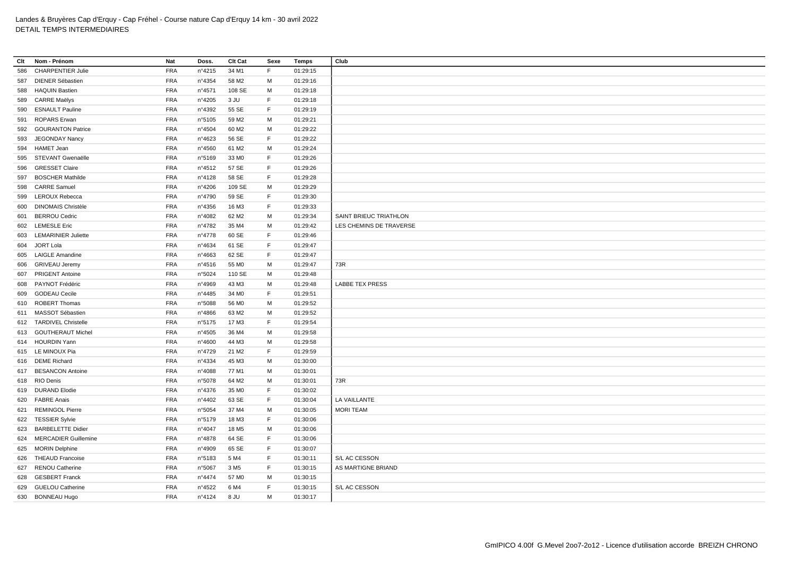| Clt | Nom - Prénom               | Nat        | Doss.            | Clt Cat           | Sexe | Temps    | Club                    |
|-----|----------------------------|------------|------------------|-------------------|------|----------|-------------------------|
| 586 | <b>CHARPENTIER Julie</b>   | <b>FRA</b> | n°4215           | 34 M1             | F    | 01:29:15 |                         |
| 587 | <b>DIENER Sébastien</b>    | <b>FRA</b> | n°4354           | 58 M2             | М    | 01:29:16 |                         |
| 588 | <b>HAQUIN Bastien</b>      | <b>FRA</b> | n°4571           | 108 SE            | M    | 01:29:18 |                         |
| 589 | <b>CARRE Maëlys</b>        | <b>FRA</b> | n°4205           | 3 JU              | F    | 01:29:18 |                         |
| 590 | <b>ESNAULT Pauline</b>     | <b>FRA</b> | n°4392           | 55 SE             | F    | 01:29:19 |                         |
| 591 | <b>ROPARS Erwan</b>        | <b>FRA</b> | n°5105           | 59 M2             | M    | 01:29:21 |                         |
| 592 | <b>GOURANTON Patrice</b>   | <b>FRA</b> | n°4504           | 60 M <sub>2</sub> | M    | 01:29:22 |                         |
| 593 | <b>JEGONDAY Nancy</b>      | <b>FRA</b> | n°4623           | 56 SE             | F.   | 01:29:22 |                         |
| 594 | <b>HAMET Jean</b>          | <b>FRA</b> | n°4560           | 61 M2             | М    | 01:29:24 |                         |
| 595 | STEVANT Gwenaëlle          | <b>FRA</b> | n°5169           | 33 MO             | F    | 01:29:26 |                         |
| 596 | <b>GRESSET Claire</b>      | <b>FRA</b> | $n^{\circ}4512$  | 57 SE             | F    | 01:29:26 |                         |
| 597 | <b>BOSCHER Mathilde</b>    | <b>FRA</b> | n°4128           | 58 SE             | F.   | 01:29:28 |                         |
| 598 | <b>CARRE Samuel</b>        | <b>FRA</b> | n°4206           | 109 SE            | M    | 01:29:29 |                         |
| 599 | <b>LEROUX Rebecca</b>      | <b>FRA</b> | n°4790           | 59 SE             | F    | 01:29:30 |                         |
| 600 | <b>DINOMAIS Christèle</b>  | <b>FRA</b> | $n^{\circ}$ 4356 | 16 M3             | F    | 01:29:33 |                         |
| 601 | <b>BERROU Cedric</b>       | <b>FRA</b> | n°4082           | 62 M <sub>2</sub> | M    | 01:29:34 | SAINT BRIEUC TRIATHLON  |
| 602 | <b>LEMESLE Eric</b>        | <b>FRA</b> | n°4782           | 35 M4             | м    | 01:29:42 | LES CHEMINS DE TRAVERSE |
| 603 | <b>LEMARINIER Juliette</b> | <b>FRA</b> | n°4778           | 60 SE             | F    | 01:29:46 |                         |
|     | 604 JORT Lola              | <b>FRA</b> | n°4634           | 61 SE             | F    | 01:29:47 |                         |
|     | 605 LAIGLE Amandine        | <b>FRA</b> | n°4663           | 62 SE             | F    | 01:29:47 |                         |
| 606 | <b>GRIVEAU Jeremy</b>      | <b>FRA</b> | $n^{\circ}4516$  | 55 MO             | M    | 01:29:47 | 73R                     |
| 607 | <b>PRIGENT Antoine</b>     | <b>FRA</b> | n°5024           | 110 SE            | M    | 01:29:48 |                         |
| 608 | PAYNOT Frédéric            | <b>FRA</b> | n°4969           | 43 M3             | M    | 01:29:48 | LABBE TEX PRESS         |
| 609 | <b>GODEAU Cecile</b>       | <b>FRA</b> | n°4485           | 34 M <sub>0</sub> | F    | 01:29:51 |                         |
| 610 | ROBERT Thomas              | <b>FRA</b> | n°5088           | 56 M <sub>0</sub> | M    | 01:29:52 |                         |
| 611 | MASSOT Sébastien           | <b>FRA</b> | n°4866           | 63 M2             | M    | 01:29:52 |                         |
|     | 612 TARDIVEL Christelle    | <b>FRA</b> | n°5175           | 17 M3             | F    | 01:29:54 |                         |
|     | 613 GOUTHERAUT Michel      | <b>FRA</b> | $n^{\circ}4505$  | 36 M4             | M    | 01:29:58 |                         |
|     | 614 HOURDIN Yann           | <b>FRA</b> | n°4600           | 44 M3             | M    | 01:29:58 |                         |
|     | 615 LE MINOUX Pia          | <b>FRA</b> | n°4729           | 21 M <sub>2</sub> | F.   | 01:29:59 |                         |
|     | 616 DEME Richard           | <b>FRA</b> | n°4334           | 45 M3             | м    | 01:30:00 |                         |
| 617 | <b>BESANCON Antoine</b>    | <b>FRA</b> | n°4088           | 77 M1             | м    | 01:30:01 |                         |
|     | 618 RIO Denis              | <b>FRA</b> | n°5078           | 64 M2             | М    | 01:30:01 | 73R                     |
|     | 619 DURAND Elodie          | <b>FRA</b> | n°4376           | 35 MO             | F    | 01:30:02 |                         |
|     | 620 FABRE Anais            | <b>FRA</b> | n°4402           | 63 SE             | F.   | 01:30:04 | LA VAILLANTE            |
| 621 | <b>REMINGOL Pierre</b>     | <b>FRA</b> | n°5054           | 37 M4             | м    | 01:30:05 | <b>MORI TEAM</b>        |
|     | 622 TESSIER Sylvie         | <b>FRA</b> | n°5179           | 18 M3             | F    | 01:30:06 |                         |
| 623 | <b>BARBELETTE Didier</b>   | <b>FRA</b> | n°4047           | 18 M <sub>5</sub> | М    | 01:30:06 |                         |
|     | 624 MERCADIER Guillemine   | <b>FRA</b> | n°4878           | 64 SE             | F.   | 01:30:06 |                         |
|     | 625 MORIN Delphine         | <b>FRA</b> | n°4909           | 65 SE             | F    | 01:30:07 |                         |
|     | 626 THEAUD Francoise       | <b>FRA</b> | n°5183           | 5 M4              | F    | 01:30:11 | S/L AC CESSON           |
| 627 | RENOU Catherine            | <b>FRA</b> | n°5067           | 3 M <sub>5</sub>  | F    | 01:30:15 | AS MARTIGNE BRIAND      |
|     | 628 GESBERT Franck         | <b>FRA</b> | n°4474           | 57 M <sub>0</sub> | М    | 01:30:15 |                         |
| 629 | <b>GUELOU Catherine</b>    | <b>FRA</b> | n°4522           | 6 M4              | F    | 01:30:15 | S/L AC CESSON           |
|     | 630 BONNEAU Hugo           | <b>FRA</b> | n°4124           | 8 JU              | М    | 01:30:17 |                         |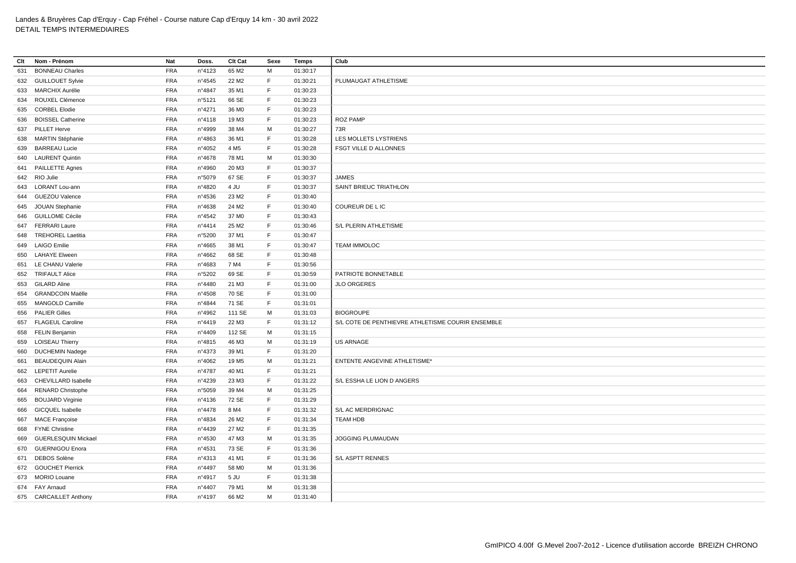| Clt | Nom - Prénom               | Nat        | Doss.  | Clt Cat           | Sexe | Temps    | Club                                              |
|-----|----------------------------|------------|--------|-------------------|------|----------|---------------------------------------------------|
| 631 | <b>BONNEAU Charles</b>     | <b>FRA</b> | n°4123 | 65 M2             | М    | 01:30:17 |                                                   |
|     | 632 GUILLOUET Sylvie       | <b>FRA</b> | n°4545 | 22 M <sub>2</sub> | F    | 01:30:21 | PLUMAUGAT ATHLETISME                              |
| 633 | MARCHIX Aurélie            | <b>FRA</b> | n°4847 | 35 M1             | F    | 01:30:23 |                                                   |
| 634 | ROUXEL Clémence            | <b>FRA</b> | n°5121 | 66 SE             | F.   | 01:30:23 |                                                   |
| 635 | <b>CORBEL Elodie</b>       | <b>FRA</b> | n°4271 | 36 M <sub>0</sub> | F    | 01:30:23 |                                                   |
| 636 | <b>BOISSEL Catherine</b>   | <b>FRA</b> | n°4118 | 19 M3             | F    | 01:30:23 | <b>ROZ PAMP</b>                                   |
| 637 | <b>PILLET Herve</b>        | <b>FRA</b> | n°4999 | 38 M4             | M    | 01:30:27 | 73R                                               |
| 638 | <b>MARTIN Stéphanie</b>    | <b>FRA</b> | n°4863 | 36 M1             | E    | 01:30:28 | LES MOLLETS LYSTRIENS                             |
| 639 | <b>BARREAU Lucie</b>       | <b>FRA</b> | n°4052 | 4 M <sub>5</sub>  | F    | 01:30:28 | <b>FSGT VILLE D ALLONNES</b>                      |
| 640 | <b>LAURENT Quintin</b>     | <b>FRA</b> | n°4678 | 78 M1             | M    | 01:30:30 |                                                   |
|     | 641 PAILLETTE Agnes        | <b>FRA</b> | n°4960 | 20 M3             | F    | 01:30:37 |                                                   |
|     | 642 RIO Julie              | <b>FRA</b> | n°5079 | 67 SE             | F    | 01:30:37 | <b>JAMES</b>                                      |
|     | 643 LORANT Lou-ann         | <b>FRA</b> | n°4820 | 4 JU              | F    | 01:30:37 | SAINT BRIEUC TRIATHLON                            |
| 644 | <b>GUEZOU Valence</b>      | <b>FRA</b> | n°4536 | 23 M <sub>2</sub> | F    | 01:30:40 |                                                   |
| 645 | <b>JOUAN Stephanie</b>     | <b>FRA</b> | n°4638 | 24 M2             | F    | 01:30:40 | COUREUR DE L IC                                   |
|     | 646 GUILLOME Cécile        | <b>FRA</b> | n°4542 | 37 M <sub>0</sub> | F    | 01:30:43 |                                                   |
|     | 647 FERRARI Laure          | <b>FRA</b> | n°4414 | 25 M <sub>2</sub> | F    | 01:30:46 | S/L PLERIN ATHLETISME                             |
|     | 648 TREHOREL Laetitia      | <b>FRA</b> | n°5200 | 37 M1             | F    | 01:30:47 |                                                   |
| 649 | <b>LAIGO Emilie</b>        | <b>FRA</b> | n°4665 | 38 M1             | F    | 01:30:47 | <b>TEAM IMMOLOC</b>                               |
|     | 650 LAHAYE Elween          | <b>FRA</b> | n°4662 | 68 SE             | F    | 01:30:48 |                                                   |
| 651 | LE CHANU Valerie           | <b>FRA</b> | n°4683 | 7 M4              | F    | 01:30:56 |                                                   |
|     | 652 TRIFAULT Alice         | <b>FRA</b> | n°5202 | 69 SE             | F    | 01:30:59 | PATRIOTE BONNETABLE                               |
|     | 653 GILARD Aline           | <b>FRA</b> | n°4480 | 21 M3             | F    | 01:31:00 | <b>JLO ORGERES</b>                                |
| 654 | <b>GRANDCOIN Maëlle</b>    | <b>FRA</b> | n°4508 | 70 SE             | F    | 01:31:00 |                                                   |
| 655 | <b>MANGOLD Camille</b>     | <b>FRA</b> | n°4844 | 71 SE             | F    | 01:31:01 |                                                   |
| 656 | <b>PALIER Gilles</b>       | <b>FRA</b> | n°4962 | 111 SE            | M    | 01:31:03 | <b>BIOGROUPE</b>                                  |
|     | 657 FLAGEUL Caroline       | <b>FRA</b> | n°4419 | 22 M3             | F    | 01:31:12 | S/L COTE DE PENTHIEVRE ATHLETISME COURIR ENSEMBLE |
| 658 | <b>FELIN Benjamin</b>      | <b>FRA</b> | n°4409 | 112 SE            | M    | 01:31:15 |                                                   |
| 659 | <b>LOISEAU Thierry</b>     | <b>FRA</b> | n°4815 | 46 M3             | M    | 01:31:19 | <b>US ARNAGE</b>                                  |
| 660 | <b>DUCHEMIN Nadege</b>     | <b>FRA</b> | n°4373 | 39 M1             | F    | 01:31:20 |                                                   |
| 661 | <b>BEAUDEQUIN Alain</b>    | <b>FRA</b> | n°4062 | 19 M <sub>5</sub> | M    | 01:31:21 | ENTENTE ANGEVINE ATHLETISME*                      |
|     | 662 LEPETIT Aurelie        | <b>FRA</b> | n°4787 | 40 M1             | F    | 01:31:21 |                                                   |
| 663 | <b>CHEVILLARD Isabelle</b> | <b>FRA</b> | n°4239 | 23 M3             | F    | 01:31:22 | S/L ESSHA LE LION D ANGERS                        |
| 664 | <b>RENARD Christophe</b>   | <b>FRA</b> | n°5059 | 39 M4             | М    | 01:31:25 |                                                   |
| 665 | <b>BOUJARD Virginie</b>    | <b>FRA</b> | n°4136 | 72 SE             | F    | 01:31:29 |                                                   |
| 666 | <b>GICQUEL Isabelle</b>    | <b>FRA</b> | n°4478 | 8 M4              | E    | 01:31:32 | S/L AC MERDRIGNAC                                 |
|     | 667 MACE Françoise         | <b>FRA</b> | n°4834 | 26 M <sub>2</sub> | F    | 01:31:34 | <b>TEAM HDB</b>                                   |
| 668 | <b>FYNE Christine</b>      | <b>FRA</b> | n°4439 | 27 M <sub>2</sub> | E    | 01:31:35 |                                                   |
| 669 | <b>GUERLESQUIN Mickael</b> | <b>FRA</b> | n°4530 | 47 M3             | М    | 01:31:35 | JOGGING PLUMAUDAN                                 |
|     | 670 GUERNIGOU Enora        | <b>FRA</b> | n°4531 | 73 SE             | F    | 01:31:36 |                                                   |
|     | 671 DEBOS Solène           | <b>FRA</b> | nº4313 | 41 M1             | F    | 01:31:36 | S/L ASPTT RENNES                                  |
|     | 672 GOUCHET Pierrick       | <b>FRA</b> | n°4497 | 58 M <sub>0</sub> | M    | 01:31:36 |                                                   |
|     | 673 MORIO Louane           | <b>FRA</b> | n°4917 | 5 JU              | F    | 01:31:38 |                                                   |
|     | 674 FAY Arnaud             | <b>FRA</b> | n°4407 | 79 M1             | м    | 01:31:38 |                                                   |
|     | 675 CARCAILLET Anthony     | <b>FRA</b> | n°4197 | 66 M <sub>2</sub> | M    | 01:31:40 |                                                   |
|     |                            |            |        |                   |      |          |                                                   |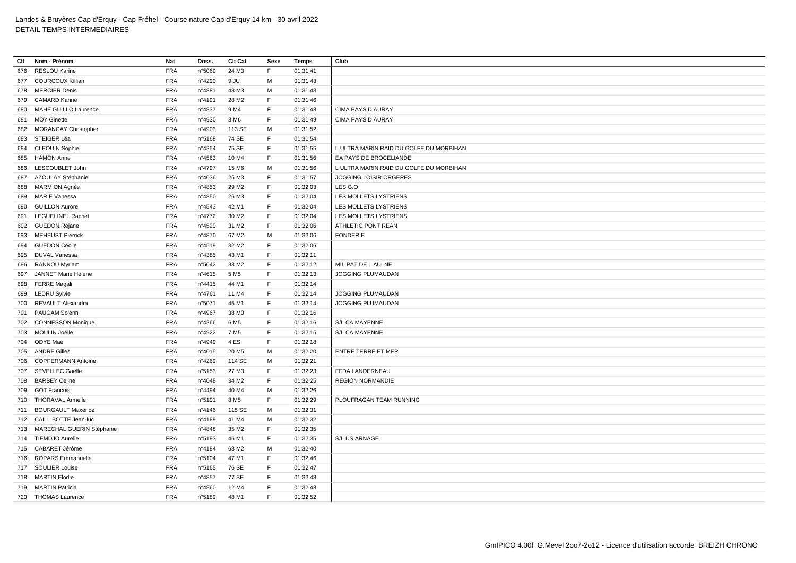| Clt | Nom - Prénom                  | Nat        | Doss.           | Clt Cat           | Sexe        | Temps    | Club                                    |
|-----|-------------------------------|------------|-----------------|-------------------|-------------|----------|-----------------------------------------|
| 676 | RESLOU Karine                 | <b>FRA</b> | n°5069          | 24 M3             | F.          | 01:31:41 |                                         |
|     | 677 COURCOUX Killian          | <b>FRA</b> | n°4290          | 9 JU              | м           | 01:31:43 |                                         |
|     | 678 MERCIER Denis             | <b>FRA</b> | n°4881          | 48 M3             | M           | 01:31:43 |                                         |
|     | 679 CAMARD Karine             | <b>FRA</b> | n°4191          | 28 M2             | F           | 01:31:46 |                                         |
|     | 680 MAHE GUILLO Laurence      | <b>FRA</b> | n°4837          | 9 M4              | F           | 01:31:48 | CIMA PAYS D AURAY                       |
| 681 | <b>MOY Ginette</b>            | <b>FRA</b> | n°4930          | 3 M6              | F.          | 01:31:49 | CIMA PAYS D AURAY                       |
|     | 682 MORANCAY Christopher      | <b>FRA</b> | n°4903          | 113 SE            | M           | 01:31:52 |                                         |
| 683 | STEIGER Léa                   | <b>FRA</b> | n°5168          | 74 SE             | F           | 01:31:54 |                                         |
|     | 684 CLEQUIN Sophie            | <b>FRA</b> | n°4254          | 75 SE             | F           | 01:31:55 | L ULTRA MARIN RAID DU GOLFE DU MORBIHAN |
|     | 685 HAMON Anne                | <b>FRA</b> | n°4563          | 10 M4             | F           | 01:31:56 | EA PAYS DE BROCELIANDE                  |
|     | 686 LESCOUBLET John           | <b>FRA</b> | n°4797          | 15 M6             | M           | 01:31:56 | L ULTRA MARIN RAID DU GOLFE DU MORBIHAN |
| 687 | AZOULAY Stéphanie             | <b>FRA</b> | n°4036          | 25 M3             | F           | 01:31:57 | JOGGING LOISIR ORGERES                  |
|     | 688 MARMION Agnès             | <b>FRA</b> | n°4853          | 29 M <sub>2</sub> | E           | 01:32:03 | LES G.O                                 |
|     | 689 MARIE Vanessa             | <b>FRA</b> | n°4850          | 26 M3             | $\mathsf F$ | 01:32:04 | LES MOLLETS LYSTRIENS                   |
|     | 690 GUILLON Aurore            | <b>FRA</b> | n°4543          | 42 M1             | F           | 01:32:04 | LES MOLLETS LYSTRIENS                   |
| 691 | LEGUELINEL Rachel             | <b>FRA</b> | n°4772          | 30 M <sub>2</sub> | F           | 01:32:04 | LES MOLLETS LYSTRIENS                   |
|     | 692 GUEDON Réjane             | <b>FRA</b> | n°4520          | 31 M2             | F           | 01:32:06 | ATHLETIC PONT REAN                      |
|     | 693 MEHEUST Pierrick          | <b>FRA</b> | nº4870          | 67 M2             | M           | 01:32:06 | <b>FONDERIE</b>                         |
| 694 | <b>GUEDON Cécile</b>          | <b>FRA</b> | n°4519          | 32 M <sub>2</sub> | $\mathsf F$ | 01:32:06 |                                         |
|     | 695 DUVAL Vanessa             | <b>FRA</b> | n°4385          | 43 M1             | F           | 01:32:11 |                                         |
| 696 | <b>RANNOU Myriam</b>          | <b>FRA</b> | n°5042          | 33 M2             | F           | 01:32:12 | MIL PAT DE L AULNE                      |
| 697 | JANNET Marie Helene           | <b>FRA</b> | $n^{\circ}4615$ | 5 M <sub>5</sub>  | F           | 01:32:13 | JOGGING PLUMAUDAN                       |
| 698 | <b>FERRE</b> Magali           | <b>FRA</b> | $n^{\circ}4415$ | 44 M1             | $\mathsf F$ | 01:32:14 |                                         |
|     | 699 LEDRU Sylvie              | <b>FRA</b> | n°4761          | 11 M4             | F           | 01:32:14 | JOGGING PLUMAUDAN                       |
|     |                               |            |                 |                   |             |          |                                         |
|     | 700 REVAULT Alexandra         | <b>FRA</b> | n°5071          | 45 M1             | F           | 01:32:14 | JOGGING PLUMAUDAN                       |
|     | 701 PAUGAM Solenn             | <b>FRA</b> | n°4967          | 38 MO             | F           | 01:32:16 |                                         |
| 702 | <b>CONNESSON Monique</b>      | <b>FRA</b> | n°4266          | 6 M <sub>5</sub>  | F           | 01:32:16 | S/L CA MAYENNE                          |
|     | 703 MOULIN Joëlle             | <b>FRA</b> | n°4922          | 7 M <sub>5</sub>  | E           | 01:32:16 | S/L CA MAYENNE                          |
| 704 | ODYE Maé                      | <b>FRA</b> | n°4949          | 4ES               | F           | 01:32:18 |                                         |
| 705 | <b>ANDRE Gilles</b>           | <b>FRA</b> | n°4015          | 20 M <sub>5</sub> | M           | 01:32:20 | <b>ENTRE TERRE ET MER</b>               |
| 706 | <b>COPPERMANN Antoine</b>     | <b>FRA</b> | n°4269          | 114 SE            | M           | 01:32:21 |                                         |
|     | 707 SEVELLEC Gaelle           | <b>FRA</b> | n°5153          | 27 M3             | F           | 01:32:23 | FFDA LANDERNEAU                         |
|     | 708 BARBEY Celine             | <b>FRA</b> | n°4048          | 34 M2             | F           | 01:32:25 | <b>REGION NORMANDIE</b>                 |
| 709 | <b>GOT Francois</b>           | <b>FRA</b> | n°4494          | 40 M4             | M           | 01:32:26 |                                         |
|     | 710 THORAVAL Armelle          | <b>FRA</b> | n°5191          | 8 M <sub>5</sub>  | F           | 01:32:29 | PLOUFRAGAN TEAM RUNNING                 |
|     | 711 BOURGAULT Maxence         | <b>FRA</b> | n°4146          | 115 SE            | M           | 01:32:31 |                                         |
|     | 712 CAILLIBOTTE Jean-luc      | <b>FRA</b> | n°4189          | 41 M4             | M           | 01:32:32 |                                         |
|     | 713 MARECHAL GUERIN Stéphanie | <b>FRA</b> | n°4848          | 35 M2             | F           | 01:32:35 |                                         |
|     | 714 TIEMDJO Aurelie           | <b>FRA</b> | n°5193          | 46 M1             | F           | 01:32:35 | S/L US ARNAGE                           |
| 715 | CABARET Jérôme                | <b>FRA</b> | n°4184          | 68 M2             | M           | 01:32:40 |                                         |
|     | 716 ROPARS Emmanuelle         | <b>FRA</b> | n°5104          | 47 M1             | E           | 01:32:46 |                                         |
|     | 717 SOULIER Louise            | <b>FRA</b> | n°5165          | 76 SE             | F           | 01:32:47 |                                         |
|     | 718 MARTIN Elodie             | <b>FRA</b> | n°4857          | 77 SE             | F           | 01:32:48 |                                         |
|     | 719 MARTIN Patricia           | <b>FRA</b> | n°4860          | 12 M4             | $\mathsf F$ | 01:32:48 |                                         |
|     | 720 THOMAS Laurence           | <b>FRA</b> | n°5189          | 48 M1             | E           | 01:32:52 |                                         |
|     |                               |            |                 |                   |             |          |                                         |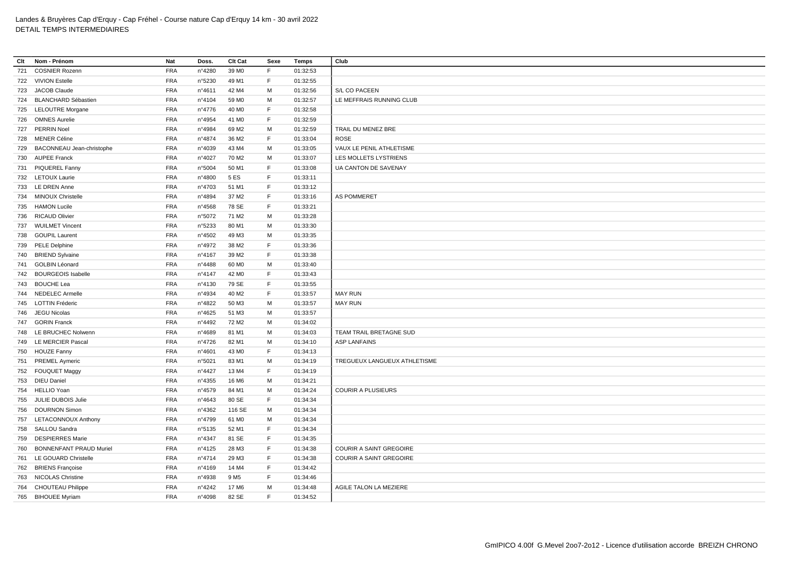| Clt | Nom - Prénom                   | Nat        | Doss.  | Clt Cat           | Sexe        | <b>Temps</b> | Club                          |
|-----|--------------------------------|------------|--------|-------------------|-------------|--------------|-------------------------------|
| 721 | <b>COSNIER Rozenn</b>          | <b>FRA</b> | n°4280 | 39 MO             | F.          | 01:32:53     |                               |
|     | 722 VIVION Estelle             | <b>FRA</b> | n°5230 | 49 M1             | F.          | 01:32:55     |                               |
|     | 723 JACOB Claude               | <b>FRA</b> | n°4611 | 42 M4             | M           | 01:32:56     | S/L CO PACEEN                 |
|     | 724 BLANCHARD Sébastien        | <b>FRA</b> | n°4104 | 59 MO             | M           | 01:32:57     | LE MEFFRAIS RUNNING CLUB      |
|     | 725 LELOUTRE Morgane           | <b>FRA</b> | n°4776 | 40 MO             | $\mathsf F$ | 01:32:58     |                               |
|     | 726 OMNES Aurelie              | <b>FRA</b> | n°4954 | 41 M <sub>0</sub> | F           | 01:32:59     |                               |
|     | 727 PERRIN Noel                | <b>FRA</b> | n°4984 | 69 M <sub>2</sub> | M           | 01:32:59     | TRAIL DU MENEZ BRE            |
|     | 728 MENER Céline               | <b>FRA</b> | n°4874 | 36 M2             | F           | 01:33:04     | <b>ROSE</b>                   |
|     | 729 BACONNEAU Jean-christophe  | <b>FRA</b> | n°4039 | 43 M4             | М           | 01:33:05     | VAUX LE PENIL ATHLETISME      |
|     | 730 AUPEE Franck               | <b>FRA</b> | n°4027 | 70 M2             | M           | 01:33:07     | LES MOLLETS LYSTRIENS         |
|     | 731 PIQUEREL Fanny             | <b>FRA</b> | n°5004 | 50 M1             | F           | 01:33:08     | UA CANTON DE SAVENAY          |
|     | 732 LETOUX Laurie              | <b>FRA</b> | n°4800 | 5 ES              | F           | 01:33:11     |                               |
|     | 733 LE DREN Anne               | <b>FRA</b> | n°4703 | 51 M1             | F           | 01:33:12     |                               |
|     | 734 MINOUX Christelle          | <b>FRA</b> | n°4894 | 37 M2             | $\mathsf F$ | 01:33:16     | AS POMMERET                   |
|     | 735 HAMON Lucile               | <b>FRA</b> | n°4568 | 78 SE             | F           | 01:33:21     |                               |
|     | 736 RICAUD Olivier             | <b>FRA</b> | n°5072 | 71 M2             | M           | 01:33:28     |                               |
|     | 737 WUILMET Vincent            | <b>FRA</b> | n°5233 | 80 M1             | M           | 01:33:30     |                               |
|     | 738 GOUPIL Laurent             | <b>FRA</b> | n°4502 | 49 M3             | M           | 01:33:35     |                               |
|     | 739 PELE Delphine              | <b>FRA</b> | n°4972 | 38 M2             | F           | 01:33:36     |                               |
|     | 740 BRIEND Sylvaine            | <b>FRA</b> | n°4167 | 39 M <sub>2</sub> | F           | 01:33:38     |                               |
|     | 741 GOLBIN Léonard             | <b>FRA</b> | n°4488 | 60 MO             | M           | 01:33:40     |                               |
|     | 742 BOURGEOIS Isabelle         | <b>FRA</b> | n°4147 | 42 M <sub>0</sub> | F           | 01:33:43     |                               |
|     | 743 BOUCHE Lea                 | <b>FRA</b> | n°4130 | 79 SE             | F           | 01:33:55     |                               |
|     | 744 NEDELEC Armelle            | <b>FRA</b> | n°4934 | 40 M <sub>2</sub> | $\mathsf F$ | 01:33:57     | <b>MAY RUN</b>                |
|     | 745 LOTTIN Fréderic            | <b>FRA</b> | n°4822 | 50 M3             | M           | 01:33:57     | <b>MAY RUN</b>                |
|     | 746 JEGU Nicolas               | <b>FRA</b> | n°4625 | 51 M3             | M           | 01:33:57     |                               |
|     | 747 GORIN Franck               | <b>FRA</b> | n°4492 | 72 M <sub>2</sub> | M           | 01:34:02     |                               |
|     | 748 LE BRUCHEC Nolwenn         | <b>FRA</b> | n°4689 | 81 M1             | м           | 01:34:03     | TEAM TRAIL BRETAGNE SUD       |
|     | 749 LE MERCIER Pascal          | <b>FRA</b> | n°4726 | 82 M1             | M           | 01:34:10     | <b>ASP LANFAINS</b>           |
|     | 750 HOUZE Fanny                | <b>FRA</b> | n°4601 | 43 MO             | F           | 01:34:13     |                               |
|     | 751 PREMEL Aymeric             | <b>FRA</b> | n°5021 | 83 M1             | M           | 01:34:19     | TREGUEUX LANGUEUX ATHLETISME  |
|     | 752 FOUQUET Maggy              | <b>FRA</b> | n°4427 | 13 M4             | $\mathsf F$ | 01:34:19     |                               |
|     | 753 DIEU Daniel                | <b>FRA</b> | n°4355 | 16 M6             | M           | 01:34:21     |                               |
|     | 754 HELLIO Yoan                | <b>FRA</b> | n°4579 | 84 M1             | M           | 01:34:24     | <b>COURIR A PLUSIEURS</b>     |
|     | 755 JULIE DUBOIS Julie         | <b>FRA</b> | n°4643 | 80 SE             | F           | 01:34:34     |                               |
|     | 756 DOURNON Simon              | <b>FRA</b> | nº4362 | 116 SE            | M           | 01:34:34     |                               |
|     | 757 LETACONNOUX Anthony        | <b>FRA</b> | n°4799 | 61 M <sub>0</sub> | M           | 01:34:34     |                               |
|     | 758 SALLOU Sandra              | <b>FRA</b> | n°5135 | 52 M1             | F           | 01:34:34     |                               |
| 759 | <b>DESPIERRES Marie</b>        | <b>FRA</b> | n°4347 | 81 SE             | F           | 01:34:35     |                               |
| 760 | <b>BONNENFANT PRAUD Muriel</b> | <b>FRA</b> | n°4125 | 28 M3             | F           | 01:34:38     | COURIR A SAINT GREGOIRE       |
|     | 761 LE GOUARD Christelle       | <b>FRA</b> | n°4714 | 29 M3             | F           | 01:34:38     | COURIR A SAINT GREGOIRE       |
|     | 762 BRIENS Françoise           | <b>FRA</b> | n°4169 | 14 M4             | E           | 01:34:42     |                               |
|     | 763 NICOLAS Christine          | <b>FRA</b> | n°4938 | 9 M <sub>5</sub>  | F.          | 01:34:46     |                               |
|     | 764 CHOUTEAU Philippe          | <b>FRA</b> | n°4242 | 17 M6             | M           | 01:34:48     | <b>AGILE TALON LA MEZIERE</b> |
|     | 765 BIHOUEE Myriam             | <b>FRA</b> | n°4098 | 82 SE             | F           | 01:34:52     |                               |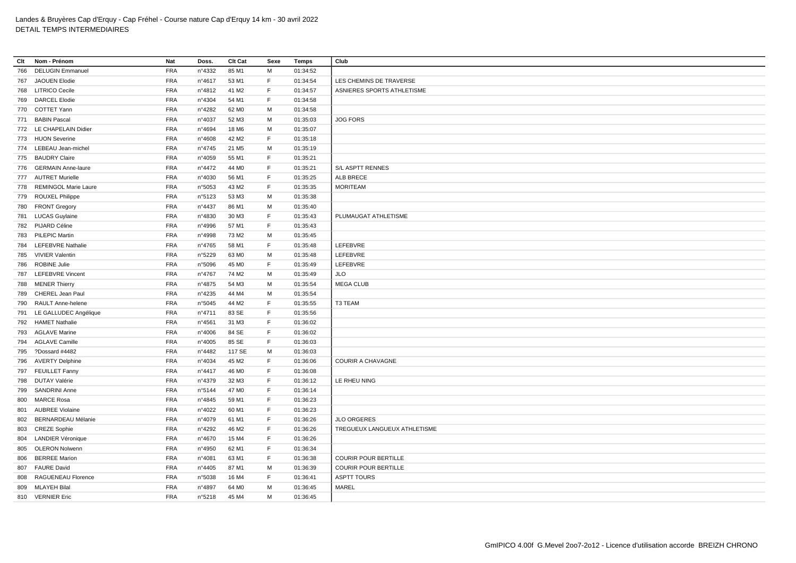| Clt | Nom - Prénom              | Nat        | Doss.                     | Clt Cat           | Sexe | Temps    | Club                         |
|-----|---------------------------|------------|---------------------------|-------------------|------|----------|------------------------------|
| 766 | <b>DELUGIN Emmanuel</b>   | <b>FRA</b> | n°4332                    | 85 M1             | M    | 01:34:52 |                              |
|     | 767 JAOUEN Elodie         | <b>FRA</b> | n°4617                    | 53 M1             | F    | 01:34:54 | LES CHEMINS DE TRAVERSE      |
|     | 768 LITRICO Cecile        | <b>FRA</b> | n°4812                    | 41 M <sub>2</sub> | F.   | 01:34:57 | ASNIERES SPORTS ATHLETISME   |
| 769 | <b>DARCEL Elodie</b>      | <b>FRA</b> | n°4304                    | 54 M1             | F    | 01:34:58 |                              |
|     | 770 COTTET Yann           | <b>FRA</b> | n°4282                    | 62 M <sub>0</sub> | М    | 01:34:58 |                              |
|     | 771 BABIN Pascal          | <b>FRA</b> | n°4037                    | 52 M3             | M    | 01:35:03 | <b>JOG FORS</b>              |
|     | 772 LE CHAPELAIN Didier   | <b>FRA</b> | n°4694                    | 18 M6             | М    | 01:35:07 |                              |
|     | 773 HUON Severine         | <b>FRA</b> | n°4608                    | 42 M <sub>2</sub> | F    | 01:35:18 |                              |
|     | 774 LEBEAU Jean-michel    | <b>FRA</b> | $n^{\circ}4745$           | 21 M <sub>5</sub> | М    | 01:35:19 |                              |
|     | 775 BAUDRY Claire         |            |                           | 55 M1             | F    |          |                              |
|     | 776 GERMAIN Anne-laure    | <b>FRA</b> | n°4059<br>$n^{\circ}4472$ | 44 M <sub>0</sub> | F    | 01:35:21 |                              |
|     |                           | <b>FRA</b> |                           |                   | E    | 01:35:21 | S/L ASPTT RENNES             |
|     | 777 AUTRET Murielle       | <b>FRA</b> | n°4030                    | 56 M1             |      | 01:35:25 | ALB BRECE                    |
|     | 778 REMINGOL Marie Laure  | <b>FRA</b> | n°5053                    | 43 M2             | F    | 01:35:35 | <b>MORITEAM</b>              |
| 779 | <b>ROUXEL Philippe</b>    | <b>FRA</b> | n°5123                    | 53 M3             | М    | 01:35:38 |                              |
| 780 | <b>FRONT Gregory</b>      | <b>FRA</b> | n°4437                    | 86 M1             | M    | 01:35:40 |                              |
| 781 | <b>LUCAS Guylaine</b>     | <b>FRA</b> | n°4830                    | 30 M3             | F.   | 01:35:43 | PLUMAUGAT ATHLETISME         |
|     | 782 PIJARD Céline         | <b>FRA</b> | n°4996                    | 57 M1             | F.   | 01:35:43 |                              |
|     | 783 PILEPIC Martin        | <b>FRA</b> | n°4998                    | 73 M2             | м    | 01:35:45 |                              |
|     | 784 LEFEBVRE Nathalie     | <b>FRA</b> | n°4765                    | 58 M1             | F    | 01:35:48 | LEFEBVRE                     |
|     | 785 VIVIER Valentin       | <b>FRA</b> | n°5229                    | 63 MO             | М    | 01:35:48 | LEFEBVRE                     |
| 786 | <b>ROBINE Julie</b>       | <b>FRA</b> | n°5096                    | 45 MO             | F.   | 01:35:49 | LEFEBVRE                     |
| 787 | <b>LEFEBVRE Vincent</b>   | <b>FRA</b> | n°4767                    | 74 M2             | М    | 01:35:49 | JLO                          |
| 788 | <b>MENER Thierry</b>      | <b>FRA</b> | n°4875                    | 54 M3             | M    | 01:35:54 | <b>MEGA CLUB</b>             |
| 789 | CHEREL Jean Paul          | <b>FRA</b> | $n^{\circ}4235$           | 44 M4             | M    | 01:35:54 |                              |
| 790 | RAULT Anne-helene         | <b>FRA</b> | n°5045                    | 44 M2             | F.   | 01:35:55 | T3 TEAM                      |
| 791 | LE GALLUDEC Angélique     | <b>FRA</b> | nº4711                    | 83 SE             | F.   | 01:35:56 |                              |
| 792 | <b>HAMET Nathalie</b>     | <b>FRA</b> | n°4561                    | 31 M3             | F    | 01:36:02 |                              |
|     | 793 AGLAVE Marine         | <b>FRA</b> | n°4006                    | 84 SE             | F    | 01:36:02 |                              |
| 794 | <b>AGLAVE Camille</b>     | <b>FRA</b> | n°4005                    | 85 SE             | F.   | 01:36:03 |                              |
| 795 | ?Dossard #4482            | <b>FRA</b> | n°4482                    | 117 SE            | М    | 01:36:03 |                              |
|     | 796 AVERTY Delphine       | <b>FRA</b> | n°4034                    | 45 M2             | F.   | 01:36:06 | <b>COURIR A CHAVAGNE</b>     |
|     | 797 FEUILLET Fanny        | <b>FRA</b> | nº4417                    | 46 M <sub>0</sub> | F    | 01:36:08 |                              |
|     | 798 DUTAY Valérie         | <b>FRA</b> | n°4379                    | 32 M3             | F    | 01:36:12 | LE RHEU NING                 |
| 799 | <b>SANDRINI Anne</b>      | <b>FRA</b> | n°5144                    | 47 MO             | F    | 01:36:14 |                              |
| 800 | MARCE Rosa                | <b>FRA</b> | n°4845                    | 59 M1             | F    | 01:36:23 |                              |
| 801 | <b>AUBREE Violaine</b>    | <b>FRA</b> | n°4022                    | 60 M1             | F.   | 01:36:23 |                              |
| 802 | <b>BERNARDEAU Mélanie</b> | <b>FRA</b> | n°4079                    | 61 M1             | F    | 01:36:26 | <b>JLO ORGERES</b>           |
|     | 803 CREZE Sophie          | <b>FRA</b> | n°4292                    | 46 M2             | F    | 01:36:26 | TREGUEUX LANGUEUX ATHLETISME |
| 804 | <b>LANDIER Véronique</b>  | <b>FRA</b> | n°4670                    | 15 M4             | F.   | 01:36:26 |                              |
| 805 | <b>OLERON Nolwenn</b>     | <b>FRA</b> | n°4950                    | 62 M1             | F    | 01:36:34 |                              |
| 806 | <b>BERREE Marion</b>      | <b>FRA</b> | n°4081                    | 63 M1             | F    | 01:36:38 | <b>COURIR POUR BERTILLE</b>  |
|     | 807 FAURE David           | <b>FRA</b> | $n^{\circ}4405$           | 87 M1             | M    | 01:36:39 | <b>COURIR POUR BERTILLE</b>  |
| 808 | RAGUENEAU Florence        | <b>FRA</b> | n°5038                    | 16 M4             | F.   | 01:36:41 | <b>ASPTT TOURS</b>           |
|     | 809 MLAYEH Bilal          | <b>FRA</b> | n°4897                    | 64 MO             | M    | 01:36:45 | <b>MAREL</b>                 |
|     | 810 VERNIER Eric          | <b>FRA</b> | n°5218                    | 45 M4             | М    | 01:36:45 |                              |
|     |                           |            |                           |                   |      |          |                              |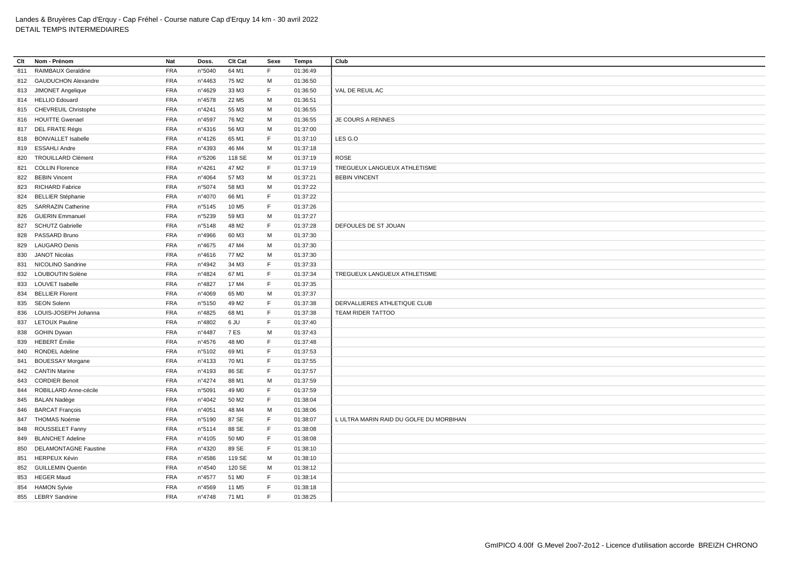| Clt | Nom - Prénom                 | Nat        | Doss.           | Clt Cat           | Sexe        | <b>Temps</b> | Club                                    |
|-----|------------------------------|------------|-----------------|-------------------|-------------|--------------|-----------------------------------------|
| 811 | RAIMBAUX Geraldine           | <b>FRA</b> | n°5040          | 64 M1             | F           | 01:36:49     |                                         |
|     | 812 GAUDUCHON Alexandre      | <b>FRA</b> | n°4463          | 75 M2             | M           | 01:36:50     |                                         |
| 813 | JIMONET Angelique            | <b>FRA</b> | n°4629          | 33 M3             | F.          | 01:36:50     | VAL DE REUIL AC                         |
|     | 814 HELLIO Edouard           | <b>FRA</b> | n°4578          | 22 M <sub>5</sub> | M           | 01:36:51     |                                         |
|     | 815 CHEVREUIL Christophe     | <b>FRA</b> | n°4241          | 55 M3             | M           | 01:36:55     |                                         |
|     | 816 HOUITTE Gwenael          | <b>FRA</b> | n°4597          | 76 M <sub>2</sub> | M           | 01:36:55     | JE COURS A RENNES                       |
|     | 817 DEL FRATE Régis          | <b>FRA</b> | n°4316          | 56 M3             | M           | 01:37:00     |                                         |
|     | 818 BONVALLET Isabelle       | <b>FRA</b> | nº4126          | 65 M1             | F           | 01:37:10     | LES G.O                                 |
|     | 819 ESSAHLI Andre            | <b>FRA</b> | n°4393          | 46 M4             | М           | 01:37:18     |                                         |
| 820 | <b>TROUILLARD Clément</b>    | <b>FRA</b> | n°5206          | 118 SE            | M           | 01:37:19     | <b>ROSE</b>                             |
| 821 | <b>COLLIN Florence</b>       | <b>FRA</b> | n°4261          | 47 M2             | F           | 01:37:19     | TREGUEUX LANGUEUX ATHLETISME            |
|     | 822 BEBIN Vincent            | <b>FRA</b> | n°4064          | 57 M3             | M           | 01:37:21     | <b>BEBIN VINCENT</b>                    |
| 823 | <b>RICHARD Fabrice</b>       | <b>FRA</b> | n°5074          | 58 M3             | M           | 01:37:22     |                                         |
| 824 | <b>BELLIER Stéphanie</b>     | <b>FRA</b> | n°4070          | 66 M1             | $\mathsf F$ | 01:37:22     |                                         |
|     | 825 SARRAZIN Catherine       | <b>FRA</b> | n°5145          | 10 M <sub>5</sub> | F           | 01:37:26     |                                         |
| 826 | <b>GUERIN Emmanuel</b>       | <b>FRA</b> | n°5239          | 59 M3             | M           | 01:37:27     |                                         |
| 827 | <b>SCHUTZ Gabrielle</b>      | <b>FRA</b> | n°5148          | 48 M2             | F           | 01:37:28     | DEFOULES DE ST JOUAN                    |
|     | 828 PASSARD Bruno            | <b>FRA</b> | n°4966          | 60 M3             | M           | 01:37:30     |                                         |
| 829 | <b>LAUGARO Denis</b>         | <b>FRA</b> | n°4675          | 47 M4             | M           | 01:37:30     |                                         |
| 830 | <b>JANOT Nicolas</b>         | <b>FRA</b> | $n^{\circ}4616$ | 77 M2             | M           | 01:37:30     |                                         |
| 831 | NICOLINO Sandrine            | <b>FRA</b> | n°4942          | 34 M3             | F           | 01:37:33     |                                         |
| 832 | LOUBOUTIN Solène             | <b>FRA</b> | n°4824          | 67 M1             | F           | 01:37:34     | TREGUEUX LANGUEUX ATHLETISME            |
| 833 | <b>LOUVET Isabelle</b>       | <b>FRA</b> | n°4827          | 17 M4             | F           | 01:37:35     |                                         |
|     | 834 BELLIER Florent          | <b>FRA</b> | n°4069          | 65 MO             | M           | 01:37:37     |                                         |
|     | 835 SEON Solenn              | <b>FRA</b> | n°5150          | 49 M2             | F           | 01:37:38     | DERVALLIERES ATHLETIQUE CLUB            |
|     | 836 LOUIS-JOSEPH Johanna     | <b>FRA</b> | n°4825          | 68 M1             | F           | 01:37:38     | TEAM RIDER TATTOO                       |
|     | 837 LETOUX Pauline           | <b>FRA</b> | n°4802          | 6 JU              | F           | 01:37:40     |                                         |
|     | 838 GOHIN Dywan              | <b>FRA</b> | n°4487          | 7 ES              | м           | 01:37:43     |                                         |
|     | 839 HEBERT Émilie            | <b>FRA</b> | n°4576          | 48 M <sub>0</sub> | F           | 01:37:48     |                                         |
| 840 | RONDEL Adeline               | <b>FRA</b> | n°5102          | 69 M1             | F           | 01:37:53     |                                         |
| 841 | <b>BOUESSAY Morgane</b>      | <b>FRA</b> | n°4133          | 70 M1             | F           | 01:37:55     |                                         |
| 842 | <b>CANTIN Marine</b>         | <b>FRA</b> | n°4193          | 86 SE             | $\mathsf F$ | 01:37:57     |                                         |
| 843 | <b>CORDIER Benoit</b>        | <b>FRA</b> | n°4274          | 88 M1             | M           | 01:37:59     |                                         |
| 844 | ROBILLARD Anne-cécile        | <b>FRA</b> | n°5091          | 49 M <sub>0</sub> | F.          | 01:37:59     |                                         |
|     | 845 BALAN Nadège             | <b>FRA</b> | n°4042          | 50 M2             | F           | 01:38:04     |                                         |
|     | 846 BARCAT François          | <b>FRA</b> | n°4051          | 48 M4             | M           | 01:38:06     |                                         |
| 847 | <b>THOMAS Noémie</b>         | <b>FRA</b> | n°5190          | 87 SE             | F           | 01:38:07     | L ULTRA MARIN RAID DU GOLFE DU MORBIHAN |
| 848 | ROUSSELET Fanny              | <b>FRA</b> | n°5114          | 88 SE             | F           | 01:38:08     |                                         |
| 849 | <b>BLANCHET Adeline</b>      | <b>FRA</b> | nº4105          | 50 M <sub>0</sub> | F           | 01:38:08     |                                         |
| 850 | <b>DELAMONTAGNE Faustine</b> | <b>FRA</b> | n°4320          | 89 SE             | F           | 01:38:10     |                                         |
|     | 851 HERPEUX Kévin            | <b>FRA</b> | n°4586          | 119 SE            | M           | 01:38:10     |                                         |
|     | 852 GUILLEMIN Quentin        | <b>FRA</b> | n°4540          | 120 SE            | м           | 01:38:12     |                                         |
| 853 | <b>HEGER Maud</b>            | <b>FRA</b> | n°4577          | 51 MO             | F           | 01:38:14     |                                         |
|     | 854 HAMON Sylvie             | <b>FRA</b> | n°4569          | 11 M <sub>5</sub> | F           | 01:38:18     |                                         |
|     | 855 LEBRY Sandrine           | <b>FRA</b> | n°4748          | 71 M1             | F           | 01:38:25     |                                         |
|     |                              |            |                 |                   |             |              |                                         |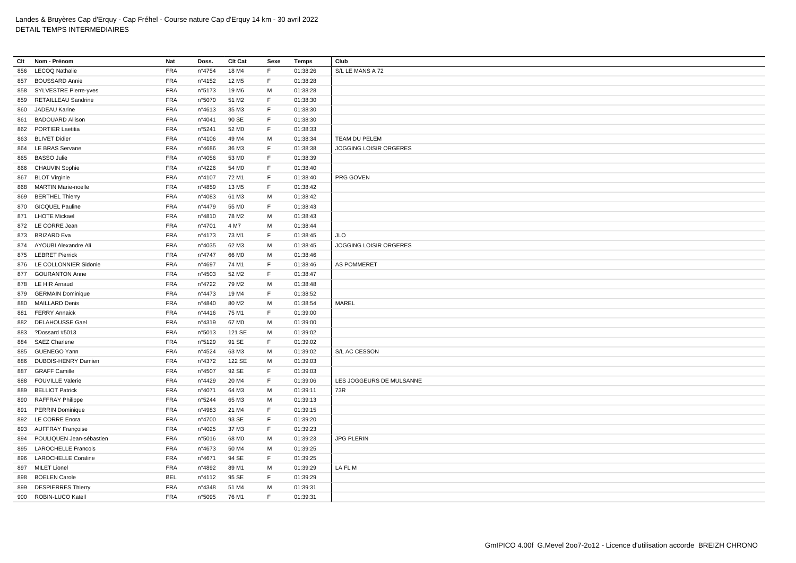| Clt | Nom - Prénom               | Nat        | Doss.           | Clt Cat           | Sexe         | <b>Temps</b> | Club                          |
|-----|----------------------------|------------|-----------------|-------------------|--------------|--------------|-------------------------------|
| 856 | <b>LECOQ Nathalie</b>      | <b>FRA</b> | n°4754          | 18 M4             | F            | 01:38:26     | S/L LE MANS A 72              |
|     | 857 BOUSSARD Annie         | <b>FRA</b> | n°4152          | 12 M <sub>5</sub> | E            | 01:38:28     |                               |
| 858 | SYLVESTRE Pierre-yves      | <b>FRA</b> | n°5173          | 19 M6             | M            | 01:38:28     |                               |
| 859 | <b>RETAILLEAU Sandrine</b> | <b>FRA</b> | n°5070          | 51 M2             | F            | 01:38:30     |                               |
| 860 | JADEAU Karine              | <b>FRA</b> | n°4613          | 35 M3             | E            | 01:38:30     |                               |
| 861 | <b>BADOUARD Allison</b>    | <b>FRA</b> | n°4041          | 90 SE             | $\mathsf F$  | 01:38:30     |                               |
| 862 | <b>PORTIER Laetitia</b>    | <b>FRA</b> | n°5241          | 52 M <sub>0</sub> | E            | 01:38:33     |                               |
| 863 | <b>BLIVET Didier</b>       | <b>FRA</b> | n°4106          | 49 M4             | M            | 01:38:34     | TEAM DU PELEM                 |
|     | 864 LE BRAS Servane        | <b>FRA</b> | n°4686          | 36 M3             | E            | 01:38:38     | <b>JOGGING LOISIR ORGERES</b> |
| 865 | <b>BASSO Julie</b>         | <b>FRA</b> | n°4056          | 53 MO             | $\mathsf F$  | 01:38:39     |                               |
| 866 | <b>CHAUVIN Sophie</b>      | <b>FRA</b> | n°4226          | 54 M <sub>0</sub> | $\mathsf{F}$ | 01:38:40     |                               |
| 867 | <b>BLOT Virginie</b>       | <b>FRA</b> | n°4107          | 72 M1             | $\mathsf F$  | 01:38:40     | PRG GOVEN                     |
| 868 | <b>MARTIN Marie-noelle</b> | <b>FRA</b> | n°4859          | 13 M <sub>5</sub> | E            | 01:38:42     |                               |
| 869 | <b>BERTHEL Thierry</b>     | <b>FRA</b> | n°4083          | 61 M3             | M            | 01:38:42     |                               |
|     | 870 GICQUEL Pauline        | <b>FRA</b> | n°4479          | 55 MO             | F            | 01:38:43     |                               |
|     | 871 LHOTE Mickael          | <b>FRA</b> | n°4810          | 78 M2             | M            | 01:38:43     |                               |
|     | 872 LE CORRE Jean          | <b>FRA</b> | n°4701          | 4 M7              | M            | 01:38:44     |                               |
|     | 873 BRIZARD Eva            | <b>FRA</b> | n°4173          | 73 M1             | $\mathsf F$  | 01:38:45     | JLO                           |
|     | 874 AYOUBI Alexandre Ali   | <b>FRA</b> | n°4035          | 62 M3             | M            | 01:38:45     | JOGGING LOISIR ORGERES        |
|     | 875 LEBRET Pierrick        | <b>FRA</b> | n°4747          | 66 MO             | M            | 01:38:46     |                               |
|     | 876 LE COLLONNIER Sidonie  | <b>FRA</b> | n°4697          | 74 M1             | $\mathsf F$  | 01:38:46     | <b>AS POMMERET</b>            |
|     | 877 GOURANTON Anne         | <b>FRA</b> | n°4503          | 52 M <sub>2</sub> | F            | 01:38:47     |                               |
|     | 878 LE HIR Arnaud          | <b>FRA</b> | n°4722          | 79 M <sub>2</sub> | M            | 01:38:48     |                               |
| 879 | <b>GERMAIN Dominique</b>   | <b>FRA</b> | n°4473          | 19 M4             | $\mathsf F$  | 01:38:52     |                               |
| 880 | <b>MAILLARD Denis</b>      | <b>FRA</b> | n°4840          | 80 M2             | M            | 01:38:54     | MAREL                         |
| 881 | <b>FERRY Annaick</b>       | <b>FRA</b> | $n^{\circ}4416$ | 75 M1             | $\mathsf F$  | 01:39:00     |                               |
| 882 | <b>DELAHOUSSE Gael</b>     | <b>FRA</b> | n°4319          | 67 MO             | M            | 01:39:00     |                               |
| 883 | ?Dossard #5013             | <b>FRA</b> | n°5013          | 121 SE            | M            | 01:39:02     |                               |
| 884 | <b>SAEZ Charlene</b>       | <b>FRA</b> | n°5129          | 91 SE             | E            | 01:39:02     |                               |
| 885 | <b>GUENEGO Yann</b>        | <b>FRA</b> | n°4524          | 63 M3             | M            | 01:39:02     | S/L AC CESSON                 |
| 886 | DUBOIS-HENRY Damien        | <b>FRA</b> | n°4372          | 122 SE            | M            | 01:39:03     |                               |
| 887 | <b>GRAFF Camille</b>       | <b>FRA</b> | n°4507          | 92 SE             | F            | 01:39:03     |                               |
| 888 | <b>FOUVILLE Valerie</b>    | <b>FRA</b> | n°4429          | 20 M4             | E            | 01:39:06     | LES JOGGEURS DE MULSANNE      |
| 889 | <b>BELLIOT Patrick</b>     | <b>FRA</b> | n°4071          | 64 M3             | M            | 01:39:11     | 73R                           |
| 890 | <b>RAFFRAY Philippe</b>    | <b>FRA</b> | n°5244          | 65 M3             | M            | 01:39:13     |                               |
| 891 | <b>PERRIN Dominique</b>    | <b>FRA</b> | n°4983          | 21 M4             | E            | 01:39:15     |                               |
| 892 | LE CORRE Enora             | <b>FRA</b> | n°4700          | 93 SE             | F            | 01:39:20     |                               |
|     | 893 AUFFRAY Françoise      | <b>FRA</b> | n°4025          | 37 M3             | E            | 01:39:23     |                               |
| 894 | POULIQUEN Jean-sébastien   | <b>FRA</b> | n°5016          | 68 MO             | M            | 01:39:23     | <b>JPG PLERIN</b>             |
| 895 | <b>LAROCHELLE Francois</b> | <b>FRA</b> | n°4673          | 50 M4             | M            | 01:39:25     |                               |
| 896 | <b>LAROCHELLE Coraline</b> | <b>FRA</b> | n°4671          | 94 SE             | $\mathsf F$  | 01:39:25     |                               |
| 897 | <b>MILET Lionel</b>        | <b>FRA</b> | n°4892          | 89 M1             | M            | 01:39:29     | LA FL M                       |
| 898 | <b>BOELEN Carole</b>       | <b>BEL</b> | n°4112          | 95 SE             | $\mathsf F$  | 01:39:29     |                               |
| 899 | <b>DESPIERRES Thierry</b>  | <b>FRA</b> | n°4348          | 51 M4             | м            | 01:39:31     |                               |
|     | 900 ROBIN-LUCO Katell      | <b>FRA</b> | n°5095          | 76 M1             | E            | 01:39:31     |                               |
|     |                            |            |                 |                   |              |              |                               |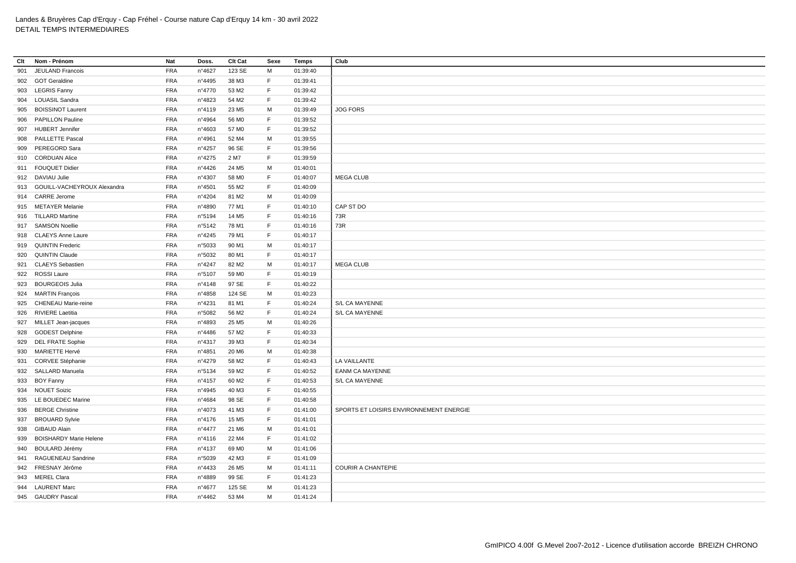| Clt | Nom - Prénom                    | Nat        | Doss.           | Clt Cat           | Sexe | <b>Temps</b> | Club                                    |
|-----|---------------------------------|------------|-----------------|-------------------|------|--------------|-----------------------------------------|
| 901 | JEULAND Francois                | <b>FRA</b> | n°4627          | 123 SE            | М    | 01:39:40     |                                         |
|     | 902 GOT Geraldine               | <b>FRA</b> | n°4495          | 38 M3             | F.   | 01:39:41     |                                         |
|     | 903 LEGRIS Fanny                | <b>FRA</b> | n°4770          | 53 M2             | F.   | 01:39:42     |                                         |
| 904 | <b>LOUASIL Sandra</b>           | <b>FRA</b> | n°4823          | 54 M2             | F.   | 01:39:42     |                                         |
| 905 | <b>BOISSINOT Laurent</b>        | <b>FRA</b> | n°4119          | 23 M <sub>5</sub> | М    | 01:39:49     | <b>JOG FORS</b>                         |
| 906 | <b>PAPILLON Pauline</b>         | <b>FRA</b> | n°4964          | 56 MO             | F    | 01:39:52     |                                         |
|     | 907 HUBERT Jennifer             | <b>FRA</b> | n°4603          | 57 M <sub>0</sub> | F    | 01:39:52     |                                         |
| 908 | <b>PAILLETTE Pascal</b>         | <b>FRA</b> | n°4961          | 52 M4             | М    | 01:39:55     |                                         |
| 909 | PEREGORD Sara                   | <b>FRA</b> | n°4257          | 96 SE             | F    | 01:39:56     |                                         |
|     | 910 CORDUAN Alice               | <b>FRA</b> | n°4275          | 2 M7              | F    | 01:39:59     |                                         |
|     | 911 FOUQUET Didier              | <b>FRA</b> | n°4426          | 24 M <sub>5</sub> | M    | 01:40:01     |                                         |
|     | 912 DAVIAU Julie                | <b>FRA</b> | n°4307          | 58 MO             | F    | 01:40:07     | <b>MEGA CLUB</b>                        |
|     | 913 GOUILL-VACHEYROUX Alexandra | <b>FRA</b> | n°4501          | 55 M2             | F.   | 01:40:09     |                                         |
|     | 914 CARRE Jerome                | <b>FRA</b> | n°4204          | 81 M2             | М    | 01:40:09     |                                         |
|     | 915 METAYER Melanie             | <b>FRA</b> | n°4890          | 77 M1             | F    | 01:40:10     | CAP ST DO                               |
|     | 916 TILLARD Martine             | <b>FRA</b> | n°5194          | 14 M <sub>5</sub> | F    | 01:40:16     | 73R                                     |
|     | 917 SAMSON Noellie              | <b>FRA</b> | n°5142          | 78 M1             | F.   | 01:40:16     | 73R                                     |
|     | 918 CLAEYS Anne Laure           | <b>FRA</b> | $n^{\circ}4245$ | 79 M1             | F    | 01:40:17     |                                         |
| 919 | <b>QUINTIN Frederic</b>         | <b>FRA</b> | n°5033          | 90 M1             | М    | 01:40:17     |                                         |
| 920 | <b>QUINTIN Claude</b>           | <b>FRA</b> | n°5032          | 80 M1             | F    | 01:40:17     |                                         |
| 921 | <b>CLAEYS Sebastien</b>         | <b>FRA</b> | n°4247          | 82 M <sub>2</sub> | M    | 01:40:17     | <b>MEGA CLUB</b>                        |
|     | 922 ROSSI Laure                 | <b>FRA</b> | n°5107          | 59 MO             | F.   | 01:40:19     |                                         |
| 923 | <b>BOURGEOIS Julia</b>          | <b>FRA</b> | nº4148          | 97 SE             | F    | 01:40:22     |                                         |
|     | 924 MARTIN François             | <b>FRA</b> | n°4858          | 124 SE            | M    | 01:40:23     |                                         |
|     | 925 CHENEAU Marie-reine         | <b>FRA</b> | n°4231          | 81 M1             | F    | 01:40:24     | S/L CA MAYENNE                          |
| 926 | <b>RIVIERE Laetitia</b>         | <b>FRA</b> | n°5082          | 56 M2             | F.   | 01:40:24     | S/L CA MAYENNE                          |
|     | 927 MILLET Jean-jacques         | <b>FRA</b> | n°4893          | 25 M <sub>5</sub> | М    | 01:40:26     |                                         |
| 928 | <b>GODEST Delphine</b>          | <b>FRA</b> | n°4486          | 57 M2             | F.   | 01:40:33     |                                         |
|     | 929 DEL FRATE Sophie            | <b>FRA</b> | n°4317          | 39 M3             | F    | 01:40:34     |                                         |
| 930 | MARIETTE Hervé                  | <b>FRA</b> | n°4851          | 20 M6             | М    | 01:40:38     |                                         |
| 931 | CORVEE Stéphanie                | <b>FRA</b> | n°4279          | 58 M2             | F.   | 01:40:43     | LA VAILLANTE                            |
|     | 932 SALLARD Manuela             | <b>FRA</b> | n°5134          | 59 M2             | F    | 01:40:52     | <b>EANM CA MAYENNE</b>                  |
|     | 933 BOY Fanny                   | <b>FRA</b> | n°4157          | 60 M <sub>2</sub> | F    | 01:40:53     | S/L CA MAYENNE                          |
|     | 934 NOUET Soizic                | <b>FRA</b> | n°4945          | 40 M3             | F    | 01:40:55     |                                         |
| 935 | LE BOUEDEC Marine               | <b>FRA</b> | n°4684          | 98 SE             | F.   | 01:40:58     |                                         |
| 936 | <b>BERGE Christine</b>          | <b>FRA</b> | n°4073          | 41 M3             | F    | 01:41:00     | SPORTS ET LOISIRS ENVIRONNEMENT ENERGIE |
| 937 | <b>BROUARD Sylvie</b>           | <b>FRA</b> | n°4176          | 15 M <sub>5</sub> | F.   | 01:41:01     |                                         |
| 938 | <b>GIBAUD Alain</b>             | <b>FRA</b> | n°4477          | 21 M6             | M    | 01:41:01     |                                         |
| 939 | <b>BOISHARDY Marie Helene</b>   | <b>FRA</b> | $n^{\circ}4116$ | 22 M4             | F.   | 01:41:02     |                                         |
| 940 | <b>BOULARD Jérémy</b>           | <b>FRA</b> | n°4137          | 69 MO             | M    | 01:41:06     |                                         |
| 941 | RAGUENEAU Sandrine              | <b>FRA</b> | n°5039          | 42 M3             | F.   | 01:41:09     |                                         |
| 942 | FRESNAY Jérôme                  | <b>FRA</b> | n°4433          | 26 M <sub>5</sub> | M    | 01:41:11     | <b>COURIR A CHANTEPIE</b>               |
|     | 943 MEREL Clara                 | <b>FRA</b> | n°4889          | 99 SE             | F    | 01:41:23     |                                         |
| 944 | <b>LAURENT Marc</b>             | <b>FRA</b> | n°4677          | 125 SE            | М    | 01:41:23     |                                         |
|     | 945 GAUDRY Pascal               | <b>FRA</b> | n°4462          | 53 M4             | М    | 01:41:24     |                                         |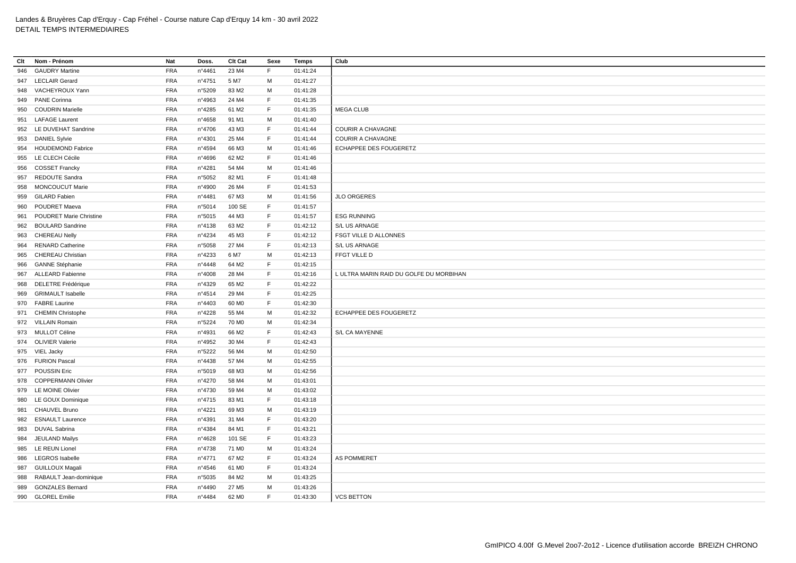| Clt | Nom - Prénom                   | Nat        | Doss.  | Clt Cat           | Sexe | Temps    | Club                                    |
|-----|--------------------------------|------------|--------|-------------------|------|----------|-----------------------------------------|
| 946 | <b>GAUDRY Martine</b>          | <b>FRA</b> | n°4461 | 23 M4             | F.   | 01:41:24 |                                         |
|     | 947 LECLAIR Gerard             | <b>FRA</b> | n°4751 | 5 M7              | М    | 01:41:27 |                                         |
|     | 948 VACHEYROUX Yann            | FRA        | n°5209 | 83 M2             | М    | 01:41:28 |                                         |
|     | 949 PANE Corinna               | <b>FRA</b> | n°4963 | 24 M4             | F.   | 01:41:35 |                                         |
|     | 950 COUDRIN Marielle           | <b>FRA</b> | n°4285 | 61 M2             | F.   | 01:41:35 | <b>MEGA CLUB</b>                        |
| 951 | <b>LAFAGE Laurent</b>          | <b>FRA</b> | n°4658 | 91 M1             | M    | 01:41:40 |                                         |
|     | 952 LE DUVEHAT Sandrine        | <b>FRA</b> | n°4706 | 43 M3             | F.   | 01:41:44 | <b>COURIR A CHAVAGNE</b>                |
| 953 | <b>DANIEL Sylvie</b>           | <b>FRA</b> | n°4301 | 25 M4             | F.   | 01:41:44 | <b>COURIR A CHAVAGNE</b>                |
|     | 954 HOUDEMOND Fabrice          | <b>FRA</b> | n°4594 | 66 M3             | M    | 01:41:46 | ECHAPPEE DES FOUGERETZ                  |
| 955 | LE CLECH Cécile                | <b>FRA</b> | n°4696 | 62 M <sub>2</sub> | F.   | 01:41:46 |                                         |
| 956 | <b>COSSET Francky</b>          | <b>FRA</b> | n°4281 | 54 M4             | м    | 01:41:46 |                                         |
| 957 | REDOUTE Sandra                 | <b>FRA</b> | n°5052 | 82 M1             | F.   | 01:41:48 |                                         |
| 958 | <b>MONCOUCUT Marie</b>         | <b>FRA</b> | n°4900 | 26 M4             | F.   | 01:41:53 |                                         |
|     | 959 GILARD Fabien              | <b>FRA</b> | n°4481 | 67 M3             | M    | 01:41:56 | <b>JLO ORGERES</b>                      |
| 960 | POUDRET Maeva                  | <b>FRA</b> | n°5014 | 100 SE            | F.   | 01:41:57 |                                         |
| 961 | <b>POUDRET Marie Christine</b> | <b>FRA</b> | n°5015 | 44 M3             | F    | 01:41:57 | <b>ESG RUNNING</b>                      |
|     | 962 BOULARD Sandrine           | <b>FRA</b> | n°4138 | 63 M2             | F.   | 01:42:12 | S/L US ARNAGE                           |
|     | 963 CHEREAU Nelly              | <b>FRA</b> | n°4234 | 45 M3             | F.   | 01:42:12 | FSGT VILLE D ALLONNES                   |
| 964 | <b>RENARD Catherine</b>        | <b>FRA</b> | n°5058 | 27 M4             | F.   | 01:42:13 | S/L US ARNAGE                           |
| 965 | CHEREAU Christian              | <b>FRA</b> | n°4233 | 6 M7              | M    | 01:42:13 | FFGT VILLE D                            |
| 966 | <b>GANNE Stéphanie</b>         | <b>FRA</b> | n°4448 | 64 M2             | F    | 01:42:15 |                                         |
|     | 967 ALLEARD Fabienne           | FRA        | n°4008 | 28 M4             | E    | 01:42:16 | L ULTRA MARIN RAID DU GOLFE DU MORBIHAN |
| 968 | DELETRE Frédérique             | <b>FRA</b> | n°4329 | 65 M2             | F.   | 01:42:22 |                                         |
| 969 | <b>GRIMAULT Isabelle</b>       | <b>FRA</b> | n°4514 | 29 M4             | F.   | 01:42:25 |                                         |
|     | 970 FABRE Laurine              | <b>FRA</b> | n°4403 | 60 MO             | F    | 01:42:30 |                                         |
|     | 971 CHEMIN Christophe          | <b>FRA</b> | n°4228 | 55 M4             | M    | 01:42:32 | ECHAPPEE DES FOUGERETZ                  |
|     | 972 VILLAIN Romain             | <b>FRA</b> | n°5224 | 70 M <sub>0</sub> | M    | 01:42:34 |                                         |
|     | 973 MULLOT Céline              | <b>FRA</b> | n°4931 | 66 M2             | F.   | 01:42:43 | S/L CA MAYENNE                          |
|     | 974 OLIVIER Valerie            | <b>FRA</b> | n°4952 | 30 M4             | F    | 01:42:43 |                                         |
|     | 975 VIEL Jacky                 | <b>FRA</b> | n°5222 | 56 M4             | м    | 01:42:50 |                                         |
|     | 976 FURION Pascal              | <b>FRA</b> | n°4438 | 57 M4             | M    | 01:42:55 |                                         |
| 977 | <b>POUSSIN Eric</b>            | <b>FRA</b> | n°5019 | 68 M3             | M    | 01:42:56 |                                         |
|     | 978 COPPERMANN Olivier         | <b>FRA</b> | n°4270 | 58 M4             | M    | 01:43:01 |                                         |
| 979 | <b>LE MOINE Olivier</b>        | <b>FRA</b> | n°4730 | 59 M4             | M    | 01:43:02 |                                         |
|     | 980 LE GOUX Dominique          | FRA        | n°4715 | 83 M1             | F.   | 01:43:18 |                                         |
| 981 | CHAUVEL Bruno                  | <b>FRA</b> | n°4221 | 69 M3             | M    | 01:43:19 |                                         |
|     | 982 ESNAULT Laurence           | <b>FRA</b> | nº4391 | 31 M4             | F.   | 01:43:20 |                                         |
| 983 | <b>DUVAL Sabrina</b>           | <b>FRA</b> | n°4384 | 84 M1             | F    | 01:43:21 |                                         |
| 984 | <b>JEULAND Mailys</b>          | <b>FRA</b> | n°4628 | 101 SE            | F.   | 01:43:23 |                                         |
|     | 985 LE REUN Lionel             | <b>FRA</b> | n°4738 | 71 M <sub>0</sub> | М    | 01:43:24 |                                         |
| 986 | <b>LEGROS</b> Isabelle         | <b>FRA</b> | n°4771 | 67 M2             | F.   | 01:43:24 | <b>AS POMMERET</b>                      |
| 987 | <b>GUILLOUX Magali</b>         | <b>FRA</b> | n°4546 | 61 M <sub>0</sub> | F.   | 01:43:24 |                                         |
| 988 | RABAULT Jean-dominique         | <b>FRA</b> | n°5035 | 84 M2             | м    | 01:43:25 |                                         |
| 989 | <b>GONZALES Bernard</b>        | <b>FRA</b> | n°4490 | 27 M <sub>5</sub> | M    | 01:43:26 |                                         |
|     | 990 GLOREL Emilie              | <b>FRA</b> | n°4484 | 62 M <sub>0</sub> | F.   | 01:43:30 | <b>VCS BETTON</b>                       |
|     |                                |            |        |                   |      |          |                                         |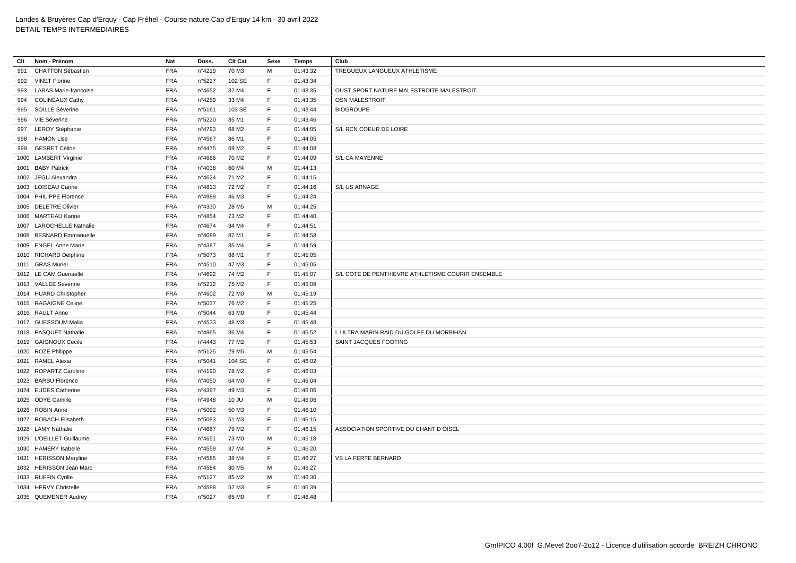| Clt | Nom - Prénom                 | Nat        | Doss.  | Clt Cat           | Sexe         | <b>Temps</b> | Club                                              |
|-----|------------------------------|------------|--------|-------------------|--------------|--------------|---------------------------------------------------|
| 991 | <b>CHATTON Sébastien</b>     | <b>FRA</b> | n°4219 | 70 M3             | M            | 01:43:32     | TREGUEUX LANGUEUX ATHLETISME                      |
| 992 | <b>VINET Florine</b>         | <b>FRA</b> | n°5227 | 102 SE            | F            | 01:43:34     |                                                   |
| 993 | <b>LABAS Marie-francoise</b> | <b>FRA</b> | n°4652 | 32 M4             | $\mathsf F$  | 01:43:35     | OUST SPORT NATURE MALESTROITE MALESTROIT          |
| 994 | <b>COLINEAUX Cathy</b>       | <b>FRA</b> | n°4259 | 33 M4             | F            | 01:43:35     | OSN MALESTROIT                                    |
| 995 | SOILLE Séverine              | <b>FRA</b> | n°5161 | 103 SE            | $\mathsf F$  | 01:43:44     | <b>BIOGROUPE</b>                                  |
| 996 | VIE Séverine                 | <b>FRA</b> | n°5220 | 85 M1             | F            | 01:43:46     |                                                   |
|     | 997 LEROY Stéphanie          | <b>FRA</b> | n°4793 | 68 M2             | $\mathsf{F}$ | 01:44:05     | S/L RCN COEUR DE LOIRE                            |
| 998 | <b>HAMON Lise</b>            | <b>FRA</b> | n°4567 | 86 M1             | $\mathsf F$  | 01:44:05     |                                                   |
| 999 | <b>GESRET Céline</b>         | <b>FRA</b> | n°4475 | 69 M <sub>2</sub> | F            | 01:44:08     |                                                   |
|     | 1000 LAMBERT Virginie        | <b>FRA</b> | n°4666 | 70 M <sub>2</sub> | $\mathsf F$  | 01:44:09     | S/L CA MAYENNE                                    |
|     | 1001 BABY Patrick            | <b>FRA</b> | n°4038 | 60 M4             | M            | 01:44:13     |                                                   |
|     | 1002 JEGU Alexandra          | <b>FRA</b> | n°4624 | 71 M2             | E            | 01:44:15     |                                                   |
|     | 1003 LOISEAU Carine          | <b>FRA</b> | n°4813 | 72 M <sub>2</sub> | F            | 01:44:16     | S/L US ARNAGE                                     |
|     | 1004 PHILIPPE Florence       | <b>FRA</b> | n°4989 | 46 M3             | F            | 01:44:24     |                                                   |
|     | 1005 DELETRE Olivier         | <b>FRA</b> | n°4330 | 28 M <sub>5</sub> | м            | 01:44:25     |                                                   |
|     | 1006 MARTEAU Karine          | <b>FRA</b> | n°4854 | 73 M2             | $\mathsf{F}$ | 01:44:40     |                                                   |
|     | 1007 LAROCHELLE Nathalie     | <b>FRA</b> | n°4674 | 34 M4             | $\mathsf F$  | 01:44:51     |                                                   |
|     | 1008 BESNARD Emmanuelle      | <b>FRA</b> | n°4089 | 87 M1             | F            | 01:44:58     |                                                   |
|     | 1009 ENGEL Anne Marie        | <b>FRA</b> | n°4387 | 35 M4             | $\mathsf F$  | 01:44:59     |                                                   |
|     | 1010 RICHARD Delphine        | <b>FRA</b> | n°5073 | 88 M1             | E            | 01:45:05     |                                                   |
|     | 1011 GRAS Muriel             | <b>FRA</b> | n°4510 | 47 M3             | $\mathsf F$  | 01:45:05     |                                                   |
|     | 1012 LE CAM Guenaelle        | <b>FRA</b> | n°4692 | 74 M2             | F            | 01:45:07     | S/L COTE DE PENTHIEVRE ATHLETISME COURIR ENSEMBLE |
|     | 1013 VALLEE Severine         | <b>FRA</b> | n°5212 | 75 M2             | $\mathsf F$  | 01:45:09     |                                                   |
|     | 1014 HUARD Christopher       | <b>FRA</b> | n°4602 | 72 M <sub>0</sub> | M            | 01:45:19     |                                                   |
|     | 1015 RAGAIGNE Celine         | <b>FRA</b> | n°5037 | 76 M <sub>2</sub> | $\mathsf{F}$ | 01:45:25     |                                                   |
|     | 1016 RAULT Anne              | <b>FRA</b> | n°5044 | 63 MO             | F            | 01:45:44     |                                                   |
|     | 1017 GUESSOUM Malia          | <b>FRA</b> | n°4533 | 48 M3             | E            | 01:45:48     |                                                   |
|     | 1018 PASQUET Nathalie        | <b>FRA</b> | n°4965 | 36 M4             | F            | 01:45:52     | L ULTRA MARIN RAID DU GOLFE DU MORBIHAN           |
|     | 1019 GAIGNOUX Cecile         | <b>FRA</b> | n°4443 | 77 M2             | E            | 01:45:53     | SAINT JACQUES FOOTING                             |
|     | 1020 ROZE Philippe           | <b>FRA</b> | n°5125 | 29 M <sub>5</sub> | M            | 01:45:54     |                                                   |
|     | 1021 RAMEL Alexia            | <b>FRA</b> | n°5041 | 104 SE            | F            | 01:46:02     |                                                   |
|     | 1022 ROPARTZ Caroline        | <b>FRA</b> | n°4190 | 78 M2             | E            | 01:46:03     |                                                   |
|     | 1023 BARBU Florence          | <b>FRA</b> | n°4050 | 64 M <sub>0</sub> | $\mathsf F$  | 01:46:04     |                                                   |
|     | 1024 EUDES Catherine         | <b>FRA</b> | n°4397 | 49 M3             | $\mathsf{F}$ | 01:46:06     |                                                   |
|     | 1025 ODYE Camille            | <b>FRA</b> | n°4948 | 10 JU             | M            | 01:46:06     |                                                   |
|     | 1026 ROBIN Anne              | <b>FRA</b> | n°5092 | 50 M3             | F            | 01:46:10     |                                                   |
|     | 1027 ROBACH Elisabeth        | <b>FRA</b> | n°5083 | 51 M3             | $\mathsf F$  | 01:46:15     |                                                   |
|     | 1028 LAMY Nathalie           | <b>FRA</b> | n°4667 | 79 M <sub>2</sub> | $\mathsf{F}$ | 01:46:15     | ASSOCIATION SPORTIVE DU CHANT D OISEL             |
|     | 1029 L'OEILLET Guillaume     | <b>FRA</b> | n°4651 | 73 M <sub>0</sub> | M            | 01:46:18     |                                                   |
|     | 1030 HAMERY Isabelle         | <b>FRA</b> | n°4559 | 37 M4             | F            | 01:46:20     |                                                   |
|     | 1031 HERISSON Maryline       | <b>FRA</b> | n°4585 | 38 M4             | $\mathsf F$  | 01:46:27     | VS LA FERTE BERNARD                               |
|     | 1032 HERISSON Jean Marc      | <b>FRA</b> | n°4584 | 30 M <sub>5</sub> | M            | 01:46:27     |                                                   |
|     | 1033 RUFFIN Cyrille          | <b>FRA</b> | n°5127 | 85 M2             | M            | 01:46:30     |                                                   |
|     | 1034 HERVY Christelle        | <b>FRA</b> | n°4588 | 52 M3             | F            | 01:46:39     |                                                   |
|     | 1035 QUEMENER Audrey         | <b>FRA</b> | n°5027 | 65 MO             | F            | 01:46:48     |                                                   |
|     |                              |            |        |                   |              |              |                                                   |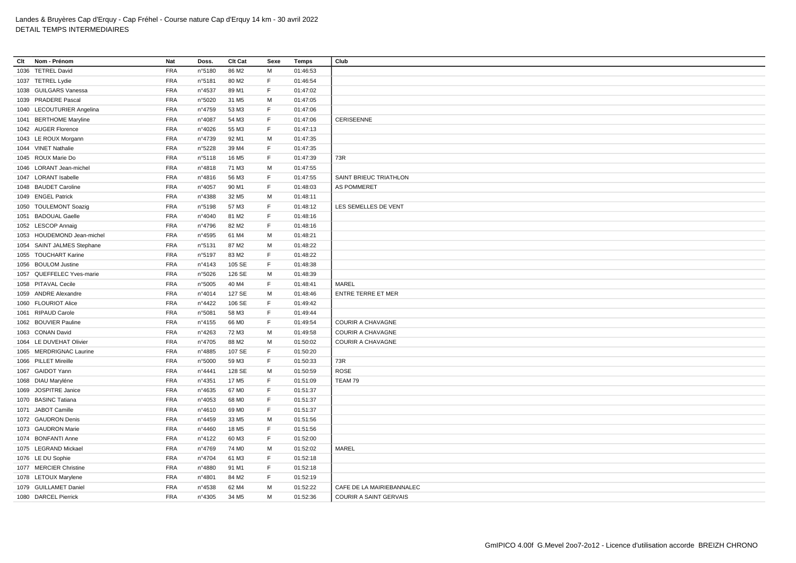| Clt<br>Nom - Prénom        | Nat        | Doss.           | Clt Cat           | Sexe        | Temps    | Club                          |
|----------------------------|------------|-----------------|-------------------|-------------|----------|-------------------------------|
| 1036 TETREL David          | <b>FRA</b> | n°5180          | 86 M2             | м           | 01:46:53 |                               |
| 1037 TETREL Lydie          | <b>FRA</b> | n°5181          | 80 M2             | F           | 01:46:54 |                               |
| 1038 GUILGARS Vanessa      | <b>FRA</b> | n°4537          | 89 M1             | F           | 01:47:02 |                               |
| 1039 PRADERE Pascal        | <b>FRA</b> | n°5020          | 31 M <sub>5</sub> | M           | 01:47:05 |                               |
| 1040 LECOUTURIER Angelina  | <b>FRA</b> | n°4759          | 53 M3             | F           | 01:47:06 |                               |
| 1041 BERTHOME Maryline     | <b>FRA</b> | n°4087          | 54 M3             | F           | 01:47:06 | CERISEENNE                    |
| 1042 AUGER Florence        | <b>FRA</b> | n°4026          | 55 M3             | F           | 01:47:13 |                               |
| 1043 LE ROUX Morgann       | <b>FRA</b> | n°4739          | 92 M1             | M           | 01:47:35 |                               |
| 1044 VINET Nathalie        | <b>FRA</b> | n°5228          | 39 M4             | E           | 01:47:35 |                               |
| 1045 ROUX Marie Do         | <b>FRA</b> | n°5118          | 16 M <sub>5</sub> | $\mathsf F$ | 01:47:39 | 73R                           |
| 1046 LORANT Jean-michel    | <b>FRA</b> | n°4818          | 71 M3             | M           | 01:47:55 |                               |
| 1047 LORANT Isabelle       | <b>FRA</b> | $n^{\circ}4816$ | 56 M3             | $\mathsf F$ | 01:47:55 | SAINT BRIEUC TRIATHLON        |
| 1048 BAUDET Caroline       | <b>FRA</b> | n°4057          | 90 M1             | F           | 01:48:03 | <b>AS POMMERET</b>            |
| 1049 ENGEL Patrick         | <b>FRA</b> | n°4388          | 32 M <sub>5</sub> | M           | 01:48:11 |                               |
| 1050 TOULEMONT Soazig      | <b>FRA</b> | n°5198          | 57 M3             | F           | 01:48:12 | LES SEMELLES DE VENT          |
| 1051 BADOUAL Gaelle        | <b>FRA</b> | nº4040          | 81 M2             | F           | 01:48:16 |                               |
| 1052 LESCOP Annaig         | <b>FRA</b> | n°4796          | 82 M <sub>2</sub> | F           | 01:48:16 |                               |
| 1053 HOUDEMOND Jean-michel | <b>FRA</b> | n°4595          | 61 M4             | M           | 01:48:21 |                               |
| 1054 SAINT JALMES Stephane | <b>FRA</b> | n°5131          | 87 M2             | M           | 01:48:22 |                               |
| 1055 TOUCHART Karine       | <b>FRA</b> | n°5197          | 83 M2             | F           | 01:48:22 |                               |
| 1056 BOULOM Justine        | <b>FRA</b> | $n^{\circ}4143$ | 105 SE            | F           | 01:48:38 |                               |
| 1057 QUEFFELEC Yves-marie  | <b>FRA</b> | n°5026          | 126 SE            | M           | 01:48:39 |                               |
| 1058 PITAVAL Cecile        | <b>FRA</b> | n°5005          | 40 M4             | F           | 01:48:41 | MAREL                         |
| 1059 ANDRE Alexandre       | <b>FRA</b> | n°4014          | 127 SE            | M           | 01:48:46 | <b>ENTRE TERRE ET MER</b>     |
| 1060 FLOURIOT Alice        | <b>FRA</b> | n°4422          | 106 SE            | F           | 01:49:42 |                               |
| 1061 RIPAUD Carole         | <b>FRA</b> | n°5081          | 58 M3             | F.          | 01:49:44 |                               |
| 1062 BOUVIER Pauline       | <b>FRA</b> | n°4155          | 66 MO             | $\mathsf F$ | 01:49:54 | COURIR A CHAVAGNE             |
| 1063 CONAN David           | <b>FRA</b> | n°4263          | 72 M3             | M           | 01:49:58 | <b>COURIR A CHAVAGNE</b>      |
| 1064 LE DUVEHAT Olivier    | <b>FRA</b> | n°4705          | 88 M2             | M           | 01:50:02 | COURIR A CHAVAGNE             |
| 1065 MERDRIGNAC Laurine    | <b>FRA</b> | n°4885          | 107 SE            | F           | 01:50:20 |                               |
| 1066 PILLET Mireille       | <b>FRA</b> | n°5000          | 59 M3             | F           | 01:50:33 | 73R                           |
| 1067 GAIDOT Yann           | <b>FRA</b> | n°4441          | 128 SE            | M           | 01:50:59 | ROSE                          |
| 1068 DIAU Maryléne         | <b>FRA</b> | n°4351          | 17 M <sub>5</sub> | F           | 01:51:09 | TEAM 79                       |
| 1069 JOSPITRE Janice       | <b>FRA</b> | n°4635          | 67 MO             | F           | 01:51:37 |                               |
| 1070 BASINC Tatiana        | <b>FRA</b> | n°4053          | 68 MO             | $\mathsf F$ | 01:51:37 |                               |
| 1071 JABOT Camille         | <b>FRA</b> | nº4610          | 69 MO             | F           | 01:51:37 |                               |
| 1072 GAUDRON Denis         | <b>FRA</b> | n°4459          | 33 M <sub>5</sub> | M           | 01:51:56 |                               |
| 1073 GAUDRON Marie         | <b>FRA</b> | n°4460          | 18 M <sub>5</sub> | E           | 01:51:56 |                               |
| 1074 BONFANTI Anne         | <b>FRA</b> | n°4122          | 60 M3             | $\mathsf F$ | 01:52:00 |                               |
| 1075 LEGRAND Mickael       | <b>FRA</b> | n°4769          | 74 M <sub>0</sub> | M           | 01:52:02 | MAREL                         |
| 1076 LE DU Sophie          | <b>FRA</b> | n°4704          | 61 M3             | F           | 01:52:18 |                               |
| 1077 MERCIER Christine     | <b>FRA</b> | n°4880          | 91 M1             | F           | 01:52:18 |                               |
| 1078 LETOUX Marylene       | <b>FRA</b> | n°4801          | 84 M2             | F           | 01:52:19 |                               |
| 1079 GUILLAMET Daniel      | <b>FRA</b> | n°4538          | 62 M4             | М           | 01:52:22 | CAFE DE LA MAIRIEBANNALEC     |
| 1080 DARCEL Pierrick       | <b>FRA</b> | n°4305          | 34 M <sub>5</sub> | M           | 01:52:36 | <b>COURIR A SAINT GERVAIS</b> |